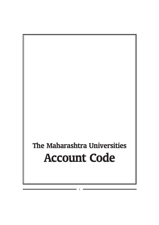# The Maharashtra Universities Account Code

I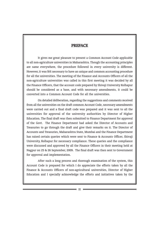# PREFACE

It gives me great pleasure to present a Common Account Code applicable to all non-agriculture universities in Maharashtra. Though the accounting principles are same everywhere, the procedure followed in every university is different. However, it was felt necessary to have an unique and common accounting procedure for all the universities. The meeting of the Finance and Accounts Officers of all the non-agriculture universities was called in this first meeting it was decided by all the Finance Officers, that the account code prepared by Shivaji University Kolhapur should be considered as a base, and with necessary amendments, it could be converted into a Common Account Code for all the universities.

On detailed deliberation, regarding the suggestions and comments received from all the universities on the draft common Account Code, necessary amendments were carried out and a final draft code was prepared and it was sent to all the universities for approval of the university authorities by Director of Higher Education. The final draft was then submitted to Finance Department for approval of the Govt. The Finance Department had asked the Director of Accounts and Treasuries to go through the draft and give their remarks on it. The Director of Accounts and Treasuries, Maharashtra State, Mumbai and the Finance Department has raised certain queries which were sent to Finance & Accounts Officer, Shivaji University, Kolhapur for necessary compliance. These queries and the compliance were discussed and approved by all the Finance Officers in their meeting held at Nagpur on 25 & 26 September, 2009. The final draft was then sent to Government for approval and implementation.

After such a long process and thorough examination of the system, this Account Code is prepared for which I do appreciate the efforts taken by all the Finance & Accounts Officers of non-agricultural universities, Director of Higher Education and I specially acknowledge the efforts and initiatives taken by the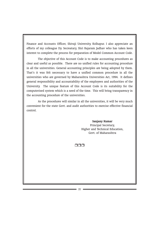Finance and Accounts Officer, Shivaji University, Kolhapur. I also appreciate an efforts of my colleague Dy. Secreatary, Shri Rajaram Jadhav who has taken keen interest to complete the process for preparation of Model Common Account Code.

The objective of this Account Code is to make accounting procedures as clear and useful as possible. There are no unified rules for accounting procedure in all the universities. General accounting principles are being adopted by them. That's it was felt necessary to have a unified common procedure in all the universities who are governed by Maharashtra Universities Act, 1994. It defines general responsibility and accountability of the employees and authorities of the University. The unique feature of this Account Code is its suitability for the computerised system which is a need of the time. This will bring transparency in the accounting procedure of the universities.

As the procedures will similar in all the universities, it will be very much convenient for the state Govt. and audit authorities to exercise effective financial control.

## Sanjany Kumar Principal Secretary, Higher and Technical Education, Govt. of Maharashtra

 $n \cap n$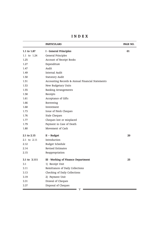I N D E X

|              | <b>PARTICULARS</b>                               | PAGE NO. |
|--------------|--------------------------------------------------|----------|
| 1.1 to 1.87  | I - General Principles                           | 01       |
| 1.1 to 1.24  | General Principles                               |          |
| 1.25         | Account of Receipt Books                         |          |
| 1.27         | Expenditure                                      |          |
| 1.47         | Audit                                            |          |
| 1.49         | Internal Audit                                   |          |
| 1.50         | <b>Statutory Audit</b>                           |          |
| 1.51         | Accounting Records & Annual Financial Statements |          |
| 1.53         | New Budgetary Units                              |          |
| 1.55         | <b>Banking Arrangements</b>                      |          |
| 1.58         | Receipts                                         |          |
| 1.61         | Acceptance of Gifts                              |          |
| 1.66         | Borrowing                                        |          |
| 1.68         | Investment                                       |          |
| 1.73         | Issue of Fresh Cheques                           |          |
| 1.76         | Stale Cheques                                    |          |
| 1.77         | Cheques lost or misplaced                        |          |
| 1.79         | Payment in Case of Death                         |          |
| 1.80         | Movement of Cash                                 |          |
| 2.1 to 2.15  | $II - Budget$                                    | 20       |
| 2.1 to 2.11  | Introduction                                     |          |
| 2.12         | Budget Schedule                                  |          |
| 2.14         | <b>Revised Estimates</b>                         |          |
| 2.15         | Reappropriation                                  |          |
| 3.1 to 3.111 | III - Working of Finance Department              | 25       |
| 3.1          | 1) Receipt Unit                                  |          |
| 3.11         | Remittances of Daily Collections                 |          |
| 3.13         | Checking of Daily Collections                    |          |
| 3.19         | 2) Payment Unit                                  |          |
| 3.31         | Drawal of Cheques                                |          |
| 3.37         | Disposal of Cheques<br>V                         |          |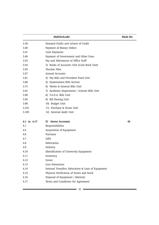| <b>PARTICULARS</b> |                                                    | PAGE NO. |
|--------------------|----------------------------------------------------|----------|
| 3.39               | Demand Drafts and Letters of Credit                |          |
| 3.40               | Payment of Money Orders                            |          |
| 3.41               | Cash Payments                                      |          |
| 3.49               | Payment of Government and Other Dues               |          |
| 3.53               | Pay and Allowances of Office Staff                 |          |
| 3.54               | 3) Books of Accounts Unit (Cash Book Unit)         |          |
| 3.55               | Voucher Files                                      |          |
| 3.57               | Annual Accounts                                    |          |
| 3.61               | 4) Pay Bills and Provident Fund Unit               |          |
| 3.68               | 5) Examination Bills Section                       |          |
| 3.73               | 6) Works & General Bills Unit                      |          |
| 3.81               | 7) Academic Department / Schools Bills Unit        |          |
| 3.90               | 8) T.A.D.A. Bills Unit                             |          |
| 3.94               | 9) Bill Passing Unit                               |          |
| 3.98               | 10) Budget Unit                                    |          |
| 3.101              | 11) Purchase & Stores Unit                         |          |
| 3.105              | 12) Internal Audit Unit                            |          |
| 4.1 to 4.17        | <b>IV - Stores Accounts</b>                        | 45       |
| 4.1                | Responsibilities                                   |          |
| 4.5                | Acquisition of Equipment                           |          |
| 4.6                | Purchase                                           |          |
| 4.7                | Gifts                                              |          |
| 4.8                | Fabrication                                        |          |
| 4.9                | Delivery                                           |          |
| 4.10               | Identification of University Equipment             |          |
| 4.11               | Inventory                                          |          |
| 4.12               | Issues                                             |          |
| 4.13               | Loss Prevention                                    |          |
| 4.14               | Internal Transfers, Relocation & Loan of Equipment |          |
| 4.15               | Physical Verification of Stores and Stock          |          |
| 4.16               | Disposal of Equipment / Material                   |          |
| 4.17               | Terms and Conditions for Agreement                 |          |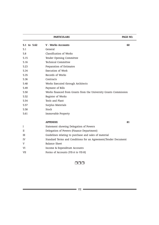|             | PAGE NO.                                                         |    |
|-------------|------------------------------------------------------------------|----|
| 5.1 to 5.62 | <b>V</b> - Works Accounts                                        | 60 |
| 5.1         | General                                                          |    |
| 5.8         | Classification of Works                                          |    |
| 5.15        | Tender Opening Committee                                         |    |
| 5.16        | <b>Technical Committee</b>                                       |    |
| 5.23        | Preparation of Estimates                                         |    |
| 5.34        | <b>Execution of Work</b>                                         |    |
| 5.35        | Records of Works                                                 |    |
| 5.36        | Contracts                                                        |    |
| 5.48        | Works Executed through Architects                                |    |
| 5.49        | Payment of Bills                                                 |    |
| 5.50        | Works financed from Grants from the University Grants Commission |    |
| 5.52        | Register of Works                                                |    |
| 5.54        | Tools and Plant                                                  |    |
| 5.57        | Surplus Materials                                                |    |
| 5.58        | Stock                                                            |    |
| 5.61        | Immovable Property                                               |    |
|             | <b>APPENDIX</b>                                                  | 81 |
| I           | Statement showing Delegation of Powers                           |    |
| П           | Delegation of Powers (Finance Department)                        |    |
| Ш           | Guidelines relating to purchase and sales of material            |    |
| IV          | Standard Terms and Conditions for an Agreement/Tender Document   |    |
| V           | <b>Balance Sheet</b>                                             |    |
| VI          | Income & Expenditure Accounts                                    |    |
| VII         | Forms of Accounts (VII-A to VII-H)                               |    |

# $\Box$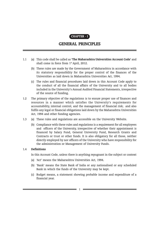

# GENERAL PRINCIPLES

- 1.1 (a) This code shall be called as 'The Maharashtra Universities Account Code' and shall come in force from 1st April, 2012.
	- (b) These rules are made by the Government of Maharashtra in accordance with its statutory responsibility for the proper control of the finances of the Universities as laid down in Maharashtra Universities Act, 1994.
	- (c) The rules and financial procedures laid down in this Account Code apply to the conduct of all the financial affairs of the University and to all bodies included in the University's Annual Audited Financial Statements, irrespective of the source of funding.
- 1.2 The primary objective of the regulations is to ensure proper use of finances and resources in a manner which satisfies the University's requirements for accountability, internal control, and the management of financial risk; and also fulfils any legal or financial obligations laid down by the Maharashtra Universities Act, 1994 and other funding agencies.
- 1.3 (a) These rules and regulations are accessible on the University Website.
	- (b) Compliance with these rules and regulations is a requirement for all employees and officers of the University, irrespective of whether their appointment is financed by Salary Fund, General University Fund, Research Grants and Contracts or trust or other funds. It is also obligatory for all those, neither directly employed by nor officers of the University who have responsibility for the administration or Management of University Funds.

## 1.4 Definitions

In this Account Code, unless there is anything repugnant in the subject or context

- (a) 'Act' means the Maharashtra Universities Act, 1994.
- (b) 'Bank' means the State Bank of India or any nationalised or any scheduled Bank in which the funds of the University may be kept.
- (c) Budget means, a statement showing probable income and expenditure of a financial year.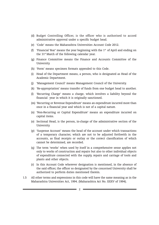- (d) Budget Controlling Officer, is the officer who is authorised to accord administrative approval under a specific budget head.
- (e) 'Code' means the Maharashtra Universities Account Code 2012.
- (f) 'Financial Year' means the year beginning with the  $1<sup>st</sup>$  of April and ending on the 31<sup>st</sup> March of the following calendar year.
- (g) Finance Committee means the Finance and Accounts Committee of the University.
- (h) 'Form' means specimen formats appended to this Code.
- (i) Head of the Department means, a person, who is designated as Head of the Academic Department.
- (j) 'Management Council' means Management Council of the University.
- (k) 'Re-appropriation' means transfer of funds from one budget head to another.
- (l) 'Recurring Charge' means a charge, which involves a liability beyond the financial year in which it is originally sanctioned.
- (m) 'Recurring or Revenue Expenditure' means an expenditure incurred more than once in a financial year and which is not of a capital nature.
- (n) 'Non-Recurring or Capital Expenditure' means an expenditure incurred on capital items.
- (o) Sectional Head, is the person, in-charge of the administrative section of the University.
- (p) 'Suspense Account' means the head of the account under which transactions of a temporary character, which are not to be adjusted forthwith in the accounts, as final receipts or outlay or the correct classification of which cannot be determined, are recorded.
- (q) The term 'works' when used by itself in a comprehensive sense applies not only to works of construction and repairs but also to other individual objects of expenditure connected with the supply, repairs and carriage of tools and plants and other objects.
- (r) In this Account Code wherever designation is mentioned, in the absence of the said officer, the officer so designated by the concerned University shall be authorized to perform duties mentioned therein.
- 1.5 All other terms and expressions in this code will have the same meaning as in the Maharashtra Universities Act, 1994. (Maharashtra Act No. XXXV of 1994).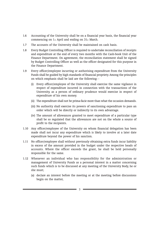- 1.6 Accounting of the University shall be on a financial year basis, the financial year commencing on 1st April and ending on 31st March.
- 1.7 The accounts of the University shall be maintained on cash basis.
- 1.8 Every Budget Controlling Officer is required to undertake reconciliation of receipts and expenditure at the end of every two months with the Cash-book Unit of the Finance Department. On agreement, the reconciliation statement shall be signed by Budget Controlling Officer as well as the officer designated for this purpose in the Finance Department.
- 1.9 Every officer/employee incurring or authorising expenditure from the University Funds shall be guided by high standards of financial propriety. Among the principles on which emphasis shall be laid are the following: -
	- (i) Every officer/employee of the University shall exercise the same vigilance in respect of expenditure incurred in connection with the transactions of the University, as a person of ordinary prudence would exercise in respect of expenditure of his own money.
	- (ii) The expenditure shall not be prima-facie more than what the occasion demands.
	- (iii) No authority shall exercise its powers of sanctioning expenditure to pass an order which will be directly or indirectly to its own advantage.
	- (iv) The amount of allowances granted to meet expenditure of a particular type shall be so regulated that the allowances are not on the whole a source of profit to the recipients.
- 1.10 Any officer/employee of the University on whom financial delegation has been made shall not incur any expenditure which is likely to involve at a later date expenditure beyond the power of his sanction.
- 1.11 No officer/employee shall without previously obtaining extra funds incur liability in excess of the amount provided in the budget under the respective heads of accounts. Where the officer exceeds the grant, he shall be held personally responsible for the same.
- 1.12 Whenever an individual who has responsibility for the administration or management of University Funds as a personal interest in a matter concerning such funds which is to be discussed at any meeting of the University Body, he or she must;
	- (a) declare an interest before the meeting or at the meeting before discussions begin on the matter,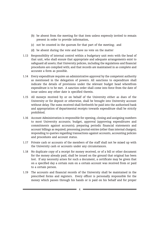- (b) be absent from the meeting for that item unless expressly invited to remain present in order to provide information,
- (c) not be counted in the quorum for that part of the meeting; and
- (d) be absent during the vote and have no vote on the matter
- 1.13 Responsibility of internal control within a budgetary unit rests with the head of that unit, who shall ensure that appropriate and adequate arrangements exist to safeguard all assets; that University policies, including the regulations and financial procedures are complied with; and that records are maintained in as complete and accurate a form as possible.
- 1.14 Every expenditure requires an administrative approval by the competent authority as mentioned in the delegation of powers. All sanctions to expenditure shall indicate the details of provisions under the relevant budget head wherefrom expenditure is to be met. A sanction order shall come into force from the date of issue unless any other date is specified therein.
- 1.15 All moneys received by or on behalf of the University either as dues of the University or for deposit or otherwise, shall be brought into University account without delay. The sums received shall forthwith be paid into the authorised bank and appropriation of departmental receipts towards expenditure shall be strictly prohibited.
- 1.16 Account Administration is responsible for opening, closing and assigning numbers to most University accounts; budget, approval (approving expenditures and commitments against accounts); preparing periodic financial statements and account billings as required; processing journal entries (other than internal charges); responding to queries regarding transactions against accounts, accounting policies and procedures and account status.
- 1.17 Private cash or accounts of the members of the staff shall not be mixed up with the University cash or accounts under any circumstances.
- 1.18 No duplicate copy of a receipt for money received, or of a bill or other document for the money already paid, shall be issued on the ground that original has been lost. If any necessity arises for such a document, a certificate may be given that on a specified day a certain sum on a certain account was received from or paid to a certain person.
- 1.19 The accounts and financial records of the University shall be maintained in the prescribed forms and registers. Every officer is personally responsible for the money which passes through his hands or is paid on his behalf and for proper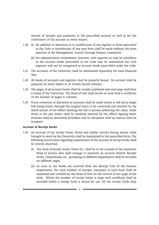records of receipts and payments in the prescribed account as well as for the correctness of the account in every respect.

- 1.20 (i) No addition or alteration in or modification of any register or form prescribed in the Code or introduction of any new form shall be made without the prior sanction of the Management Council through Finance Committee.
	- (ii) For administrative convenience, however, such registers as may be subsidiary to the account books prescribed in the Code may be maintained but such registers will not be recognized as account books prescribed under the Code.
- 1.21 The accounts of the University shall be maintained separately for each Financial Year.
- 1.22 All books of accounts and registers shall be properly bound. No account shall be prepared on loose sheets or in loosely bound volumes.
- 1.23 The pages of all account books shall be serially numbered and each page shall bear a stamp of the University. The Head of Unit shall record on each book a certificate of the number of pages it contains.
- 1.24 Every correction or alteration in accounts shall be made neatly in red ink (a single line being drawn through the original entry to be corrected) and attested by the dated initials of the officer drawing the bill or person preferring the claim, while those in the pay orders shall be similarly attested by the officer signing them. Erasures shall be absolutely forbidden and no document with an erasure shall be accepted.

#### Account of Receipt Books

- 1.25 An account of the receipt books, forms and similar articles having money value brought to stock by the University shall be maintained in the prescribed Form. The following instructions regarding maintenance of the account of receipt books shall be strictly observed: -
	- (i) The stock of receipt books, forms etc., shall be in the custody of the respective Head of section who shall arrange to maintain an account thereof. Receipt books, chequebooks etc., pertaining to different departments shall be recorded on different pages.
	- (ii) As soon as the books are received from the Receipt Unit of the Finance Department, the total number of receipts contained in each book shall be examined and certified by the Head of Unit on the reverse of last page of the book. Where the number of receipt books is large such certificate shall be recorded before a receipt book is issued for use. All the receipt books duly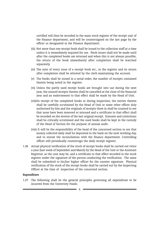certified will then be recorded in the main stock register of the receipt unit of the Finance department, and will be countersigned on the last page by the officer so designated in the Finance department.

- (iii) Not more than one receipt book shall be issued to the collection staff at a time unless it is immediately required for use. Fresh issues shall not be made until after the completed books are returned and when this is not always possible, the return of the book immediately after completion shall be watched separately.
- (iv) The note of every issue of a receipt book etc., in the register and its return after completion shall be attested by the clerk maintaining the account.
- (v) The books shall be issued in a serial order, the number of receipts contained therein being noted in the register.
- (vi) Unless the partly used receipt books are brought into use during the next year, the unused receipts therein shall be cancelled at the close of the financial year and an endorsement to that effect shall be made by the Head of Unit.
- (vii)On receipt of the completed books or during inspection, the entries therein shall be carefully scrutinised by the Head of Unit or some other officer duly authorised by him and the originals of receipts there in shall be counted to see that none have been removed or misused and a certificate to that effect shall be recorded on the reverse of the last original receipt. Erasures and corrections shall be critically scrutinised and the used books shall be kept in the custody of the Head of Section for the purpose of annual audit.
- (viii) It will be the responsibility of the head of the concerned section to see that money collected daily shall be deposited in the bank on the next working day, and to ensure the reconciliation with the finance department. Controlling officer will periodically countersign the daily receipt register.
- 1.26 Actual physical verification of the stock of receipt books shall be carried out twice a year (last week of September and March) by the Head of the Unit or the Assistant Registrar, as the case may be, and a certificate to that effect recorded in the stock register under the signature of the person conducting the verification. The same shall be submitted to his/her higher officer for the counter signature. Physical verification of the stock of the receipt books shall be carried out by the Inspecting Officer at the time of inspection of the concerned section.

#### Expenditure

1.27 The following shall be the general principles governing all expenditure to be incurred from the University Funds.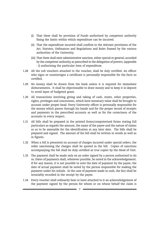- (i) That there shall be provision of Funds authorised by competent authority fixing the limits within which expenditure can be incurred.
- (ii) That the expenditure incurred shall confirm to the relevant provisions of the Act, Statutes, Ordinances and Regulations and Rules framed by the various authorities of the University.
- (iii) That there shall exist administrative sanction, either special or general, accorded by the competent authority, as prescribed in the delegation of powers, (appendix - I) authorising the particular item of expenditure.
- 1.28 All the sub vouchers attached to the voucher, shall be duly certified. An officer who signs or countersigns a certificate is personally responsible for the facts so certified.
- 1.29 No money shall be drawn from the bank unless it is required for immediate disbursements. It shall be objectionable to draw money and to keep it in deposit to avoid lapse of budgeted grant.
- 1.30 All transactions involving giving and taking of cash, stores, other properties, rights, privileges and concessions, which have monetary value shall be brought to account under proper head. Every University officer is personally responsible for the money which passes through his hands and for the proper record of receipts and payments in the prescribed accounts as well as for the correctness of the accounts in every respect.
- 1.31 All bills shall be prepared in the printed forms/computerised forms stating full particulars as regards the amount, the name of the payee and the nature of claims so as to be amenable for the identification at any later date. The bills shall be prepared and signed. The amount of the bill shall be written in words as well as in figures.
- 1.32 When a bill is presented on account of charges incurred under special orders, the order sanctioning the charges shall be quoted in the bill. Copies of sanctions accompanying the bill shall be duly certified as true copies by the Head of Unit.
- 1.33 The payment shall be made only on an order signed by a person authorised to do so. Dates of payments shall, wherever possible, be noted in the acknowledgement. If for any reason, it is not possible to note the date of payment by the payee, the date of actual payment shall be noted by the person responsible for making the payment under his initials. In the case of payment made in cash, the fact shall be invariably recorded in the receipt by the payee.
- 1.34 Every voucher shall ordinarily bear or have attached to it an acknowledgement of the payment signed by the person for whom or on whose behalf the claim is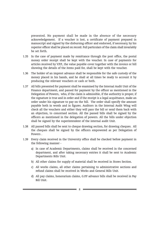presented. No payment shall be made in the absence of the necessary acknowledgement. If a voucher is lost, a certificate of payment prepared in manuscript and signed by the disbursing officer and endorsed, if necessary, by his superior officer shall be placed on record. Full particulars of the claim shall invariably be set forth.

- 1.35 In the case of payment made by remittance through the post office, the postal money order receipt shall be kept with the voucher. In case of payments for articles received by V.P.P., the value payable cover together with the invoice or bill showing the details of the items paid for, shall be kept with the voucher.
- 1.36 The holder of an imprest advance shall be responsible for the safe custody of the money placed in his hands, and he shall at all times be ready to account it by producing the relevant vouchers or cash or both.
- 1.37 All bills presented for payment shall be examined by the Internal Audit Unit of the Finance department, and passed for payment by the officer as mentioned in the Delegation of Powers, who, if the claim is admissible, if the authority is proper, if the signature is true and in order and if the receipt is a legal acquittance, make an order under his signature to pay on the bill. The order shall specify the amount payable both in words and in figures. Auditors in the Internal Audit Wing will check all the vouchers and either they will pass the bill or send them back with an objection, to concerned section. All the passed bills shall be signed by the officers as mentioned in the delegation of powers. All the bills under objection shall be signed by the superintendent of the internal audit Unit.
- 1.38 All passed bills shall be sent to cheque drawing section, for drawing cheques. All the cheques shall be signed by the officers empowered as per Delegation of Powers .
- 1.39 Every claim received in the University office shall be checked before payment in the following manner
	- a) In case of Academic Departments, claims shall be received in the concerned department, and after taking necessary entries it shall be sent to Academic Departments Bills Unit.
	- b) All other claims for supply of material shall be received in Stores Section.
	- c) All works claims, all other claims pertaining to administrative sections and refund claims shall be received in Works and General Bills Unit.
	- d) All pay claims, honorarium claims, G.P.F advance bills shall be received in Pay Bill Unit.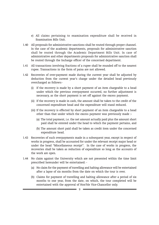- e) All claims pertaining to examination expenditure shall be received in Examination Bills Unit.
- 1.40 All proposals for administrative sanctions shall be routed through proper channel. In the case of the academic departments, proposals for administrative sanction shall be routed through the Academic Department Bills Unit. In case of administrative and other departments proposals for administrative sanction shall be routed through the Incharge officer of the concerned department.
- 1.41 All transactions involving fractions of a rupee shall be rounded off to the nearest rupee. Transactions in the form of paisa are not allowed.
- 1.42 Recoveries of over-payment made during the current year shall be adjusted by deduction from the current year's charge under the detailed head previously overcharged as follows:-
	- (i) If the recovery is made by a short payment of an item chargeable to a head under which the previous overpayment occurred, no further adjustment is necessary, as the short payment is set off against the excess payment.
	- (ii) If the recovery is made in cash, the amount shall be taken to the credit of the concerned expenditure head and the expenditure will stand reduced.
	- (iii) If the recovery is effected by short payment of an item chargeable to a head other than that under which the excess payment was previously made :-
		- (a) The total payment, i.e. the net amount actually paid plus the amount short paid shall be entered under the head to which the payment pertains, and
		- (b) The amount short paid shall be taken as credit item under the concerned expenditure head.
- 1.43 Recoveries of such overpayments made in a subsequent year, except in respect of works in progress, shall be accounted for under the relevant receipt major head or under the head "Miscellaneous receipt". In the case of works in progress, the recoveries shall be taken as reduction of expenditure so long as the accounts of the work are open.
- 1.44 No claim against the University which are not presented within the time limit prescribed hereunder will be entertained: -
	- (a) No claim for the payment of travelling and halting allowance will be entertained after a lapse of six months from the date on which the tour is over.
	- (b) Claims for payment of travelling and halting allowance after a period of six months to one year, from the date, on which, the tour completed will be entertained with the approval of Hon'ble Vice-Chancellor only.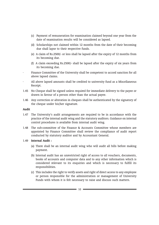- (c) Payment of remuneration for examination claimed beyond one year from the date of examination results will be considered as lapsed.
- (d) Scholarships not claimed within 12 months from the date of their becoming due shall lapse to their respective funds.
- (e) A claim of Rs.2500/- or less shall be lapsed after the expiry of 12 months from its becoming due.
- (f) A claim exceeding Rs.2500/- shall be lapsed after the expiry of six years from its becoming due.
- · Finance Committee of the University shall be competent to accord sanction for all above lapsed claims.
- All above lapsed amounts shall be credited to university fund as a Miscellaneous Receipt.
- 1.45 No Cheque shall be signed unless required for immediate delivery to the payee or drawn in favour of a person other than the actual payee.
- 1.46 Any correction or alteration in cheques shall be authenticated by the signatory of the cheque under his/her signature.

## Audit

- 1.47 The University's audit arrangements are required to be in accordance with the practice of the internal audit wing and the statutory auditors. Guidance on internal control procedures is available from internal audit wing.
- 1.48 The sub-committee of the Finance & Accounts Committee whose members are appointed by Finance Committee shall review the compliance of audit report conducted by statutory auditor and by Accountant General.

## 1.49 Internal Audit :

- (a) There shall be an internal audit wing who will audit all bills before making payment.
- (b) Internal audit has an unrestricted right of access to all vouchers, documents, books of accounts and computer data and to any other information which is considered relevant to its enquiries and which is necessary to fulfill its responsibilities.
- (c) This includes the right to verify assets and right of direct access to any employee or person responsible for the administration or management of University Funds with whom it is felt necessary to raise and discuss such matters.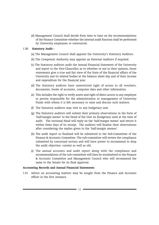(d) Management Council shall decide from time to time on the recommendations of the Finance Committee whether the internal audit function shall be performed by University employees or outsourced.

## 1.50 Statutory Audit :

- (a] The Management Council shall appoint the University's Statutory Auditors.
- (b) The Competent Authority may appoint an External Auditors if required.
- (c) The Statutory auditors audit the Annual Financial Statement of the University and report to the Vice-Chancellor as to whether or not in their opinion, those statements give a true and fair view of the State of the financial affairs of the University and its related bodies at the balance sheet day and of their income and expenditure for the financial year.
- (d) The Statutory auditors have unrestricted right of access to all vouchers, documents, books of accounts, computer data and other information.
- (e) This includes the right to verify assets and right of direct access to any employee or person responsible for the administration or management of University Funds with whom it is felt necessary to raise and discuss such matters.
- (f) The Statutory auditors may visit to any budgetary unit.
- (g) The Statutory auditors will submit their primary observations in the form of 'half-margin memo' to the Head of the Unit on (budgetary unit) at the time of audit. The sectional Head will reply on the 'half-margin memo' and return it within three days of its receipt. The auditors will finalise their observations after considering the replies given to the 'half-margin memos'.
- (h) The audit report so finalised will be submitted to the Sub-Committee of the Finance & Accounts Committee. The sub-committee will review the compliance submitted by concerned section and will have power to recommend to drop the audit objection- current as well as old.
- (i) The annual accounts and audit report along with the compliance and recommendations of the sub-committee will then be resubmitted to the Finance & Accounts Committee and Management Council who will recommend the same to the Senate for its final approval.

## Accounting Records and Annual Financial Statements

1.51 Advice on accounting matters may be sought from the Finance and Accounts officer in the first instance.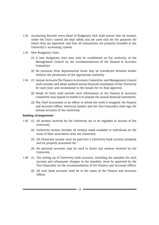- 1.52 Accounting Records every Head of Budgetary Unit shall ensure that all moneys under the Unit's control are kept safely, and are used only for the purposes for which they are approved; and that all transactions are properly recorded in the University's accounting system.
- 1.53 New Budgetary Units.
	- (1) A new Budgetary Unit may only be established on the authority of the Management Council on the recommendations of the Finance & Accounts Committee.
	- (2) No resources from departmental funds may be transferred between bodies without the permission of the appropriate authority.
- 1.54 (1) Annual Accounts-The Finance & Accounts Committee, and Management Council shall consider and adopt audited annual financial statements of the University for each year; and recommend to the Senate for its final approval.
	- (2) Heads of Units shall provide such information as the Finance & Accounts Committee may require to enable it to prepare the annual financial statements.
	- (3) The Chief Accountant or an officer to whom the work is assigned, the Finance and Accounts Officer, Statutory Auditor and the Vice-Chancellor shall sign the annual accounts of the university.

#### Banking Arrangements

- 1.55 (1) All moneys received by the University are to be regarded as income of the University.
	- (2) University income includes all moneys made available to individuals on the basis of their association with the University.
	- (3) All University income must be paid into a University bank account promptly and be properly accounted for.
	- (4) No personal accounts may be used to divert any moneys received by the University.
- 1.56 (1) The setting up of University bank accounts, including the mandate for each account and subsequent changes to the mandate, must be approved by the Vice-Chancellor on the recommendation of the Finance and Accounts Officer.
	- (2) All such bank accounts shall be in the name of the Finance and Accounts Officer.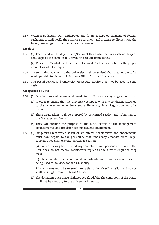1.57 When a Budgetary Unit anticipates any future receipt or payment of foreign exchange, it shall notify the Finance Department and arrange to discuss how the foreign exchange risk can be reduced or avoided.

## Receipts

1.58 (1) Each Head of the department/Sectional Head who receives cash or cheques shall deposit the same in to University account immediately.

(2) Concerned Head of the department/Sectional Head is responsible for the proper accounting of all receipts.

- 1.59 Those making payment to the University shall be advised that cheques are to be made payable to 'Finance & Accounts Officer" of the University.
- 1.60 The postal service and University Messenger Service must not be used to send cash.

## Acceptance of Gifts

- 1.61 (1) Benefactions and endowments made to the University may be given on trust.
	- (2) In order to ensure that the University complies with any conditions attached to the benefaction or endowment, a University Trust Regulation must be made.
	- (3) These Regulations shall be prepared by concerned section and submitted to the Management Council.
	- (4) They will include the purpose of the fund, details of the management arrangements, and provision for subsequent amendment.
- 1.62 (1) Budgetary Units which solicit or are offered benefactions and endowments must have regard to the possibility that funds may emanate from illegal sources. They shall exercise particular caution:-

(a) where, having been offered large donations from persons unknown to the Unit, they do not receive satisfactory replies to the further enquiries they make;

(b) where donations are conditional on particular individuals or organisations being used to do work for the University;

All such cases must be referred promptly to the Vice-Chancellor, and advice shall be sought from the Legal Advisor.

(2) The donations once made shall not be refundable. The conditions of the donor shall not be contrary to the university interests.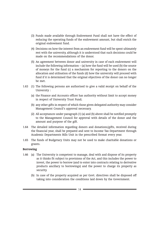- (3) Funds made available through Endowment Fund shall not have the effect of reducing the operating funds of the endowment amount, but shall enrich the original endowment fund.
- (4) Decisions on how the interest from an endowment fund will be spent ultimately rest with the university, although it is understood that such decisions could be made on the recommendations of the donor.
- (5) An agreement between donor and university in case of each endowment will include the following information  $-$  (a) how the fund will be used (b) the source of moneys for the fund (c) a mechanism for reporting to the donors on the allocation and utilisation of the funds (d) how the university will proceed with fund if it is determined that the original objectives of the donor can no longer be met.
- 1.63 (1) The following persons are authorised to give a valid receipt on behalf of the University :
	- (a) the Finance and Accounts officer has authority without limit to accept money in respect of University Trust Fund;
	- (b) any other gifts in respect of which those given delegated authority may consider Management Council's approval necessary.
	- (2) All acceptances under paragraph (1) (a) and (b) above shall be notified promptly to the Management Council for approval with details of the donor and the amount and purpose of the gift.
- 1.64 The detailed information regarding donors and donations/gifts, received during the financial year, shall be prepared and sent to Income Tax Department through Academic Departments Bills Unit in the prescribed format every year.
- 1.65 The funds of Budgetary Units may not be used to make charitable donations or grants.

## Borrowing

- 1.66 (a) The University is competent to manage, deal with and dispose of its property as it thinks fit subject to provisions of the Act, and this includes the power to invest, the power to borrow (and to enter into contracts relating to derivative products ancillary to borrowings) and the power to charge its property as security.
	- (b) In case of the property acquired as per Govt. directives shall be disposed off taking into consideration the conditions laid down by the Government.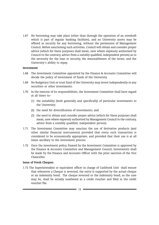1.67 No borrowing may take place (other than through the operation of an overdraft which is part of regular banking facilities), and no University assets may be offered as security for any borrowing, without the permission of Management Council. Before sanctioning such activities, Council will obtain and consider proper advice (which for these purposes shall mean, save where expressly authorised by Council to the contrary, advice from a suitably qualified, independent person) as to the necessity for the loan or security, the reasonableness of the terms, and the University's ability to repay.

## Investment

- 1.68 The Investment Committee appointed by the Finance & Accounts Committee will decide the policy of investment of funds of the University.
- 1.69 No Budgetary Unit or trust fund of the University may invest independently in any securities or other investments.
- 1.70 In the exercise of its responsibilities, the Investment Committee shall have regard at all times to:-
	- (1) the suitability (both generally and specifically) of particular investments to the University;
	- (2) the need for diversification of investments; and
	- (3) the need to obtain and consider proper advice (which for these purposes shall mean, save where expressly authorised by Management Council to the contrary, advice from a suitably qualified, independent person).
- 1.71 The Investment Committee may sanction the use of derivative products (and other similar financial instruments) provided that every such transaction is considered to be economically appropriate, and provided that their use is at all times ancillary to the investment process.
- 1.72 Once the investment policy, framed by the Investment Committee is approved by the Finance & Accounts Committee and Management Council, investments shall be made by the Finance and Accounts Officer with the prior sanction of the Vice Chancellor.

## Issue of Fresh Cheques

1.73 The Superintendent or equivalent officer in charge of Cashbook Unit shall ensure that whenever a Cheque is reversed, the entry is supported by the actual cheque or an indemnity bond. The cheque reversed or the indemnity bond, as the case may be, shall be serially numbered as a credit voucher and filed in the credit voucher file.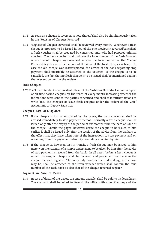- 1.74 As soon as a cheque is reversed, a note thereof shall also be simultaneously taken in the 'Register of Cheques Reversed'.
- 1.75 'Register of Cheques Reversed' shall be reviewed every month. Whenever a fresh cheque is proposed to be issued in lieu of the one previously reversed/cancelled, a fresh voucher shall be prepared by concerned unit, who had prepared original voucher. The fresh voucher shall indicate the folio number of the Cash Book on which the old cheque was reversed as also the folio number of the Cheque Reversed Register on which a note of the issue of the fresh cheques is taken. In case the old cheque was lost/misplaced, the advice of the bank regarding stop payment shall invariably be attached to the voucher. If the cheque is to be cancelled, the fact that no fresh cheque is to be issued shall be mentioned against the relevant column in the register.

## Stale Cheques

1.76 The Superintendent or equivalent officer of the Cashbook Unit shall submit a report of all time-barred cheques on the tenth of every month indicating whether the intimations were sent to the parties concerned and shall take further actions to write back the cheques or issue fresh cheques under the orders of the Chief Accountant or Deputy Registrar.

#### Cheques Lost or Misplaced

- 1.77 If the cheque is lost or misplaced by the payee, the bank concerned shall be advised immediately to stop payment thereof. Normally a fresh cheque shall be issued only after the expiry of the period of six months from the date of issue of the cheque. Should the payee, however, desire the cheque to be issued to him earlier, it shall be issued only after the receipt of the advice from the bankers to the effect that they have taken note of the instructions to stop payment and on obtaining from the payee an indemnity bond duly executed by him.
- 1.78 If the cheque is, however, lost in transit, a fresh cheque may be issued to him merely on the strength of a simple undertaking to be given by him after the advice of stop payment is received from the bank. In all cases, before a fresh cheque is issued the original cheque shall be reversed and proper entries made in the cheque reversed register. The indemnity bond or the undertaking, as the case may be, shall be attached to the fresh voucher which shall contain the folio number of the cash book as also that of the cheque reversed register.

#### Payment in Case of Death

1.79 In case of death of the payee, the amount payable, shall be paid to his legal heirs. The claimant shall be asked to furnish the office with a certified copy of the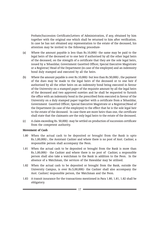Probate/Succession Certificate/Letters of Administration, if any, obtained by him together with the original one which shall be returned to him after verification. In case he has not obtained any representation to the estate of the deceased, his attention may be invited to the following procedure-

- (a) Where the amount payable is less than Rs.10,000/- the same may be paid to the legal heirs of the deceased or to one heir if authorised by all the other legal heirs of the deceased, on the strength of a certificate that they are the sole legal heirs, issued by a Tehasildar, Government Gazetted Officer, Special Executive Magistrate or a Registrar/ Head of the Department (in case of the employee) and an indemnity bond duly stamped and executed by all the heirs.
- (b) Where the amount payable is over Rs.10,000/- but less than Rs.50,000/-, the payment of the dues may be made to the legal heirs of the deceased or to one heir if authorised by all the other heirs on an indemnity bond being executed in favour of the University on a stamped paper of the requisite amount by all the legal heirs of the deceased and two approved sureties and he shall be requested to furnish the office with an indemnity bond in the prescribed form executed in favour of the University on a duly stamped paper together with a certificate from a Tehasildar, Government Gazetted Officer, Special Executive Magistrate or a Registrar/Head of the Department (in case of the employee) to the effect that he is the sole legal heir to the estate of the deceased. In case there are more heirs than one, the certificate shall state that the claimants are the only legal heirs to the estate of the deceased.
- (c) A claim exceeding Rs. 50,000/- may be settled on production of succession certificate from the competent authority.

## Movement of Cash

- 1.80 When the actual cash to be deposited or brought from the Bank is upto Rs.1,00,000/-, the Assistant Cashier and where there is no post of Asst. Cashier, a responsible person shall accompany the Peon.
- 1.81 When the actual cash to be deposited or brought from the Bank is more than Rs.1,00,000/- the Cashier and where there is no post of Cashier, a responsible person shall also take a watchman to the Bank in addition to the Peon. In the absence of a Watchman, the services of the Hawaldar may be utilised.
- 1.82 When the actual cash to be deposited or brought from the Bank, outside the University Campus, is over Rs.5,00,000/- the Cashier shall also accompany the Asst. Cashier/ responsible person, the Watchman and the Peon.
- 1.83 A transit insurance for the transactions mentioned in Para 1.80, 1.81, 1.82 shall be obligatory.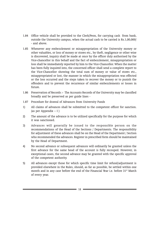- 1.84 Office vehicle shall be provided to the Clerk/Peon, for carrying cash from bank, outside the University campus, when the actual cash to be carried is Rs.1,00,000/ - and above.
- 1.85 Whenever any embezzlement or misappropriation of the University money or other valuables, or loss of money or stores etc., by theft, negligence or other wise is discovered, inquiry shall be made at once by the officer duly authorised by the Vice-chancellor in this behalf and the fact of embezzlement, misappropriation or loss shall be immediately reported by him to the Vice-Chancellor. When the matter has been fully inquired into, the concerned officer shall send a complete report to the Vice-Chancellor showing the total sum of money or value of stores etc., misappropriated or lost, the manner in which the misappropriation was effected or the loss occurred and the steps taken to recover the money or to punish the offenders and to prevent the recurrence of similar embezzlements or losses in future.
- 1.86 Preservation of Records :- The Accounts Records of the University may be classified broadly and be preserved as per guide lines -
- 1.87 Procedure for drawal of Advances from University Funds
- 1) All claims of advances shall be submitted to the competent officer for sanction. (as per Appendix – I )
- 2) The amount of the advance is to be utilized specifically for the purpose for which it was sanctioned.
- 3) Advances will generally be issued to the responsible person on the recommendations of the Head of the Sections / Departments. The responsibility for adjustment of these advances shall be on the Head of the Department / Section who recommended the advances. Register in prescribed form should be maintained by the Head of Department.
- 4) No second advance or subsequent advances will ordinarily be granted unless the first advance for the same head of the account is fully recouped. However, in exceptional cases, the second advance may be granted with the specific approval of the competent authority.
- 5) All advances except those for which specific time limit for refund/adjustment is provided elsewhere in the Rules, should, as far as possible, be settled within one month and in any case before the end of the Financial Year i.e. before 31<sup>st</sup> March of every year.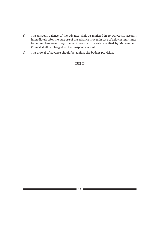- 6) The unspent balance of the advance shall be remitted in to University account immediately after the purpose of the advance is over. In case of delay in remittance for more than seven days, penal interest at the rate specified by Management Council shall be charged on the unspent amount.
- 7) The drawal of advance should be against the budget provision.

# $\Box \Box \Box$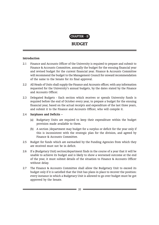

# **BUDGET**

## Introduction

- 2.1 Finance and Accounts Officer of the University is required to prepare and submit to Finance & Accounts Committee, annually the budget for the ensuing financial year and revised budget for the current financial year. Finance & Accounts Committee will recommend the budget to the Management Council for onward recommendation of the same to the Senate for its final approval.
- 2.2 All Heads of Units shall supply the Finance and Accounts officer, with any information requested for the University's annual budgets, by the dates stated by the Finance and Accounts Officer.
- 2.3 Delegated Budgets Each section which receives or spends University funds is required before the end of October every year, to prepare a budget for the ensuing financial year, based on the actual receipts and expenditure of the last three years, and submit it to the Finance and Accounts Officer, who will compile it.

## 2.4 Surpluses and Deficits –

- (a) Budgetary Units are required to keep their expenditure within the budget provision made available to them.
- (b) A section /department may budget for a surplus or deficit for the year only if this is inconsistent with the strategic plan for the division, and agreed by Finance & Accounts Committee.
- 2.5 Budget for funds which are earmarked by the Funding Agencies from which they are received must not be in deficit.
- 2.6 If a (Budgetary Unit) section/department finds in the course of a year that it will be unable to achieve its budget and is likely to show a worsened outcome at the end of the year, it must submit details of the situation to Finance & Accounts Officer without delay.
- 2.7 The Finance & Accounts Committee shall allow the Budgetary Unit to exceed its budget only if it is satisfied that the Unit has plans in place to recover the position: every instance in which a Budgetary Unit is allowed to go over budget must be got approved by the Senate.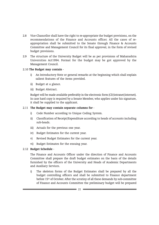- 2.8 Vice-Chancellor shall have the right to re-appropriate the budget provisions, on the recommendations of the Finance and Accounts officer. All the cases of reappropriation shall be submitted to the Senate through Finance & Accounts Committee and Management Council for its final approval, in the form of revised budget provisions.
- 2.9 The structure of the University Budget will be as per provisions of Maharashtra Universities Act1994. Format for the budget may be got approved by the Management Council.

## 2.10 The Budget may contain -

- i) An Introductory Note or general remarks at the beginning which shall explain salient features of the items provided.
- ii) Budget at a glance.
- iii) Budget Abstract.

Budget will be made available preferably in the electronic form (CD/intranet/internet). In case hard copy is required by a Senate Member, who applies under his signature, it shall be supplied to the applicant.

## 2.11 The Budget may contain separate columns for -

- i) Code Number according to Unique Coding System.
- ii) Classification of Receipt/Expenditure according to heads of accounts including sub-heads.
- iii) Actuals for the previous one year.
- iv) Budget Estimates for the current year.
- v) Revised Budget Estimates for the current year.
- vi) Budget Estimates for the ensuing year.

## 2.12 Budget Schedule -

The Finance and Accounts Officer under the direction of Finance and Accounts Committee shall prepare the draft budget estimates on the basis of the details furnished by the officers of the University and Heads of Academic Departments and Auxiliary Services.

i) The skeleton forms of the Budget Estimates shall be prepared by all the budget controlling officers and shall be submitted to Finance department before 15<sup>th</sup> of October. After the scrutiny of all these demands by sub-committee of Finance and Accounts Committee the preliminary budget will be prepared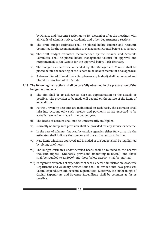by Finance and Accounts Section up to 15<sup>th</sup> December after the meetings with all Heads of Administrative, Academic and other departments / sections.

- ii) The draft budget estimates shall be placed before Finance and Accounts Committee for the recommendation to Management Council before 31st January.
- iii) The draft budget estimates recommended by the Finance and Accounts Committee shall be placed before Management Council for approval and recommended to the Senate for the approval before 15th February.
- iv) The budget estimates recommended by the Management Council shall be placed before the meeting of the Senate to be held in March for final approval.
- v) A demand for additional funds (Supplementary budget) shall be prepared and placed for sanction of the Senate.

## 2.13 The following instructions shall be carefully observed in the preparation of the budget estimates :-

- i) The aim shall be to achieve as close an approximation to the actuals as possible. The provision to be made will depend on the nature of the items of expenditure.
- ii) As the University accounts are maintained on cash basis, the estimates shall take into account only such receipts and payments as are expected to be actually received or made in the budget year.
- iii) The heads of account shall not be unnecessarily multiplied.
- iv) Normally no lump sum provision shall be provided for any service or scheme.
- v) In the case of schemes financed by outside agencies either fully or partly, the estimates shall indicate the sources and the estimated contribution.
- vi) New items which are approved and included in the budget shall be highlighted by giving brief notes.
- vii) The budget estimates under detailed heads shall be rounded to the nearest thousand rupees. Ordinarily, provisions amounting to Rs.500/- and above shall be rounded to Rs.1000/- and those below Rs.500/- shall be omitted.
- viii) In regard to estimates of expenditure of each General Administration, Academic Department and Auxiliary Service Unit shall be divided into two parts viz. Capital Expenditure and Revenue Expenditure. Moreover, the subheadings of Capital Expenditure and Revenue Expenditure shall be common as far as possible.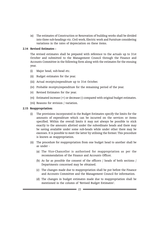ix) The estimates of Construction or Renovation of building works shall be divided into three sub-headings viz. Civil work, Electric work and Furniture considering variations in the rates of depreciation on these items.

## 2.14 Revised Estimates :

The revised estimates shall be prepared with reference to the actuals up to 31st October and submitted to the Management Council through the Finance and Accounts Committee in the following form along with the estimates for the ensuing year.

- (i) Major head, sub-head etc.
- (ii) Budget estimates for the year.
- (iii) Actual receipts/expenditure up to 31st October.
- (iv) Probable receipts/expenditure for the remaining period of the year.
- (v) Revised Estimates for the year.
- (vi) Estimated increase (+) or decrease (-) compared with original budget estimates.
- (vii) Reasons for revision / variation.

## 2.15 Reappropriation:

- (i) The provisions incorporated in the Budget Estimates specify the limits for the amounts of expenditure which can be incurred on the services or items specified. Within the overall limits it may not always be possible to stick exactly to the amounts allotted under the subordinate heads and there may be saving available under some sub-heads while under other there may be excesses. It is possible to meet the latter by utilising the former. This procedure is known as reappropriation.
- (ii) The procedure for reappropriation from one budget head to another shall be as under -
	- (a) The Vice-Chancellor is authorised for reappropriation as per the recommendation of the Finance and Accounts Officer.
	- (b) As far as possible the consent of the officers / heads of both sections / Departments concerned may be obtained.
	- (c) The changes made due to reappropriation shall be put before the Finance and Accounts Committee and the Management Council for information.
	- (d) The changes in budget estimates made due to reappropriation shall be mentioned in the column of 'Revised Budget Estimates'.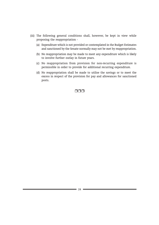- (iii) The following general conditions shall, however, be kept in view while proposing the reappropriation -
	- (a) Expenditure which is not provided or contemplated in the Budget Estimates and sanctioned by the Senate normally may not be met by reappropriation.
	- (b) No reappropriation may be made to meet any expenditure which is likely to involve further outlay in future years.
	- (c) No reappropriation from provision for non-recurring expenditure is permissible in order to provide for additional recurring expenditure.
	- (d) No reappropriation shall be made to utilise the savings or to meet the excess in respect of the provision for pay and allowances for sanctioned posts.

## nnn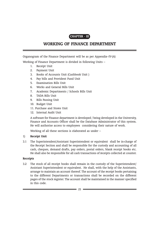# CHAPTER - III

# WORKING OF FINANCE DEPARTMENT

Organogram of the Finance Department will be as per Appendix–IV-(A)

Working of Finance Department is divided in following Units –

- 1. Receipt Unit
- 2. Payment Unit
- 3. Books of Accounts Unit (Cashbook Unit )
- 4. Pay bills and Provident Fund Unit
- 5. Examination Bills Unit
- 6. Works and General Bills Unit
- 7. Academic Departments / Schools Bills Unit
- 8. TADA Bills Unit
- 9. Bills Passing Unit
- 10. Budget Unit
- 11. Purchase and Stores Unit
- 12. Internal Audit Unit

A software for Finance department is developed / being developed in the University, Finance and Accounts Officer shall be the Database Administrator of this system. He will authorise access to employees considering their nature of work.

Working of all these sections is elaborated as under –

## 1) Receipt Unit

3.1 The Superintendent/Assistant Superintendent or equivalent shall be in-charge of the Receipt Section and shall be responsible for the custody and accounting of all cash, cheques, demand drafts, pay orders, postal orders, blank receipt books etc. He shall also be responsible for all cash transactions of receipts collected at counter.

## Receipts

3.2 The stock of all receipt books shall remain in the custody of the Superintendent/ Assistant Superintendent or equivalent. He shall, with the help of the Assistants, arrange to maintain an account thereof. The account of the receipt books pertaining to the different Departments or transactions shall be recorded on the different pages of the stock register. The account shall be maintained in the manner specified in this code.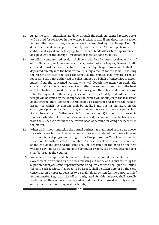- 3.3 As all the cash transactions are done through the Bank, no printed receipt books will be used for collection in the Receipt Section. In case if any department/section requires the receipt book, the same shall be supplied by the Receipt Unit. No department shall get it printed directly from the Press. The receipt book will be certified and signed on the last page by the Superintendent/Assistant Superintendent or equivalent of the Receipt Unit before it is issued for actual use.
- 3.4 An official computerised receipts shall be issued for all moneys received on behalf of the University including money orders, postal orders, Cheques, Demand Drafts etc., and transfers from one fund to another by cheque. No amount shall be deposited directly into the bank without issuing a receipt for the same. In issuing the receipts for cash, the clerk concerned at the counter shall prepare a challan requesting the bank authorised to collect money on behalf of University, to accept money from the concerned person, who will deposit the money in Bank. The challan shall be treated as a receipt only after the amount is remitted in the bank and the challan is signed by the bank authority, and the entry is taken in the scroll submitted by bank to University. In case of the cheque/draft/postal order etc. final receipt will be issued by the Receipt Section, which will be subject to the realisation of the cheque/draft. Concerned clerk shall also ascertain and record the head of account to which the amount shall be credited and put his signature on the challan/receipt issued by him. In case, an amount is received without any particulars, it shall be credited to "other receipts" (suspense account) in the first instance. As soon as particulars of the remittance are received, the amount shall be transferred from the suspense account to the correct head of account for doing the needful in the matter.
- 3.5 When bank is not transacting the normal business as mentioned in the para above, the cash transactions will be carried out at the cash counter of the University using the computerised programme designed for this purpose. A Cash Receipt shall be issued for the cash collected at Counter. The cash so collected shall be reconciled at the end of the day and the same shall be deposited in the bank on the next working day . In case of failure of the computer system, the printed receipt books shall be used at the counter.
- 3.6 No advance receipt shall be issued unless it is required under the rules of Government, or required by the funds releasing authority, and is authorised by the Superintendent/Assistant Superintendent or equivalent who shall put his initials thereon. Such receipts, if allowed to be issued, shall be taken note of by the clerk concerned, in a separate register to be maintained by him for the purpose. Chief Accountant/Dy. Registrar/ the officer designated for this purpose, shall actually verify that all the amounts for which advanced receipts are issued, are duly credited on the dates mentioned against each entry.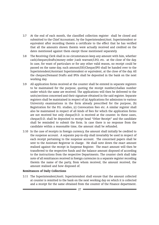- 3.7 At the end of each month, the classified collection register shall be closed and submitted to the Chief Accountant, by the Superintendent/Asst. Superintendent or equivalent after recording therein a certificate to the effect that he has verified that all the amounts shown therein were actually received and credited on the dates mentioned against them except those mentioned separately.
- 3.8 The Receiving Clerk shall in no circumstances keep any amount with him, whether cash/cheques/drafts/money order /cash warrant/I.P.O, etc. -at the close of the day. In case, for want of particulars or for any other valid reason, no receipt could be passed on the same day, such amount/DD/Cheque/IPO shall be handed over to the Superintendent/Assistant Superintendent or equivalent, at the close of the day. All the cheques/Demand Drafts and IPOs shall be deposited in the bank on the next working day.
- 3.9 All application forms received at the counter shall be entered in separate registers to be maintained for the purpose, quoting the receipt number/challan number under which the same are received. The applications will then be delivered to the units/sections concerned and their signature obtained in the said register. Separate registers shall be maintained in respect of (a) Applications for admission to various University examinations in the form already prescribed for the purpose, (b) Registration for the P.G. studies, (c) Convocation fees etc. A similar register shall also be maintained in respect of all kinds of fees for which the application forms are not received but only cheque/D.D. is received at the counter. In these cases, cheque/D.D. shall be deposited to receipt head "Other Receipt" and the candidate shall be reminded to submit the form. In case there is no response from the candidate within a reasonable time, the amount shall be refunded.
- 3.10 In the case of receipts in foreign currency, the amount shall initially be credited to the suspense account. A separate pay-in-slip shall invariably be used in respect of each receipt pertaining to the suspense account. The concerned papers shall be sent to the Assistant Registrar in charge. He shall note down the exact amount realised against the receipt in Suspense Register. The exact amount will then be transferred to the respective funds and the balance amount disposed of according to the instructions from the respective Departments. The counter clerk shall take note of all remittances received in foreign currencies in a separate register recording therein the name of the party, from whom received, the amount received, the amount realised and how disposed of.

## Remittances of Daily Collections

3.11 The Superintendent/Asstt. Superintendent shall ensure that the amount collected at counter is remitted to the bank on the next working day on which it is collected and a receipt for the same obtained from the counter of the Finance department.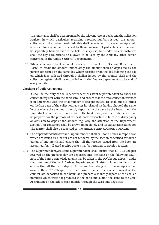The remittance shall be accompanied by the relevant receipt books and the Collection Register in which particulars regarding : receipt numbers issued, the amount collected and the budget head creditable shall be recorded. In case no receipt could be issued for any amount received by them, for want of particulars, such amount be separately handed over to be held in suspense, but under no circumstances shall the day's collections be allowed to be kept by the clerk/any other person concerned in the Units/ Sections/ Departments.

3.12 Where a separate bank account is opened to enable the Section/ Department/ Hostel to credit the amount immediately, the amount shall be deposited by the person concerned on the same day where possible or on the day following the day on which it is collected through a challan issued by the counter clerk and the collection register shall be reconciled with the finance department at the end of every month.

## Checking of Daily Collections

- 3.13 It shall be the duty of the Superintendent/Assistant Superintendent to check the collection register with the bank scroll and ensure that the total collection remitted is in agreement with the total number of receipts issued. He shall put his initials on the last page of the collection register in token of his having checked the same. In case where the amount is directly deposited in the bank by the Department the same shall be verified with reference to the bank scroll, and the fresh receipt shall be prepared for the purpose of the cash book transactions. In case of discrepancy or omission to deposit the amount regularly, the attention of the Department/ Section/Unit concerned shall be drawn immediately and its explanation called for. The matter shall also be reported to the FINANCE AND ACCOUNTS OFFICER.
- 3.14 The Superintendent/Assistant Superintendent shall call for all such receipt books which are issued by him but are not tendered by the section concerned for over a period of one month and ensure that all the receipts issued from the book are accounted for. All used receipt books shall be returned to Receipt Section.
- 3.15 The Superintendent/Assistant Superintendent shall ensure that all DDs/Cheques received on the previous day are deposited into the bank on the following day. A note of the bank acknowledgement shall be taken in the DD/Cheque deposit under the signature of the bank Cashier. Superintendent/Assistant Superintendent shall ensure that all the bank deposit forms are filed along with the receipts issued against those DDs/Cheques. He shall ensure that all the challans issued at the counter are deposited in the bank, and prepare a monthly report of the challan numbers which were not produced in the bank and submit the same to the Chief Accountant on the 5th of each month, through the Assistant Registrar.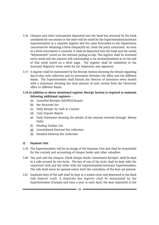- 3.16 Cheques and other instruments deposited into the bank but returned by the bank unrealised for one reason or the other will be noted by the Superintendent/Assistant Superintendent in a separate register and the same forwarded to the Department concerned for obtaining a fresh cheque/DD etc. from the party concerned. As soon as a fresh instrument is received, it shall be deposited into the bank and the words "Represented" noted on the relevant paying-in-slip. The register shall be reviewed every week and the amount still outstanding to be received/realised as at the end of that week noted on a fresh page. The register shall be submitted to the Assistant Registrar every week for his inspection and signature.
- 3.17 A register shall be maintained by the Receipt Section showing the details regarding day-to-day cash collection and its movement between the office and the different banks. The Superintendent shall furnish the Director of Insurance every month with a statement showing the total amount of cash carried from the University office to different Banks.

## 3.18 In addition to above mentioned register, Receipt Section is required to maintain following additional registers –

- (a) Cancelled Receipts (DD/IPO/Cheque)
- (b) Fee Structure list
- (c) Daily Receipt by Cash at Counter
- (d) Cash Deposit Report
- (e) Daily Statement showing the details of the amount received through Money Order
- (f) Pending Challan List
- (g) Consolidated External Fee collection
- (h) Detailed External Fee Collection

## 2) Payment Unit

- 3.19 The Superintendent will be In-charge of the Payment Unit and shall be responsible for the custody and accounting of cheque books and other valuables.
- 3.20 The cash and the cheques, blank cheque books, Investment Receipts, shall be kept in a safe secured by two locks. The key of one of the locks shall be kept with the concerned clerk and the other with the Superintendent/Assistant Superintendent. The safe shall never be opened unless both the custodians of the keys are present.
- 3.21 Duplicate keys of the safe shall be kept in a sealed cover and deposited in the Bank Safe Deposit vault. A duplicate key register shall be maintained by the Superintendent (Cheque) and once a year in each April, the keys deposited in the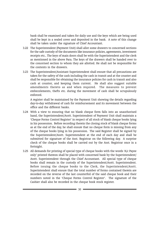bank shall be examined and taken for daily use and the keys which are being used shall be kept in a sealed cover and deposited in the bank. A note of this change shall be taken under the signature of Chief Accountant.

- 3.22 The Superintendent (Payment Unit) shall allot some drawers to concerned sections for the safe custody of the documents like insurance policies, agreements, investment receipts etc.. The keys of main doors shall be with the Superintendent and the clerk as mentioned in the above Para. The keys of the drawers shall be handed over to the concerned section to whom they are allotted. He shall not be responsible for the contents in the drawers.
- 3.23 The Superintendent/Assistant Superintendent shall ensure that all precautions are taken for the safety of the cash including the cash in transit and at the counter and shall be responsible for obtaining the insurance policies for cash in transit and also cash at counter, and keeping them current. He shall also suggest suitable amendments thereto as and when required. The measures to prevent embezzlements, thefts etc. during the movement of cash shall be scrupulously enforced.

A register shall be maintained by the Payment Unit showing the details regarding day-to-day withdrawal of cash for reimbursement and its movement between the office and the different banks.

- 3.24 With a view to ensuring that no blank cheque form falls into an unauthorised hand, the Superintendent/Asstt. Superintendent of Payment Unit shall maintain a 'Cheque Forms Control Register' in respect of all stock of blank cheque books lying in his possession. Before recording therein the closing stock of blank cheque forms as at the end of the day, he shall ensure that no cheque form is missing from any of the cheque books lying in his possession. The said Register shall be signed by the Superintendent/Asstt. Superintendent at the end of each day and shall be submitted for signature of the Asst. Registrar on the following day. A surprise check of the cheque books shall be carried out by the Asst. Registrar once in a fortnight.
- 3.25 All demands for printing of special type of cheque books with the words 'A/c Payee only' printed thereon shall be placed with concerned bank by the Superintendent/ Asstt. Superintendent through the Chief Accountant. All special type of cheque books shall remain in the custody of the Superintendent/Asstt. Superintendent. Before issuing the cheque books to the Clerk, the Superintendent/Asstt. Superintendent shall ensure that the total number of forms contained therein are recorded on the reverse of the last counterfoil of the said cheque book and their numbers noted in the 'Cheque Forms Control Register'. The signature of the Cashier shall also be recorded in the cheque book stock register.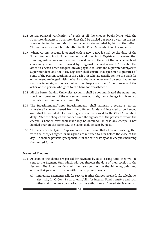- 3.26 Actual physical verification of stock of all the cheque books lying with the Superintendent/Asstt. Superintendent shall be carried out twice a year (in the last week of September and March) and a certificate recorded by him to that effect. The said register shall be submitted to the Chief Accountant for his signature.
- 3.27 Whenever any account is opened with a new bank, it shall be the duty of the Superintendent/Asstt. Superintendent and the Asstt. Registrar to ensure that standing instructions are issued to the said bank to the effect that no cheque book containing bearer forms is issued by it against the said account. To enable the office to encash order cheques drawn payable to 'self' the Superintendent/Asstt. Superintendent and the Asst. Registrar shall ensure that specimen signatures of some of the persons working in the Cash Unit who are usually sent to the bank for encashment are lodged with the banks so that no cheque could be encashed unless two specimen signatures are put on the cheque viz. one of the drawer and the other of the person who goes to the bank for encashment.
- 3.28 All the banks, having University accounts shall be communicated the names and specimen signatures of the officers empowered to sign. Any change in this regard shall also be communicated promptly.
- 3.29 The Superintendent/Asstt. Superintendent shall maintain a separate register wherein all cheques issued from the different funds and intended to be handed over shall be recorded. The said register shall be signed by the Chief Accountant daily. After the cheques are handed over, the signature of the person to whom the cheque is handed over shall invariably be obtained. In case any cheque is not handed over on the same day, the same shall be sent by post.
- 3.30 The Superintendent/Asstt. Superintendent shall ensure that all counterfoils together with the cheques signed or unsigned are returned to him before the close of the day. He shall be personally responsible for the safe custody of all cheques including the unused forms.

#### Drawal of Cheques

- 3.31 As soon as the claims are passed for payment by Bills Passing Unit, they will be sent to the Payment Unit which will put thereon the date of their receipt in the Section. The Superintendent will then arrange them in the following order and ensure that payment is made with utmost promptness: -
	- (a) Immediate Payments: Bills for service & other charges received, like telephone, electricity, L.I.C. Govt. Departments, bills for Internal Fund transfers and such other claims as may be marked by the authorities as Immediate Payments.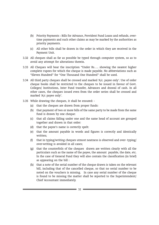- (b) Priority Payments : Bills for Advance, Provident Fund Loans and refunds, overtime payments and such other claims as may be marked by the authorities as priority payments.
- (c) All other bills shall be drawn in the order in which they are received in the Payment Unit.
- 3.32 All cheques shall as far as possible be typed through computer system, so as to avoid any attempt for alterations therein.
- 3.33 All Cheques will bear the inscription "Under Rs…. showing the nearest higher complete rupees for which the cheque is made payable. No abbreviations such as "Eleven Hundred" for "One Thousand One Hundred" shall be used.
- 3.34 All third party cheques shall be crossed and marked 'A/c. payee only'. Use of order cheque books shall be restricted to the cheques to be issued in favour of Govt. Colleges/ Institutions, Inter Fund transfer, Advances and drawal of cash. In all other cases, the cheques issued even from the order series shall be crossed and marked 'A/c payee only'.
- 3.35 While drawing the cheques, it shall be ensured:
	- (a) that the cheques are drawn from proper funds:
	- (b) that payment of two or more bills of the same party to be made from the same fund is drawn by one cheque:
	- (c) that all claims falling under one and the same head of account are grouped together and drawn in that order:
	- (d) that the payee's name is correctly spelt:
	- (e) that the amount payable in words and figures is correctly and identically written;
	- (f) that in typing/writing cheques utmost neatness is observed and over- typing/ over-writing is avoided in all cases;
	- (g) that the counterfoils of the cheques drawn are written clearly with all the particulars such as the name of the payee, the amount payable, the date, etc. In the case of General Fund they will also contain the classification (in brief) as appearing on the bill :
	- (h) that a note of the serial number of the cheque drawn is taken on the relevant bill, including that of the cancelled cheque, so that no serial number to be noted on the vouchers is missing. In case any serial number of the cheque is found to be missing the matter shall be reported to the Superintendent/ Chief Accountant immediately.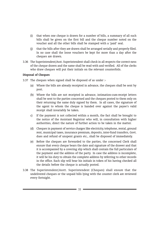- (i) that when one cheque is drawn for a number of bills, a summary of all such bills shall be given on the first bill and the cheque number noted on the voucher and all the other bills shall be stamped with a 'paid' seal.
- (j) that the bills after they are drawn shall be arranged serially and properly filed. In no case shall the loose vouchers be kept for more than a day after the cheques are drawn.
- 3.36 The Superintendent/Asst. Superintendent shall check in all respects the correct-ness of the cheque drawn and the same shall be read with and verified. All of the clerks who draw cheques will put their initials on the relevant counterfoils.

## Disposal of Cheques

- 3.37 The cheques when signed shall be disposed of as under :-
	- (a) Where the bills are already receipted in advance, the cheques shall be sent by post.
	- (b) Where the bills are not receipted in advance, intimation-cum-receipt letters shall be sent to the parties concerned and the cheques posted to them only on their returning the same duly signed by them. In all cases, the signature of the agent to whom the cheque is handed over against the payee's valid receipt shall invariably be taken.
	- c) If the payment is not collected within a month, the fact shall be brought to the notice of the Assistant Registrar who will, in consultation with higher authorities, direct the nature of further action to be taken in the matter.
	- (d) Cheques in payment of service charges like electricity, telephone, rental, ground rent, municipal taxes, insurance premium, deposits, inter-fund transfers, Govt. dues and refund of unspent grants etc., shall be disposed of immediately.
	- (e) Before the cheques are forwarded to the parties, the concerned Clerk shall ensure that every cheque bears the date and signature of the drawer and that it is accompanied by a covering slip which shall contain the full particulars of the payment and the address of the party. In case the address is incomplete, it will be his duty to obtain the complete address by referring to other records in the office. Each slip will bear his initials in token of his having checked all the details before the cheque is actually posted.
- 3.38 The Superintendent/Asstt. Superintendent (Cheques) shall ensure that the undelivered cheques or the unpaid bills lying with the counter clerk are reviewed every fortnight.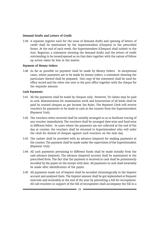#### Demand Drafts and Letters of Credit

3.39 A separate register each for the issue of demand drafts and opening of letters of credit shall be maintained by the Superintendent (Cheques) in the prescribed forms. At the end of each week, the Superintendent (Cheques) shall submit to the Asst. Registrar, a statement showing the demand drafts and the letters of credit outstanding to be issued/opened as on that date together with the nature of follow up action taken by him in the matter.

#### Payment of Money Orders

3.40 As far as possible no payment shall be made by Money Orders. In exceptional cases, where payments are to be made by money orders, a statement showing the particulars thereof shall be prepared. One copy of the statement shall be used for office record and the other one sent to the post office together with the cheque for the requisite amount.

#### Cash Payments

- 3.41 All the payments shall be made by cheques only. However, TA claims may be paid in cash. Remuneration for examination work and honorarium of all kinds shall be paid by crossed cheques as per Income Tax Rules. The Payment Clerk will receive vouchers for payments to be made in cash at the counter from the Superintendent (Payment Unit).
- 3.42 The vouchers when received shall be suitably arranged so as to facilitate tracing of any voucher immediately. The vouchers shall be arranged date-wise and fund-wise in different folios. In cases where the payments are not collected at the end of the day at counter, the vouchers shall be returned to Superintendent who will order the clerk for drawal of cheques against such vouchers on the next day.
- 3.43 The cashier shall be provided with an advance (imprest) for making payments at the counter. The payment shall be made under the supervision of the Superintendent (Payment Unit).
- 3.44 All cash payments pertaining to different funds shall be made initially from the said advance (imprest). The advance (imprest) account shall be maintained in the prescribed form. The fact that the payment is received in cash shall be prominently recorded by the payee on the receipt with date. All payments in cash shall invariably be made after identification of the payee.
- 3.45 All payments made out of Imprest shall be recorded chronologically in the Imprest account and analysed there. The Imprest amount shall be got replenished at frequent intervals and invariably at the end of the year by presenting a bill for recoupment. All sub-vouchers in support of the bill of recoupment shall accompany the bill in a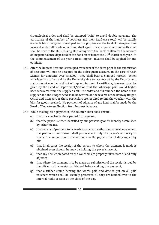chronological order and shall be stamped "Paid" to avoid double payment. The particulars of the number of vouchers and their head-wise total will be readily available from the system developed for this purpose and the total of the expenditure incurred under all heads of account shall agree. Last imprest account with a bill shall be sent to the Bills Passing Unit along with the bank challan for the amount of unspent balance deposited in the bank on or before the 31<sup>st</sup> March each year. At the commencement of the year a fresh Imprest advance shall be applied for and obtained.

- 3.46 After the Imprest Account is recouped, vouchers of the dates prior to the submission of accounts will not be accepted in the subsequent account. In the case of Cash Memos for amounts over Rs.5,000/- they shall bear a Stamped receipt. When wharfage has to be paid by the University due to late receipt by the Department, such amount may be paid out of Imprest Account. A certificate, however, shall be given by the Head of Department/Section that the wharfage paid would be/has been recovered from the supplier's bill. The order and bill number, the name of the supplier and the Budget head shall be written on the reverse of the Railway freight, Octroi and transport as those particulars are required to link the voucher with the bills for goods received. No payment of advance of any kind shall be made by the Head of Department/Section from Imprest Advance.
- 3.47 While making cash payments, the counter clerk shall ensure
	- (a) that the voucher is duly passed for payment,
	- (b) that the payee is either identified by him personally or his identity established by other means,
	- (c) that in case of payment to be made to a person authorised to receive payment, the person so authorised shall produce not only the payee's authority to receive the amount on his behalf but also the payee's receipt duly signed by him.
	- (d) that in all cases the receipt of the person to whom the payment is made is obtained even though he may be holding the payee's receipt,
	- (e) that any deduction noted on the vouchers are properly taken note of and duly adjusted;
	- (f) that where the payment is to be made on submission of the receipt issued by the office, such a receipt is obtained before making the payment,
	- (g) that a rubber stamp bearing the words paid and date is put on all paid vouchers which shall be securely preserved till they are handed over to the Internal Audit Section at the close of the day.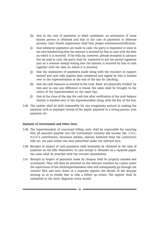- (h) that in the case of payments to blind candidates, an attestation of some known person is obtained and that in the case of payments to illiterate persons, their thumb impressions shall bear proper attestation/certification.
- (i) that whenever payments are made in cash, the party is requested to state in his own handwriting that the amount is received by him in cash with the date on which it is received. If the bills are, however, already receipted in advance but are paid in cash, the party shall be, requested to put his second signature (not on a revenue stamp) stating that the amount is received by him in cash together with the date on which it is received;
- (j) that the statements of payments made along with the vouchers in support thereof and cash tally register duly completed and signed by him is handed over to the Superintendent at the end of the day for checking;
- (k) that the cash balances as entered in the Cash Book are physically verified by him and in case any difference is found, the same shall be brought to the notice of the Superintendent on the same day;
- (l) that at the close of the day the cash box after verification of the cash balance therein is handed over to the Superintendent along with the key of the box.
- 3.48 The cashier shall be held responsible for any irregularity noticed in making the payment such as improper receipt of the payee, payment to a wrong person, over payment etc.

#### Payment of Government and Other Dues

- 3.49 The Superintendent of concerned billing units shall be responsible for ensuring that all amounts payable into the Government treasury like Income Tax, C.D.S., E.S.I.C's contribution, Insurance premia, amount deducted from the contractors bills etc. are paid within the time prescribed under the relevant Acts.
- 3.50 Receipts in respect of cash payments shall invariably be obtained at the time of payment on the bills themselves. In case receipt is obtained on a separate paper, the same shall be attached with the voucher immediately.
- 3.51 Receipts in respect of payments made by cheques shall be properly checked and scrutinized. They will then be attached on the relevant vouchers by a peon under the supervision of the clerk/Superintendent who will subsequently go through the voucher files and note down in a separate register the details of the receipts missing so as to enable him to take a follow up action. The register shall be submitted to the Asstt. Registrar every month.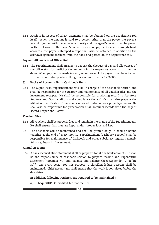3.52 Receipts in respect of salary payments shall be obtained on the acquittance roll itself. When the amount is paid to a person other than the payee, the payee's receipt together with the letter of authority and the agent's receipt shall be pasted in the roll against the payee's name. In case of payments made through bank accounts, the payee's stamped receipt shall also be obtained in addition to the acknowledgement received from the bank and pasted on the acquittance roll.

#### Pay and Allowances of Office Staff

3.53 The Superintendent shall arrange to deposit the cheques of pay and allowances of the office staff for crediting the amounts in the respective accounts on the due dates. When payment is made in cash, acquittance of the payees shall be obtained with a revenue stamp where the gross amount exceeds Rs.5000/-.

#### 3) Books of Accounts Unit ( Cash book Unit)

3.54 The Supdt./Asst. Superintendent will be In-charge of the Cashbook Section and shall be responsible for the custody and maintenance of all voucher files and the investment receipts. He shall be responsible for producing record to Statutory Auditors and Govt. Auditors and compliance thereof. He shall also prepare the utilisation certificates of the grants received under various projects/schemes. He shall also be responsible for preservation of all accounts records with the help of Record Keeper and Daftari.

#### Voucher Files

- 3.55 All vouchers shall be properly filed and remain in the charge of the Superintendent. He shall ensure that they are kept under proper lock and key.
- 3.56 The Cashbook will be maintained and shall be printed daily. It shall be bound together at the end of every month. Superintendent (Cashbook Section) shall be responsible for maintenance of Cashbook and other subsidiary registers namely Advance, Deposit , Investment.

#### Annual Accounts

3.57 A bank reconciliation statement shall be prepared for all the bank accounts. It shall be the responsibility of cashbook section to prepare Income and Expenditure Statement (Appendix -VI), Trial Balance and Balance Sheet (Appendix -V) before 30<sup>th</sup> June every year. For this purpose, a classified ledger account shall be maintained. Chief Accountant shall ensure that the work is completed before the due dates.

#### In addition, following registers are required to be maintained :-

(a) Cheque/DD/IPO, credited but not realised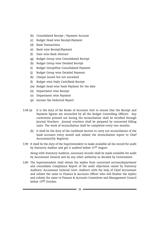- (b) Consolidated Receipt / Payment Account
- (c) Budget Head wise Receipt-Payment
- (d) Bank Transactions
- (e) Bank wise Receipt/Payment
- (f) Date wise Bank Abstract
- (g) Budget Group wise Consolidated Receipt
- (h) Budget Group wise Detailed Receipt
- (i) Budget GroupWise Consolidated Payment
- (j) Budget Group wise Detailed Payment
- (k) Cheque Issued but not encashed
- (l) Budget wise Daily Cash/Bank Receipt
- (m) Budget head wise bank Payment for the date
- (n) Department wise Receipt
- (o) Department wise Payment
- (p) Income Tax Deducted Report
- 3.58 (a) It is the duty of the Books of Accounts Unit to ensure that the Receipt and Payment figures are reconciled by all the Budget Controlling Officers. Any corrections pointed out during the reconciliation shall be rectified through Journal Vouchers. Journal vouchers shall be prepared by concerned billing units. The work of reconciliation shall be completed every two months.
	- (b) It shall be the duty of the Cashbook Section to carry out reconciliation of the bank accounts every month and submit the reconciliation report to Chief Accountant/Dy. Registrar.
- 3.59 It shall be the duty of the Superintendent to make available all the record for audit by Statutory Auditor and get it audited before 31st August.

Along with Statutory Auditors, necessary records shall be made available for audit by Accountant General and by any other authority as decided by Government.

3.60 The Superintendent shall obtain the replies from concerned section/department and consolidate Compliance Report of the audit objections raised by Statutory Auditors/ Accountant General/ Govt. Auditors with the help of Chief Accountant and submit the same to Finance & Accounts Officer who will finalise the replies and submit the same to Finance & Accounts Committee and Management Council before 15th October.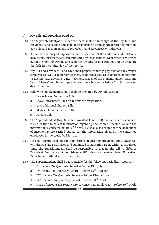#### 4) Pay Bills and Provident Fund Unit

- 3.61 The Superintendent/Asst. Superintendent shall be In-charge of the Pay Bills and Provident Fund Section and shall be responsible for timely preparation of monthly pay bills and disbursement of Provident Fund Advances/ Withdrawals.
- 3.62 It shall be the duty of Superintendent to see that all the additions and deletions, deductions, increments etc. communicated by Establishment Department are carried out in the monthly Pay Bill and send the Pay Bills for Bills Passing Unit on or before the fifth last working day of the month.
- 3.63 Pay Bill and Provident Fund Unit shall prepare monthly pay bills of daily wages employees as well as honorary teachers, chair professors, co-ordinators, honorarium to doctors, law advisors, C.H.B. teachers, wages of the students under 'Earn and Learn Scheme' and fellowships and send these bills on or before fifth last working day of the month.
- 3.64 Following supplementary bills shall be prepared by Pay Bill Section
	- 1. Leave Travel Concession Bills
	- 2. Leave Encashment Bills on retirement/resignation.
	- 3. 10% additional charges Bills
	- 4. Medical Reimbursement Bills
	- 5. Arrears Bills
- 3.65 The Superintendent (Pay Bills and Provident Fund Unit) shall ensure a Circular is issued in time to collect information regarding deduction of Income Tax and the information is collected before 30<sup>th</sup> April. He shall also ensure that the deductions of Income Tax are carried out as per the information given by the concerned employees in the prescribed format.
- 3.66 He shall ensure that all the applications requesting provident fund advances/ withdrawals are scrutinised and submitted to Education Dept. within a stipulated time. The Superintendent shall be responsible to prepare the bill to disburse Provident Fund amounts of Advances/Withdrawals received from Education Department without any further delay.
- 3.67 The Superintendent shall be responsible for the following periodicals reports :-
	- 1. I  $I^{st}$  Income Tax Quarterly Report – Before 15<sup>th</sup> July.
	- 2. II<sup>nd</sup> Income Tax Quarterly Report Before 15<sup>th</sup> October
	- 3. III<sup>rd</sup> Income Tax Quarterly Report Before 15<sup>th</sup> January
	- 4. IV<sup>th</sup> Income Tax Quarterly Report Before 30<sup>th</sup> April
	- 5. Issue of Income Tax Form No.16 to concerned employees Before 30<sup>th</sup> April.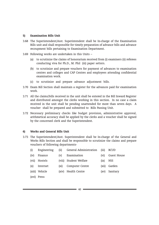#### 5) Examination Bills Unit

- 3.68 The Superintendent/Asst. Superintendent shall be In-charge of the Examination Bills unit and shall responsible for timely preparation of advance bills and advance recoupment bills pertaining to Examination Department.
- 3.69 Following works are undertaken in this Units
	- (a) to scrutinize the claims of honorarium received from (i) examiners (ii) referees conducting viva for Ph.D., M. Phil (iii) paper setters.
	- (b) to scrutinize and prepare vouchers for payment of advances to examination centres and colleges and CAP Centres and employees attending confidential examination work.
	- (c) to scrutinize and prepare advance adjustment bills.
- 3.70 Exam Bill Section shall maintain a register for the advances paid for examination work.
- 3.71 All the claims/bills received in the unit shall be entered in the Bill Inward Register and distributed amongst the clerks working in this section. In no case a claim received in the unit shall be pending unattended for more than seven days. A voucher shall be prepared and submitted to Bills Passing Unit.
- 3.72 Necessary preliminary checks like budget provision, administrative approval, arithmetical accuracy shall be applied by the clerks and a voucher shall be signed by the concerned clerk and the Superintendent.

#### 6) Works and General Bills Unit

3.73 The Superintendent/Asst. Superintendent shall be In-charge of the General and Works Bills Section and shall be responsible to scrutinize the claims and prepare vouchers of following departments-

| (i)   | Engineering    | (ii)    | General Administration | (iii)             | BCUD        |
|-------|----------------|---------|------------------------|-------------------|-------------|
| (iv)  | Finance        | (v)     | Examination            | (v <sub>i</sub> ) | Guest House |
| (vii) | Hostels        |         | (viii) Student Welfare | (ix)              | <b>NSS</b>  |
| (x)   | Internet       | $(x_i)$ | Computer Centre        | (xii)             | Garden      |
|       | (xiii) Vehicle |         | (xiv) Health Centre    | (xv)              | Sanitary    |
|       | (xvi) Press    |         |                        |                   |             |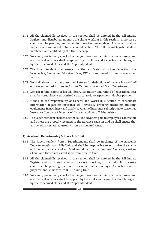- 3.74 All the claims/bills received in the section shall be entered in the Bill Inward Register and distributed amongst the clerks working in this section. In no case a claim shall be pending unattended for more than seven days. A voucher shall be prepared and submitted to Internal Audit Section. The Bill Inward Register shall be numbered and certified by the Unit Incharge.
- 3.75 Necessary preliminary checks like budget provision, administrative approval and arithmetical accuracy shall be applied by the clerks and a voucher shall be signed by the concerned clerk and the Superintendent.
- 3.76 The Superintendent shall ensure that the certificates of various deductions like Income Tax, Surcharge, Education Cess, VAT etc. are issued in time to concerned parties.
- 3.77 He shall also ensure that prescribed Returns for deductions of Income Tax and VAT etc. are submitted in time to Income Tax and concerned Govt. Department.
- 3.78 Deposit refund claims of hostel, library, laboratory and refund of educational fees shall be scrupulously scrutinized so as to avoid overpayment /double payment.
- 3.79 It shall be the responsibility of General and Works Bills Section to consolidate information regarding insurance of University Property including building, equipments & machinery and timely payment of insurance subscription to concerned Insurance Company / Director of Insurance, Govt. of Maharashtra.
- 3.80 The Superintendent shall ensure that all the advances paid to employees, contractors and others are properly recorded in the Advance Register and he shall ensure that all the advances are adjusted within a stipulated time.

#### 7) Academic Departments / Schools Bills Unit

- 3.81 The Superintendent / Asst. Superintendent shall be In-charge of the Academic Departments/Schools Bills Unit and shall be responsible to scrutinize the claims and prepare vouchers of all Academic departments, Funding Agencies, existing Chairs and the chairs established from time to time.
- 3.82 All the claims/bills received in the section shall be entered in the Bill Inward Register and distributed amongst the clerks working in this unit. In no case a claim shall be pending unattended for more than seven days. A voucher shall be prepared and submitted to Bills Passing Unit.
- 3.83 Necessary preliminary checks like budget provision, administrative approval and arithmetical accuracy shall be applied by the clerks and a voucher shall be signed by the concerned clerk and the Superintendent.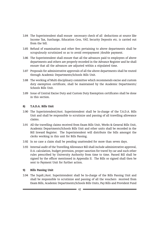- 3.84 The Superintendent shall ensure necessary check of all deductions at source like Income Tax, Surcharge, Education Cess, VAT, Security Deposits etc. is carried out from the bill.
- 3.85 Refund of examination and other fees pertaining to above departments shall be scrupulously scrutinized so as to avoid overpayment /double payment.
- 3.86 The Superintendent shall ensure that all the advances paid to employees of above departments and others are properly recorded in the Advance Register and he shall ensure that all the advances are adjusted within a stipulated time.
- 3.87 Proposals for administrative approvals of all the above departments shall be routed through Academic Departments/Schools Bills Unit.
- 3.88 The working of Multi disciplinary committee which recommends excise and custom duty exemption certificate, shall be maintained by the Academic Departments/ Schools Bills Unit.
- 3.89 Issue of Central Excise Duty and Custom Duty Exemption certificates shall be done in this section.

## 8) T.A.D.A. Bills Unit

- 3.90 The Superintendent/Asst. Superintendent shall be In-charge of the T.A.D.A. Bills Unit and shall be responsible to scrutinize and passing of all travelling allowance claims.
- 3.91 All the travelling claims received from Exam Bills Unit, Works & General Bills Unit, Academic Departments/Schools Bills Unit and other units shall be recorded in the Bill Inward Register. The Superintendent will distribute the bills amongst the clerks working in this unit for Bills Passing.
- 3.92 In no case a claim shall be pending unattended for more than seven days.
- 3.93 Internal audit of the Travelling Allowance Bill shall include administrative approval, D.A. calculation, budget provision, proper sanction for travel by car and such other rules prescribed by University Authority from time to time. Passed Bill shall be signed by the officer mentioned in Appendix II. The Bills so signed shall then be sent to Payment Unit for further action.

#### 9) Bills Passing Unit

3.94 The Supdt./Asst. Superintendent shall be In-charge of the Bills Passing Unit and shall be responsible to scrutinize and passing of all the vouchers received from Exam Bills, Academic Departments/Schools Bills Units, Pay Bills and Provident Fund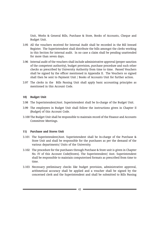Unit, Works & General Bills, Purchase & Store, Books of Accounts, Cheque and Budget Unit.

- 3.95 All the vouchers received for Internal Audit shall be recorded in the Bill Inward Register. The Superintendent shall distribute the bills amongst the clerks working in this Section for internal audit. In no case a claim shall be pending unattended for more than seven days.
- 3.96 Internal audit of the vouchers shall include administrative approval (proper sanction of the competent authority), budget provision, purchase procedure and such other checks as prescribed by University Authority from time to time. Passed Vouchers shall be signed by the officer mentioned in Appendix II. The Vouchers so signed shall then be sent to Payment Unit / Books of Accounts Unit for further action.
- 3.97 The clerks in the Bills Passing Unit shall apply basic accounting principles as mentioned in this Account Code.

#### 10) Budget Unit

- 3.98 The Superintendent/Asst. Superintendent shall be In-charge of the Budget Unit.
- 3.99 The employees in Budget Unit shall follow the instructions given in Chapter II (Budget) of this Account Code.
- 3.100 The Budget Unit shall be responsible to maintain record of the Finance and Accounts Committee Meetings.

#### 11) Purchase and Stores Unit

- 3.101 The Superintendent/Asst. Superintendent shall be In-charge of the Purchase & Store Unit and shall be responsible for the purchases as per the demand of the various departments/ Units of the University.
- 3.102 The procedure for the purchases through Purchase & Store unit is given in Chapter No. IV of this Account Code(Stores). The Superintendent/ Asst. Superintendent shall be responsible to maintain computerised formats as prescribed from time to time.
- 3.103 Necessary preliminary checks like budget provision, administrative approval, arithmetical accuracy shall be applied and a voucher shall be signed by the concerned clerk and the Superintendent and shall be submitted to Bills Passing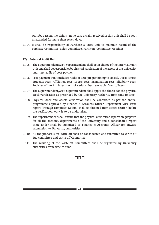Unit for passing the claims. In no case a claim received in this Unit shall be kept unattended for more than seven days.

3.104 It shall be responsibility of Purchase & Store unit to maintain record of the Purchase Committee, Sales Committee, Furniture Committee Meetings.

#### 12) Internal Audit Unit

- 3.105 The Superintendent/Asst. Superintendent shall be In-charge of the Internal Audit Unit and shall be responsible for physical verification of the assets of the University and test audit of post payment.
- 3.106 Post payment audit includes Audit of Receipts pertaining to Hostel, Guest House, Students Fees, Affiliation Fees, Sports Fees, Examination Fees, Eligibility Fees, Register of Works, Assessment of various fees receivable from colleges.
- 3.107 The Superintendent/Asst. Superintendent shall apply the checks for the physical stock verification as prescribed by the University Authority from time to time.
- 3.108 Physical Stock and Assets Verification shall be conducted as per the annual programme approved by Finance & Accounts Officer. Department wise issue report (through computer system) shall be obtained from stores section before the verification work is to be undertaken.
- 3.109 The Superintendent shall ensure that the physical verification reports are prepared for all the sections, departments of the University and a consolidated report there under shall be submitted to Finance & Accounts Officer for onward submission to University Authorities.
- 3.110 All the proposals for Write-off shall be consolidated and submitted to Write-off Sub-committee and Write-off Committee.
- 3.111 The working of the Write-off Committees shall be regulated by University authorities from time to time.

# rrr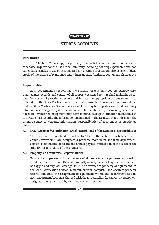

# STORES ACCOUNTS

#### **Introduction**

The term 'Stores' applies generally to all articles and materials purchased or otherwise acquired for the use of the University, including not only expendable and non expendable articles in use or accumulated for specific purposes but also articles of dead stock, of the nature of plant, machinery, instruments, furniture, equipment, fixtures etc.

#### Responsibilities

Each department / section has the primary responsibility for the custody, care, maintenance, records and control of all property assigned to it. It shall maintain up-todate departmental / sectional records and initiate the appropriate actions or forms to fully inform the Stock Verification Section of all transactions involving said property so that the Stock Verification Section's responsibilities may be properly carried out. Warranty information and supporting documentation is to be maintained by the owning department / section. Inventoried equipment may have minimal backup information maintained in the Dead Stock records. The information maintained in the Dead Stock records is not the primary source of warranty information. Responsibilities of each one is as mentioned below -

#### 4.1 HOD / Director / Co-ordinator / Chief Rector/ Head of the Section's Responsibilities

The HOD/Director/Coordinator/Chief Rector/Head of the Section of each department/ administrative unit will designate a property coordinator, for their department/ section. Maintenance of record and annual physical verification of the assets is the primary responsibility of these officers.

#### 4.2 Property Co-ordinator's Responsibilities

Ensure the proper use and maintenance of all property and equipment assigned to the department /section. He shall promptly report, receipt of equipment that is to be tagged and any loss, damage, misuse or transfer of property or equipment, to the Stock Verification Section. Maintain current, complete, and accurate property records and track the assignment of equipment within the department/section. Each department/section is charged with the responsibility for University equipment assigned to or purchased by that department /section.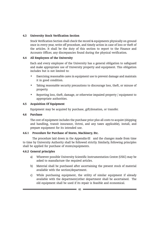## 4.3 University Stock Verification Section

Stock Verification Section shall check the record & equipments physically on ground once in every year, write off procedure, and timely action in case of loss or theft of the articles. It shall be the duty of this section to report to the Finance and Accounts Officer, any discrepancies found during the physical verification.

## 4.4 All Employees of the University

Each and every employee of the University has a general obligation to safeguard and make appropriate use of University property and equipment. This obligation includes but is not limited to:

- Exercising reasonable cares in equipment use to prevent damage and maintain it in good condition.
- Taking reasonable security precautions to discourage loss, theft, or misuse of property.
- Reporting loss, theft, damage, or otherwise impaired property / equipment to appropriate authorities.

## 4.5 Acquisition Of Equipment

Equipment may be acquired by purchase, gift/donation, or transfer.

#### 4.6 Purchase

The cost of equipment includes the purchase price plus all costs to acquire (shipping and handling, transit insurance, Octroi, and any taxes applicable), install, and prepare equipment for its intended use.

#### 4.6.1 Procedure for Purchase of Stores, Machinery, Etc.

The procedure laid down in the Appendix-III and the changes made from time to time by University Authority shall be followed strictly. Similarly, following principles shall be applied for purchase of stores/equipments.

#### 4.6.2 General principles

- a) Wherever possible University Scientific Instrumentation Centre (USIC) may be asked to manufacture the required articles.
- b) Material shall be purchased after ascertaining the present stock of material available with the section/department.
- c) While purchasing equipment, the utility of similar equipment if already available with the department/other department shall be ascertained. The old equipment shall be used if its repair is feasible and economical.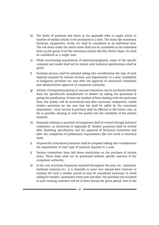- d) The limits of purchase laid down in the appendix refer to single article or number of similar articles to be purchased at a time. The items like stationary, furniture, equipments, books, etc shall be considered as an individual item. The sub items under the above items shall not be considered as the individual item e.g the group of all the stationary articles like Pen, Pencil, Paper, etc shall be considered as a single item.
- e) While ascertaining requirement of material/equipment, name of the specific company and model shall not be stated, only technical specifications shall be given.
- f) Purchase process shall be initiated taking into consideration the type of each material required by various sections and departments in a year, availability of budgetary provision etc. and after the approval of concerned Committee and administrative approval of competent authority.
- g) Articles of proprietary/special or unusual characters can be purchased directly from the specific/sole manufacturer or dealers by calling the quotations & giving the justification. If there are number of firms dealing with the particular item, the quality will be ascertained and after necessary comparison, sealed tender/ quotation (as the case may be) shall be called by the concerned department / store section & purchase shall be effected at the lowest rate, as far as possible, keeping in view the quality and the suitability of the articles required.
- h) Proposals relating to purchase of equipment shall be routed through technical committee, as mentioned in Appendix III. Tender/ quotation shall be invited after finalizing specification and the approval of Technical Committee and after the completion of preliminary requirements like civil work or electrical work.
- i) Proposal for centralized purchases shall be prepared taking into consideration the requirement of each type of material required in a year.
- j) Various committees have laid down restrictions on the purchase of certain items. These items shall not be purchased without specific sanction of the competent authority.
- k) In the case of articles frequently required throughout the year, viz., stationery, hardware material etc., it is desirable to enter into Annual Rate Contract or contract for such a smaller period as may be considered necessary to avoid calling for tenders / quotations every now and then. The purchase rate accepted in such running contracts will be in force during the given period. Due to the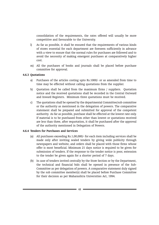consolidation of the requirements, the rates offered will usually be more competitive and favourable to the University.

- l) As far as possible, it shall be ensured that the requirements of various kinds of stores essential for each department are foreseen sufficiently in advance with a view to ensure that the normal rules for purchases are followed and to avoid the necessity of making emergent purchases at comparatively higher cost.
- m) All the purchases of books and journals shall be placed before purchase committee for approval.

# 4.6.3 Quotations

- a) Purchases of the articles costing upto Rs.1000/- or as amended from time to time may be effected without calling quotations from the supplier.
- b) Quotation shall be called from the maximum firms / suppliers. Quotation notice and the received quotations shall be recorded in the Central Outward and Inward Registers. Minimum three quotations must be received.
- c) The quotations shall be opened by the departmental Committee/sub committee or the authority as mentioned in the delegation of powers. The comparative statement shall be prepared and submitted for approval of the competent authority. As far as possible, purchase shall be effected at the lowest rate only. If material is to be purchased from other than lowest or quotations received are less than three, after requotation, it shall be purchased after the approval of the authority mentioned in Delegation of Powers.

#### 4.6.4 Tenders for Purchases and Services

- (a) All purchases exceeding Rs.1,00,000/- for each item including services shall be made only after inviting sealed tenders by giving wide publicity through newspapers and website, and orders shall be placed with those firms whose offer is most beneficial. Minimum 21 days notice is required to be given for submission of tenders. If the response to the tender notice is poor, extension to the tender be given again for a shorter period of 7 days.
- (b) In case of tenders invited centrally by the Store Section or by the Department, the technical and financial bids shall be opened in presence of the Sub-Committee as per delegation of powers. A comparative statement duly signed by the sub committee member(s) shall be placed before Purchase Committee for their decision as per Maharashtra Universities Act, 1994.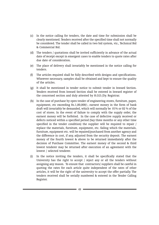- (c) In the notice calling for tenders, the date and time for submission shall be clearly mentioned. Tenders received after the specified time shall not normally be considered. The tender shall be called in two bid system, viz., Technical Bid & Commercial Bid.
- (d) The tenders / quotations shall be invited sufficiently in advance of the actual date of receipt except in emergent cases to enable tenders to quote rates after due date of consideration.
- (e) The place of delivery shall invariably be mentioned in the notice calling for tenders.
- (f) The articles required shall be fully described with designs and specifications. Wherever necessary, samples shall be obtained and kept to ensure the quality of the articles.
- (g) It shall be mentioned in tender notice to submit tender in Inward Section. Tenders received from Inward Section shall be entered in Inward register of the concerned section and duly attested by H.O.D./Dy. Registrar.
- (h) In the case of purchase by open tender of engineering stores, furniture, paper, equipment, etc exceeding Rs.1,00,000/-, earnest money in the form of bank draft will invariably be demanded, which will normally be 01% or 02 % of the cost of stores. In the event of failure to comply with the supply order, the earnest money will be forfeited. In the case of defective supply received or defects noticed within a specified period (Say three months or any other time specified in the tender condition) the supplier will be required to repair / replace the materials, furniture, equipment, etc. failing which the materials, furniture, equipment etc. will be repaired/purchased from another agency and the difference in cost, if any, adjusted from the security deposit. The earnest money of the fourth lowest & above to be returned immediately after the decision of Purchase Committee. The earnest money of the second & third lowest tenderer may be returned after execution of an agreement with the lowest / selected tenderer.
- (i) In the notice inviting the tenders, it shall be specifically stated that the University has the right to accept / reject any or all the tenders without assigning any reason. To ensure that contractors/ suppliers shall be careful in quoting the rates for each article quite independent of the rates of other articles, it will be the right of the university to accept the offer partially. The tenders received shall be serially numbered & entered in the Tender Calling Register.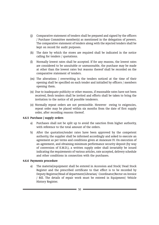- (j) Comparative statement of tenders shall be prepared and signed by the officers / Purchase Committee member(s) as mentioned in the delegation of powers. The comparative statement of tenders along with the rejected tenders shall be kept on record for audit purposes.
- (k) The date by which the stores are required shall be indicated in the notice calling for tenders / quotations.
- (l) Normally lowest rates shall be accepted. If for any reasons, the lowest rates are considered to be unsuitable or unreasonable, the purchase may be made at other than the lowest rates but reasons thereof shall be recorded on the comparative statement of tenders.
- (m) The alterations / overwriting in the tenders noticed at the time of their opening shall be specified on each tender and initialled by officers / members opening them.
- (n) Due to inadequate publicity or other reasons, if reasonable rates have not been received, fresh tenders shall be invited and efforts shall be taken to bring the invitation to the notice of all possible tenderers.
- (o) Normally repeat orders are not permissible. However owing to exigencies, repeat order may be placed within six months from the date of first supply order, after recording reasons thereof.

#### 4.6.5 Purchase / supply orders

- a) Purchases shall not be split up to avoid the sanction from higher authority, with reference to the total amount of the orders.
- b) After the quotation/tender rates have been approved by the competent authority, the supplier shall be informed accordingly and asked to execute an agreement as per terms and conditions given at Annexure IV. On execution of an agreement, and obtaining minimum performance security deposit (by way of conversion of E.M.D.), a written supply order shall invariably be issued indicating the requirements of various articles, rate accepted, delivery schedule and other conditions in connection with the purchases.

#### 4.6.6 Payments procedure

a) The material/equipment shall be entered in Accession and Stock/ Dead Stock Register and the prescribed certificate to that effect is to be recorded by Deputy Registrar/Head of department/Librarian/ Coordinator/Rector on Invoice / Bill. The details of repair work must be entered in Equipment/ Vehicle History Register.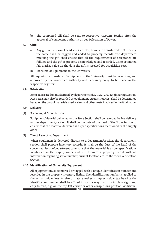b) The completed bill shall be sent to respective Accounts Section after the approval of competent authority as per Delegation of Power.

#### 4.7 Gifts

- a) Any gift in the form of dead stock articles, books etc. transferred to University, the same shall be tagged and added to property records. The department receiving the gift shall ensure that all the requirements of acceptance are fulfilled and the gift is properly acknowledged and recorded, using estimated fair market value on the date the gift is received for acquisition cost.
- b) Transfers of Equipment to the University

All requests for transfers of equipment to the University must be in writing and approved by the concerned authority and necessary entry to be made in the respective registers.

#### 4.8 Fabrication

Items fabricated/manufactured by departments (i.e. USIC, CFC, Engineering Section, Press etc.) may also be recorded as equipment. Acquisition cost shall be determined based on the cost of materials used, salary and other costs involved in the fabrication.

#### 4.9 Delivery

(1) Receiving at Store Section

Equipment/Material delivered to the Store Section shall be recorded before delivery to user department/section. It shall be the duty of the head of the Store Section to ensure that the material delivered is as per specifications mentioned in the supply order.

# (2) Direct Receipt at Department

When equipment is delivered directly to a department/section, the department/ section shall prepare inventory records. It shall be the duty of the head of the concerned Section/department to ensure that the material is as per specifications mentioned in the supply order and will forward a property record with all information regarding serial number, current location etc. to the Stock Verification Section.

# 4.10 Identification of University Equipment

All equipment must be marked or tagged with a unique identification number and recorded in the property inventory listing. The identification number is applied to the actual unit unless its size or nature makes it impractical. A tag bearing the identification number shall be affixed in such a way that it is in plain sight and easy to read, e.g. on the top left corner or other conspicuous position. Additional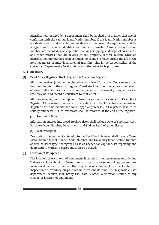identification required by a department shall be applied in a manner that avoids confusion with the campus identification number. If the identification number is accidentally or mistakenly obliterated, defaced or removed, the equipment shall be retagged with the same identification number if possible. Assigned identification numbers are recorded on all applicable receiving, shipping, and disposal documents, and other records that are related to the property control system. Once an identification number has been assigned, no change is made during the life of the item regardless of inter-departmental transfers. This is the responsibility of the concerned Department / Section for whom the material is purchased.

## 4.11 Inventory

## (1) Dead Stock Register, Stock Register & Accession Register

All stores received (whether purchased or transferred form other Department) shall be accounted for in the stock registers/dead stock register. Immediately on receipt of stores, all materials shall be examined, counted, measured / weighed, as the case may be, and record a certificate to that effect.

All non-recurring items/ equipment/ furniture etc. must be entered in Dead Stock Register. All recurring items are to be entered in the Stock Register. Accession Register has to be maintained for all type of purchases. All registers have to be serially numbered & such certificate shall be recorded at the end of the register.

#### (a) Acquisition Data

Information entered into Dead Stock Register shall include Date of Purchase, Cost, Purchase Order Number, Department, and Budget head of expenditure.

# (b) Item Description

Description of equipment entered into the Dead Stock Register shall include Make, Manufacturer, Model Number, Serial Number, and University Identification Number as well as asset type / category / class as needed for capital asset reporting and depreciation. Warranty period must also be stated.

# (2) Location of Equipment

The location of each item of equipment is noted in the department records and University Store Section. Current records as to movement of equipment are maintained in such a manner that any item of equipment can be located for inspection or inventory purpose within a reasonable time. The responsible user department/ section shall notify the Store & Stock Verification Section of any change in location of equipment.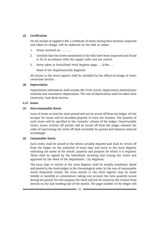#### (3) Certification

On the receipt of supplier's Bill, a certificate of stores having been received, inspected and taken on charge, will be endorsed on the bills as under:-

- 1. Stores received on………..
- 2. Certified that the stores mentioned in the bills have been inspected and found to be in accordance with the supply order and are correct.
- 3. Entry taken in Stock/Dead Stock Register page..….Sr.No.….

Head of the Department/Dy. Registrar

All entries in the stock register shall be initialled by the officer-in-charge of store/ concerned section.

## (4) Depreciation

Depreciation information shall include life of the article, depreciation method/rate/ schedule and cumulative depreciation. The rate of depreciation shall be taken from University Cash Book Section.

#### 4.12 Issues

## (1) Non-consumable Stores

Issue of stores on loan for short period will not be struck off from the ledger. All the receipts for issues will be recorded properly to trace the location. The location of such stores will be specified in the 'remarks' column of the ledger. Unserviceable stores, losses, written off articles will be struck off from the ledger wherein the order of sanctioning the write off shall invariably be quoted and balances reduced accordingly.

# (2) Consumable Stores

Such stores shall be issued to the extent actually required and shall be struck off from the ledger on the authority of issue slips and entry in the Issue Register indicating the name of the article, quantity and purpose for which it is required. These shall be signed by the individuals receiving and issuing the stores and approved by the Head of the Department / Dy. Registrar.

The issue slips or entries in the Issue Register shall be serially numbered, dated and posted in the stock-ledger in the chronological order. In the case of consumable stores frequently issued, the issue entries in the stock register may be made weekly or monthly at convenience, taking into account the total quantity issued during the period. For this purpose the Stock will not be issued by the Central Store Section on the last working day of the month. The page number of the ledger will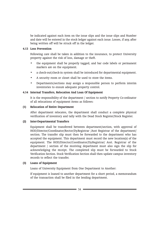be indicated against each item on the issue slips and the issue slips and Number and date will be entered in the stock ledger against each issue. Losses, if any, after being written off will be struck off in the ledger.

#### 4.13 Loss Prevention

Following care shall be taken in addition to the insurance, to protect University property against the risk of loss, damage or theft.

- the equipment shall be properly tagged, and bar code labels or permanent markers are on the equipment.
- a check-out/check-in system shall be introduced for departmental equipment.
- A security room or closet shall be used to store the items.
- Departments/sections may assign a responsible person to perform interim inventories to ensure adequate property control.

# 4.14 Internal Transfers, Relocation And Loan Of Equipment

It is the responsibility of the department / section to notify Property Co-ordinator of all relocations of equipment items as follows:

## (1) Relocation of Entire Department

After department relocates, the department shall conduct a complete physical verification of inventory and tally with the Dead Stock Register/Stock Register.

# (2) Inter-Departmental Transfers

Equipment shall be transferred between department/section, with approval of HOD/Director/Coordinator/Rector/Dy.Registrar /Asst Registrar of the department/ section. The transfer slip must then be forwarded to the department who has accepted the equipment. This department must record the new location(s) of the equipment. The HOD/Director/Coordinator/Dy.Registrar/ Asst. Registrar of the department / section of the receiving department must also sign the slip for acknowledging the receipt. The completed slip must be forwarded to Stock Verification Section. Stock Verification Section shall then update campus inventory records to reflect the transfer.

# (3) Loans of Equipment

Loans of University Equipment from One Department to Another:

If equipment is loaned to another department for a short period, a memorandum of the transaction shall be filed in the lending department.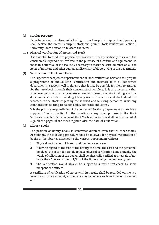## (4) Surplus Property

Departments or operating units having excess / surplus equipment and property shall declare the excess & surplus stock and permit Stock Verification Section / University Store Section to relocate the items.

## 4.15 Physical Verification Of Stores And Stock

It is essential to conduct a physical verification of stock periodically in view of the considerable expenditure involved in the purchase of furniture and equipment. To make this effective, it is absolutely necessary to mark the serial number on all the items of furniture and other equipment like chair, table etc., lying in the Department.

## (1) Verification of Stock and Stores

The Superintendent/Asstt. Superintendent of Stock Verification Section shall prepare a programme of annual stock verification and intimate it to all concerned departments / sections well in time, so that it may be possible for them to arrange for the test-check through their concern stock verifiers. It is also necessary that whenever persons in charge of stores are transferred, the stock taking shall be done and a certificate of handing / taking over of the stores and stock should be recorded in the stock ledgers by the relieved and relieving person to avoid any complications relating to responsibility for stock and stores.

It is the primary responsibility of the concerned Section / department to provide a support of peon / coolies for the counting or any other purpose to the Stock Verification Section & in-charge of Stock Verification Section shall put the remark & sign all the pages of the stock register with the date of verification.

# (a) Library Books

The position of library books is somewhat different from that of other stores. Accordingly, the following procedure shall be followed for physical verification of books in the libraries attached to the various Departments/Offices:-

- 1. Physical verification of books shall be done every year.
- 2. If having regard to the size of the library, the time, the cost and the personnel involved, etc. it is not possible to have physical verification done annually, the whole of collection of the books, shall be physically verified at intervals of not more than 5 years, at least 1/5th of the library being checked every year.
- 3. The verification would always be subject to surprise test-check by some independent officers.

A certificate of verification of stores with its results shall be recorded on the list, inventory or stock account, as the case may be, where such verification is carried out.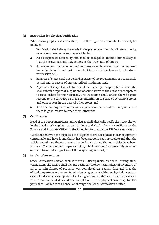## (2) Instruction for Physical Verification

While making a physical verification, the following instructions shall invariably be followed:-

- 1. Verification shall always be made in the presence of the subordinate authority or of a responsible person deputed by him.
- 2. All discrepancies noticed by him shall be brought to account immediately so that the stores account may represent the true state of affairs.
- 3. Shortages and damages as well as unserviceable stores, shall be reported immediately to the authority competent to write off the loss and to the stores verification cell.
- 4. Balances of stores shall not be held in excess of the requirements of a reasonable period and in excess of any prescribed maximum limit.
- 5. A periodical inspection of stores shall be made by a responsible officer, who shall submit a report of surplus and obsolete stores to the authority competent to issue orders for their disposal. The inspection shall, unless there be good reasons to the contrary, be made six monthly, in the case of perishable stores and once a year in the case of other stores and
- 6. Stores remaining in store for over a year shall be considered surplus unless there is good reason to treat them otherwise.

# (3) Certification

Head of the Department/Assistant Registrar shall physically verify the stock shown in the Dead Stock Register as on 30<sup>th</sup> June and shall submit a certificate to the Finance and Accounts Officer in the following format before 15<sup>th</sup> July every year. :-

"Certified that we have inspected the Register of articles of dead stock/ equipment/ consumable and have found that it has been properly kept up-to-date and that the articles mentioned therein are actually held in stock and that no articles have been written off, except under proper sanction, which sanction has been duly recorded on the return under signature of the inspecting authority".

#### (4) Results of Inventories

Stock Verification section shall identify all discrepancies disclosed during stock verification. The listing shall include a signed statement that physical inventory of all or certain classes of property was completed on a given date and that the official property records were found to be in agreement with the physical inventory, except for discrepancies reported. The listing and signed statement shall be furnished with a minimum of delay at the completion of the physical inventory for the perusal of Hon'ble Vice-Chancellor through the Stock Verification Section.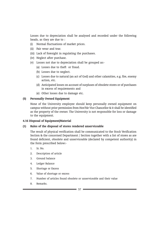Losses due to depreciation shall be analysed and recorded under the following heads, as they are due to :

- (i) Normal fluctuations of market prices.
- (ii) Fair wear and tear.
- (iii) Lack of foresight in regulating the purchases.
- (iv) Neglect after purchase.
- (v) Losses not due to depreciation shall be grouped as:-
	- (a) Losses due to theft or fraud.
	- (b) Losses due to neglect.
	- (c) Losses due to natural (an act of God) and other calamities, e.g. fire, enemy action, etc.
	- (d) Anticipated losses on account of surpluses of obsolete stores or of purchases in excess of requirements and
	- (e) Other losses due to damage etc.

#### (5) Personally Owned Equipment

None of the University employee should keep personally owned equipment on campus without prior permission from Hon'ble Vice Chancellor & it shall be identified as the property of the owner. The University is not responsible for loss or damage to the equipment.

#### 4.16 Disposal of Equipment/Material

#### (1) Rules of the disposal of stores rendered unserviceable

The result of physical verification shall be communicated to the Stock Verification Section & the concerned Department / Section together with a list of stores as are found deficient, obsolete and unserviceable (declared by competent authority) in the form prescribed below:-

- 1. Sr. No.
- 2. Description of article
- 3. Ground balance
- 4. Ledger Balance
- 5. Shortage or Excess
- 6. Value of shortage or excess
- 7. Number of articles found obsolete or unserviceable and their value
- 8. Remarks.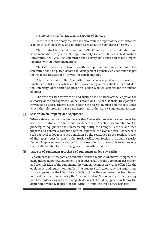A statement shall be attached in support of Sr. No. 7.

In the case of deficiency, the list shall also contain a report of the circumstances leading to such deficiency and in other cases about the condition of stores.

The list shall be placed before Write-Off Committee for consideration and recommendation as per the Shivaji University General Statues & Maharashtra Universities Act 1994. The Committee shall survey the stores and make a report together with its recommendations.

The list of such articles together with the report and recommendations of the committee shall be placed before the Management Council/Vice Chancellor as per the Financial Delegation of Powers for considerations.

After the report of the Committee has been accepted and the write off sanctioned, a list of the articles to be disposed of by auction shall be forwarded to the University Store Section/Engineering Section who will arrange for the auction of stores.

The articles listed for write off and auction shall be stuck off the ledger on the authority of the Management Council Resolutions / As per Financial Delegation of Powers and disposal thereof noted, quoting the receipt number and the date under which the sale proceeds have been deposited to the Store / Engineering Section.

#### (2) Lost or Stolen Property and Equipment

When a determination has been made that University property or equipment has been lost or stolen, the individual or department / section accountable for the property or equipment shall immediately notify the Campus Security and then prepare and submit a complete written report to the Hon'ble Vice Chancellor & seek approval to lodge a Police Complaint by the concerned Dept / Section. A copy of the report must be sent to the Stock Verification Section & Campus Security Section. Employees may be charged for any loss of or damage to University property that is attributable to their negligence or unauthorized use.

#### (3) Trade-in of Equipment (Purchase of Equipment under Buy Back):

Departments must prepare and submit a written request whenever equipment is being traded-in for new equipment. The request shall include a complete description and identification of the equipment, the vendor, the monetary value offered for the equipment, and requisition number. The request shall accompany the requisition, with a copy to the Stock Verification Section. After the equipment has been traded in, the department must notify the Stock Verification Section and provide the copy purchase order along with the complete details of the old equipment including the depreciated value & request for the Write Off from the Dead Stock Register.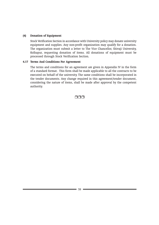#### (4) Donation of Equipment

Stock Verification Section in accordance with University policy may donate university equipment and supplies. Any non-profit organization may qualify for a donation. The organization must submit a letter to The Vice Chancellor, Shivaji University, Kolhapur, requesting donation of items. All donations of equipment must be processed through Stock Verification Section.

#### 4.17 Terms And Conditions For Agreement

The terms and conditions for an agreement are given in Appendix IV in the form of a standard format. This form shall be made applicable to all the contracts to be executed on behalf of the university. The same conditions shall be incorporated in the tender documents. Any change required in this agreement/tender document, considering the nature of items, shall be made after approval by the competent authority.

nnn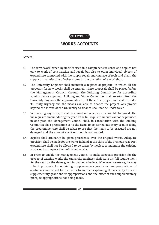

# WORKS ACCOUNTS

General

- 5.1 The term 'work' when by itself, is used in a comprehensive sense and applies not only to work of construction and repair but also to other individual objects of expenditure connected with the supply, repair and carriage of tools and plant, the supply or manufacture of other stores or the operation of a workshop.
- 5.2 The University Engineer shall maintain a register of projects, in which all the proposals for new works shall be entered. These proposals shall be placed before the Management Council through the Building Committee for according administrative approval. Building and Works Committee shall ascertain from the University Engineer the approximate cost of the entire project and shall consider its utility, urgency and the means available to finance the project. Any project beyond the means of the University to finance shall not be under-taken.
- 5.3 In financing any work, it shall be considered whether it is possible to provide the full requisite amount during the year. If the full requisite amount cannot be provided in one year, the Management Council shall, in consultation with the Building Committee fix a programme as to the items to be carried out every year. In fixing the programme, care shall be taken to see that the items to be executed are not damaged and the amount spent on them is not wasted.
- 5.4 Repairs shall ordinarily be given precedence over the original works. Adequate provision shall be made for the works in hand at the close of the previous year. Past expenditure shall not be allowed to go waste by neglect to maintain the existing works or to complete the unfinished works.
- 5.5 In order to enable the Management Council to make adequate provision for the upkeep of existing works the University Engineer shall state his full require-ment for the year on the dates given in budget schedule. Whenever necessary, he may submit proposals for obtaining supplementary grants or re-appropriations of allotments sanctioned for one work to another, explaining the necessity for such supplementary grant and re-appropriations and the effect of such supplementary grant/ re-appropriations not being made.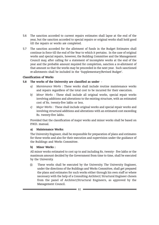- 5.6 The sanction accorded to current repairs estimates shall lapse at the end of the year, but the sanction accorded to special repairs or original works shall hold good till the repairs or works are completed.
- 5.7 The sanction accorded for the allotment of funds in the Budget Estimates shall continue in force till the end of the Year to which it pertains. In the case of original works and special repairs, however, the Building Committee and the Management Council may, after calling for a statement of incomplete works at the end of the year and the probable amount required for completion, sanction a re-allotment of that amount so that the works may be proceeded in the next year. Such sanctioned re-allotments shall be included in the 'Supplementary/Revised Budget'.

## Classification of Works

# 5.8 The works of the University are classified as under -

- a) Maintenance Works : These works shall include routine maintenance works and repairs regardless of the total cost to be incurred for their execution.
- b) Minor Works : These shall include all original works, special repair works involving additions and alterations to the existing structure, with an estimated cost of Rs. twenty-five lakhs or less.
- c) Major Works : These shall include original works and special repair works and involving structural additions and alterations with an estimated cost exceeding Rs. twenty-five lakhs.

Provided that the classification of major works and minor works shall be based on P.W.D. manual.

#### a) Maintenance Works:

The University Engineer, shall be responsible for preparation of plans and estimates for these works and also for their execution and supervision under the guidance of the Buildings and Works Committee.

# b) Minor Works :

All minor works estimated to cost up to and including Rs. twenty- five lakhs or the maximum amount decided by the Government from time to time, shall be executed by the University.

(i) These works shall be executed by the University. The University Engineer, under the directions of the Buildings and Works Committee, shall get prepared the plans and estimates for such works either through his own staff or where necessary with the help of a Consulting Architect/ Structural Engineer chosen from the panel of Architect/Structural Engineers, as approved by the Management Council.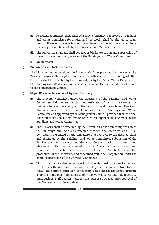- (ii) As a general principle, there shall be a panel of Architects approved by Buildings and Works Committee for a year, and the works shall be allotted to them serially. However the selection of the Architect, who is not on a panel, for a specific job shall be made by the Buildings and Works Committee.
- (iii) The University Engineer, shall be responsible for execution and supervision of these works under the guidance of the Buildings and Works Committee.

## c) Major Works :

## (i) Preparation of Block Estimates

The block estimates of all original Works shall be prepared by the University Engineer, to assess the rough cost of the work with a view to determining whether the work shall be executed by the University or by the Public Works Department. The Buildings and Works Committee shall recommend the estimated cost of a work to the Management Council.

## (ii) Major Works to be executed by the University :

- (i) The University Engineer under the directions of the Buildings and Works Committee shall prepare the plans and estimates of such works through his staff or whenever necessary with the help of consulting Architect/Structural Engineer chosen from the panel prepared by the Buildings and Works Committee and approved by the Management Council, provided that, the final selection of the Consulting Architect/Structural Engineer shall be made by the Buildings and Works Committee.
- (ii) These works shall be executed by the University under direct supervision of the Buildings and Works Committee through the Architect and R.C.C. Consultants appointed by the University. The approval to the detailed plans and estimates by the Buildings and Works Committee, submission of the detailed plans to the concerned Municipal Corporation for its approval and obtaining of the commencement certificate', occupation certificate and completion certificate, shall be carried out by the Architects as per the procedures of the University and concerned Municipal Corporation under the overall supervision of the University Engineer.
- (iii) The University may also execute works of estimated cost exceeding Rs. twentyfive lakhs or the maximum amount decided by the Government, from time to time, if the nature of such work is not complicated and the concerned structure is up to ground plus three floors and/or the work involves multiple repetitive units such as. staff quarters, etc. For this purpose however, prior approval of the Chancellor shall be obtained.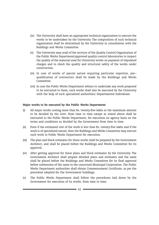- (iv) The University shall have an appropriate technical organization to execute the works to be undertaken by the University. The composition of such technical organization shall be determined by the University in consultation with the Buildings and Works Committee.
- (v) The University may avail of the services of the Quality Control Organization of the Public Works Department/approved quality control laboratories to inspect the quality of the material used for University works on payment of stipulated charges and to check the quality and structural safety of the works under construction.
- (vi) In case of works of special nature requiring particular expertise, pre- qualification of contractors shall be made by the Buildings and Works Committee.
- (vii) In case the Public Works Department refuses to undertake any work proposed to be entrusted to them, such works shall also be executed by the University with the help of such specialised authorities/ Departmental Individuals.

#### Major works to be executed by the Public Works Department

- (i) All major works costing more than Rs. twenty-five lakhs or the maximum amount to be decided by the Govt. from time to time except as stated above shall be entrusted to the Public Works Department, for execution on agency basis on the terms and conditions as decided by the Government from time to time.
- (ii) Even if the estimated cost of the work is less than Rs. twenty-five lakhs and if the work is of specialized nature, then the Buildings and Works Committee may entrust such work to Public Works Department for execution.
- (iii) The plan and block estimates for these works shall be prepared by the Government Architect, and shall be placed before the Buildings and Works Committee for its approval.
- (iv) After getting approval for these plans and block estimates by the University. The Government Architect shall prepare detailed plans and estimates and the same shall be placed before the Buildings and Works Committee for its final approval before submission of the same to the concerned Municipal Corporation. The Public Works Department authorities shall obtain Commencement Certificate, as per the procedure adopted for the Government buildings.
- (v) The Public Works Department shall follow the procedures laid down by the Government for execution of its works, from time to time.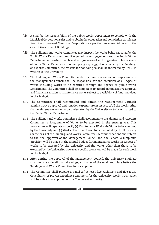- (vi) It shall be the responsibility of the Public Works Department to comply with the Municipal Corporation rules and to obtain the occupation and completion certificates from' the concerned Municipal Corporation as per the procedure followed in the case of Government Buildings.
- (vii) The Buildings and Works Committee may inspect the works being executed by the Public Works Department and if required make suggestions and the Public Works Department authorities shall take due cognisance of such suggestions. In the event of Public Works Department not accepting any suggestions made by the Buildings and Works Committee, the reasons for not doing so shall be intimated by P.W.D. in writing to the University.
- 5.9 The Building and Works Committee under the direction and overall supervision of the Management Council shall be responsible for the execution of all types of works including works to be executed through the agency of public works Department. The Committee shall be competent to accord administrative approval and financial sanction to maintenance works subject to availability of funds provided in the budget.
- 5.10 The Committee shall recommend and obtain the Management Councils administrative approval and sanction expenditure in respect of all the works other than maintenance works to be undertaken by the University or to be entrusted to the Public Works Department.
- 5.11 The Buildings and Works Committee shall recommend to the Finance and Accounts Committee, a Programme of Works to be executed in the ensuing year. This programme will separately specify (a) Maintenance Works. (b) Works to be executed by the University and (c) Works other than those to be executed by the University. On the basis of the Buildings and Works Committee's recommendations and subject to the final approval of the Management Council and, the Senate, a lump sum provision will be made in the annual budget for maintenance works. In respect of works to be executed by the University and the works other than those to be executed by the University, however, specific provision will be made for each work in the budget.
- 5.12 After getting the approval of the Management Council, the University Engineer shall prepare a detail plan, drawings, estimates of the work and place before the Buildings and Works Committee for its approval.
- 5.13 The Committee shall prepare a panel .of at least five Architects and five R.C.C. Consultants of proven experience and merit for the University Works. Such panel will be subject to approval of the Competent Authority.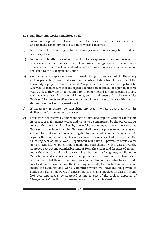#### 5.14 Buildings and Works Committee shall-

- i) maintain a separate list of contractors on the basis of their technical experience and financial capability for execution of works concerned.
- ii) be responsible for getting technical scrutiny carried out as may be considered necessary by it.
- iii) be responsible after careful scrutiny for the acceptance of tenders received for works concerned and in case where it proposes to assign a work to a contractor whose tender is not the lowest, it will record its reasons in writing and recommend the same to the Management Council.
- iv) exercise general supervision over the work of engineering staff of the University and in particular ensure that essential records and data like the register of the University's properties and the works' register etc. are maintained up to date. Likewise, it shall ensure that the rejected tenders are retained for a period of three years, unless they are to be required for a longer period for any specific purpose such as court case, departmental inquiry, etc. It shall ensure that the University Engineer/ Architects certifies the completion of works in accordance with the final design, in respect of concerned works.
- v) if necessary associate the consulting Architects, where appointed with its deliberation for the works concerned.
- vi) settle rates not covered by tender and settle claims and disputes with the contractors in respect of maintenance works and works to be undertaken by the University. As regards the works undertaken by the Public Works Department, the Executive Engineer or the Superintending Engineer shall have the power to settle rates not covered by tender under powers delegated to him in Public Works Department. As regards the claims and disputes with contractors in respect of such works, the Chief Engineer of Public Works Department will have full powers to settle claims up to Rs. One lakh whether or not sanctioning such claims involves excess over the approved cost beyond permissible limit of 10%. The claims and disputes of amount more than Rs. One lakh will be examined by the Chief Engineer, Public Works Department and if it is convinced that prima-facie the contractors' claim is not frivolous and that there is some substance in the claim of the contractors as would merit a detailed examination, the Chief Engineer will place such claim for decision before the Buildings and Works Committee which will have the full powers to settle such claims. However, if sanctioning such claims involves an excess beyond l0% over and above the approved estimated cost of the project, approval of Management Council to such excess amount shall be obtained.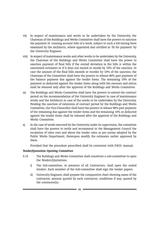- vii) In respect of maintenance and works to be undertaken by the University, the Chairman of the Buildings and Works Committee shall have the powers to sanction the payment of running account bills of a work, subject to such a bill having been examined by the Architects, where appointed and certified as 'fit for payment' by the University Engineer.
- viii) In respect of maintenance works and other works to be undertaken by the University, the Chairman of the Buildings and Works Committee shall have the power to sanction payment of final bills if the overall deviation in the bills is within the sanctioned estimates or if it does not exceed or recede by 10% of the sanction. In case the amount of the final bills exceeds or recedes by 10% of the sanction, the Chairman of the Committee shall have the powers to release 90% part payment of the balance payment due against the tender items. The remaining 10% of the payment so deducted against the tender items along with the excesses and extras shall be released only after the approval of the Buildings and Works Committee.
- ix) The Buildings and Works Committee shall have the powers to extend the contract period on the recommendation of the University Engineer in case of maintenance works and the Architects in case of the works to be undertaken by the University. Pending the sanction of extension of contract period by the Buildings and Works Committee, the Vice-Chancellor shall have the powers to release 90% part payment of the remaining due against the tender items and the remaining 10% so deducted against the tender items shall be released after the approval of the Buildings and Works Committee.
- x) In the case of works executed by the University under its supervision, the committee shall have the powers to settle and recommend to the Management Council the escalation of rates over and above the tender rates as per norms adopted by the Public Works Department, thereupon modify the estimates earlier approved by them.

Provided that the procedure prescribed shall be consistent with P.W.D. manual.

# Tender/Quotation Opening Committee

- 5.15 The Buildings and Works Committee shall constitute a sub-committee to open the Tenders/Quotations.
	- i) The Sub-committee, in presence of all Contractors, shall open the sealed tenders. Each member of the Sub-committee shall sign the tender papers.
	- ii) University Engineer, shall prepare the comparative chart showing name of the contractor, amount quoted by each contractor, conditions if any; quoted by the contractor(s).-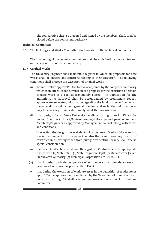The comparative chart so prepared and signed by the members, shall, then be placed before the competent authority.

# Technical Committee

5.16 The Buildings and Works Committee shall constitute the technical committee.

The functioning of the technical committee shall- be as defined by the statutes and ordinances of the concerned university.

# 5.17 Original Works

The University Engineer shall maintain a register in which all proposals for new works shall be entered and sanctions relating to their execution. The following conditions shall precede the execution of original works :-

- (i) 'Administrative approval' is the formal acceptance by the competent authority which is in effect its concurrence in the proposal for the execution of certain specific work at a cost approximately stated. An application for the administrative approval shall be accompanied by preliminary report, approximate estimates, information regarding the fund or source from which the expenditure will be met, general drawing and such other information as may be necessary to indicate roughly what the proposals are,
- (ii) that designs for all future University buildings costing up to Rs. 25 lacs, be invited from the Architect/Engineer amongst the approved panel of eminent Architects/Engineers as approved by Management council, along with terms and conditions.

In selecting the designs the availability of carpet area of various blocks to suit special requirements of the project as also the overall economy in cost of construction as distinguished from purely Architectural beauty shall receive special consideration.

- (iii) that open tenders be invited from the registered Contractors in the appropriate classes with (a) State P.W.D. (b) State Irrigation Deptt. (c) Maharashtra Jeevan Pradhikaran Authority, (d) Municipal Corporation etc. (e) M.I.D.C.
- (iv) that in order to obtain competitive offers, tenders shall provide a clear cut price variation clause as per the State P.W.D.
	- (v) that during the execution of work, excesses in the quantities of tender items up to 10% be approved and sanctioned by the Vice-chancellor and that such excesses exceeding 10% shall have prior approval and sanction of the Building Committee.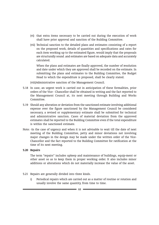- (vi) that extra items necessary to be carried out during the execution of work shall have prior approval and sanction of the Building Committee.
- (vii) Technical sanction to the detailed plans and estimates consisting of a report on the proposed work, details of quantities and specifications and rates for each item working up to the estimated figure, would imply that the proposals are structurally sound .and estimates are based on adequate data and accurately calculated.

When the plans and estimates are finally approved, the number of resolution and date under which they are approved shall be recorded on the estimate. In submitting the plans and estimates to the Building Committee, the Budget Head to which the expenditure is proposed, shall be clearly stated.

(viii)Administrative sanction of the Management Council.

- 5.18 In case, an urgent work is carried out in anticipation of these formalities, prior orders of the Vice - Chancellor shall be obtained in writing and the fact reported to the Management Council at, its next meeting through Building and Works Committee.
- 5.19 Should any alteration or deviation from the sanctioned estimate involving additional expense over the figure sanctioned by the Management Council be considered necessary, a revised or supplementary estimate shall be submitted for technical and administrative sanction. Cases of material deviation from the approved estimates shall be reported to the Building Committee even if the total expenditure is within the sanctioned estimate.
- Note: -In the case of urgency and when it is not advisable to wait till the date of next meeting of the Building Committee, petty and minor deviations not involving major changes in the design may be made under the written order of the Vice-Chancellor and the fact reported to the Building Committee for ratification at the time of its next meeting.
- 5.20 Repairs

The term "repairs" includes upkeep and maintenance of buildings, equip-ment or other asset so as to keep them in proper working order. It also includes minor additions or alterations which do not materially increase the value of the asset.

- 5.21 Repairs are generally divided into three kinds.
	- i) Periodical repairs which are carried out as a matter of routine or rotation and usually involve the same quantity, from time to time.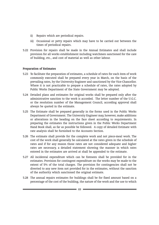- ii) Repairs which are periodical repairs.
- iii) Occasional or petty repairs which may have to be carried out between the times of periodical repairs.
- 5.22 Provision for repairs shall be made in the Annual Estimates and shall include provision for all works establishment including watchmen sanctioned for the care of building, etc., and cost of material as well as other labour.

# Preparation of Estimates

- 5.23 To facilitate the preparation of estimates, a schedule of rates for each item of work commonly executed shall be prepared every year in March, on the basis of the prevailing rates, by the University Engineer and sanctioned by the Vice-Chancellor. Where it is not practicable to prepare a schedule of rates, the rates adopted by Public Works Department of the State Government may be adopted.
- 5.24 Detailed plans and estimates for original works shall be prepared only after the administrative sanction to the work is accorded. The letter number of the U.G.C. or the resolution number of the Management Council, according approval shall always be quoted in the estimate.
- 5.25 The Estimate shall be prepared generally in the forms used in the Public Works Department of Government. The University Engineer may, however, make additions or alterations in the heading on the face sheet according to requirements. In preparing the estimates the instructions given in the Public Works Department Hand Book shall, as far as possible be followed. A copy of detailed Estimate with rate analysis shall be furnished to the Accounts Section.
- 5.26 The estimate shall provide for the complete work and not piece-meal work. The cost of the work shall generally be calculated at the rates given in the schedule of rates and if for any reason those rates are not considered adequate and higher rates are necessary, a detailed statement showing the manner in which rates entered in the estimates are arrived at shall be appended to the estimate.
- 5.27 All incidental expenditure which can be foreseen shall be provided for in the estimates. Provision for contingent expenditure on the works may be made to the extent of 5% of the total charges. The provision for contingencies shall not be diverted to any new item not provided for in the estimates, without the sanction of the authority which sanctioned the original estimate.
- 5.28 The annual repairs estimates for buildings shall be for fixed amount based on a percentage of the cost of the building, the nature of the work and the use to which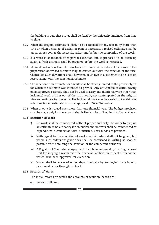the building is put. These rates shall be fixed by the University Engineer from time to time.

- 5.29 When the original estimate is likely to be exceeded for any reason by more than 10% or when a change of design or plan is necessary, a revised estimate shall be prepared as soon as the necessity arises and before the completion of the work.
- 5.30 If a work is abandoned after partial execution and is proposed to be taken up again, a fresh estimate shall be prepared before the work is restarted.
- 5.31 Minor deviations within the sanctioned estimate which do not necessitate the preparation of revised estimate may be carried out with the sanction of the Vice-Chancellor. Such deviations shall, however, be shown in a statement to be kept on record along with the sanctioned estimate.
- 5.32 The sanction to an estimate for a work shall be strictly limited to the precise object for which the estimate was intended to provide. Any anticipated or actual saving on an approved estimate shall not be used to carry out additional work other than incidental work arising out of the main work, not contemplated in the original plan and estimate for the work. The incidental work may be carried out within the total sanctioned estimate with the approval of Vice-Chancellor.
- 5.33 When a work is spread over more than one financial year. The budget provision shall be made only for the amount that is likely to be utilized in that financial year.

# 5.34 Execution of Work

- i) No work shall be commenced without proper authority. An order to prepare an estimate is no authority for execution and no work shall be commenced or expenditure in connection with it incurred, until funds are provided.
- ii) With regard to the execution of works, verbal orders shall not be given, but where such orders are given they shall be confirmed in writing as soon as possible after obtaining the sanction of the competent authority.
- iii) A Register of Commitments/payment shall be maintained by the Engineering Unit for keeping a watch over the financial liabilities in respect of the works which have been approved for execution.
- iv) Works shall be executed either departmentally by employing daily labour/ piece workers or through contract.

# 5.35 Records of Works

The initial records on which the accounts of work are based are :

(a) muster roll, and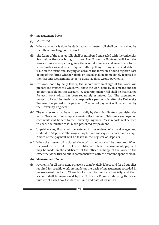- (b) measurement books.
- (a) Muster roll
- (i) When any work is done by daily labour, a muster roll shall be maintained by the official in-charge of the work.
- (ii) The forms of the muster rolls shall be numbered and sealed with the University Seal before they are brought in use. The University Engineer will keep the forms in his custody after giving them serial numbers and issue them to his subordinates as and when required after putting his signature and date of issue on the forms and keeping an account the forms in a bound register. Loss of any of the forms whether blank, or issued shall be immediately reported to the Accounts Department so as to guard against wrong payments.
- (iii) For work done by daily labour, the subordinate in-charge of the work will prepare the muster roll which will show the work done by this means and the amount payable on this account. A separate muster roll shall be maintained for each work which has been separately estimated for. The payment on muster roll shall be made by a responsible person only after the University Engineer has passed it for payment. The fact of payment will be certified by the University Engineer.
- (iv) The muster roll shall be written up daily by the subordinate, supervising the work. Every morning a report showing the number of labourers employed on each work shall be sent to the University Engineer. These reports will be used to check the muster rolls, when presented for payment.
- (v) Unpaid wages, if any, will be entered in the register of unpaid wages and credited to "deposits". The wages may be paid subsequently on a hand receipt. A note of the payment will be taken in the Register of Deposits.
- (vi) When the muster roll is closed, the work turned out shall be measured. When the work turned out is not susceptible of detailed measurement, payment may be made on the certificates of the officer-in-charge of the work to the effect the work turned out is commensurate with the amount spent thereon.

# (b) Measurement Books

(i) Payments for all work done otherwise than by daily labour and for all supplies required for specific work are made on the basis of measurement recorded in measurement books. These books shall be numbered serially and their account shall be maintained by the University Engineer showing the serial number of each book the date of issue and date of its return.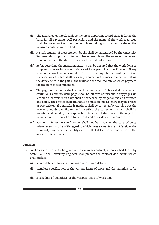- (ii) The measurement Book shall be the most important record since it forms the basis for all payments. Full particulars and the name of the work measured shall be given in the measurement book, along with a certificate of the measurements being checked.
- (iii) A stock register of measurement books shall be maintained by the University Engineer showing the printed number on each book, the name of the person to whom issued, the date of issue and the date of return.
- (iv) Before recording the measurements, it shall be ensured that the work done or supplies made are fully in accordance with the prescribed specifications. If any item of a work is measured before it is completed according to the. specifications, the fact shall be clearly recorded in the measurement indicating the deficiencies in the part of the work and the reduced rate at which payment for the item is recommended.
- (v) The pages of the books shall be machine numbered. Entries shall be recorded continuously and no blank pages shall be left torn or torn out. If any pages are left blank inadvertently, they shall be cancelled by diagonal line and attested and dated. The entries shall ordinarily be made in ink. No entry may be erased or overwritten. If a mistake is made, it shall be corrected by crossing out the incorrect words and figures and inserting the corrections which shall be initiated and dated by the responsible official. A reliable record is the object to be aimed at as it may have to be produced as evidence in a Court of Law.
- (vi) Payments for unmeasured works shall not be made. In the case of petty miscellaneous works with regard to which measurements are not feasible, the University Engineer shall certify on the bill that the work done is worth the amount claimed for it.

## **Contracts**

- 5.36 In the case of works to be given out on regular contract, in prescribed form by State P.W.D. the University Engineer shall prepare the contract documents which shall include:-
	- (i) a complete set drawing showing the required details.
	- (ii) complete specification of the various items of work and the materials to be used.
	- (iii) a schedule of quantities of the various items of work and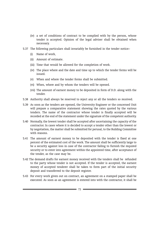- (iv) a set of conditions of contract to be complied with by the person, whose tender is accepted. Opinion of the legal adviser shall be obtained when necessary.
- 5.37 The following particulars shall invariably be furnished in the tender notice:-
	- (i) Name of work,
	- (ii) Amount of estimate.
	- (iii) Time that would be allowed for the completion of work.
	- (iv) The place where and the date and time up to which the tender forms will be issued.
	- (v) When and where the tender forms shall be submitted.
	- (vi) When, where and by whom the tenders will be opened.
	- (vii) The amount of earnest money to be deposited in form of D.D. along with the tender.
- 5.38 Authority shall always be reserved to reject any or all the tenders so received.
- 5.39 As soon as the tenders are opened, the University Engineer or the concerned Unit will prepare a comparative statement showing the rates quoted by the various tenders. The name of the contractor whose tender is finally accepted will be recorded at the end of the statement under the signature of the competent authority.
- 5.40 Normally, the lowest tender shall be accepted after ascertaining the capacity of the contractor. In cases where it is decided to accept a tender other than the lowest or by negotiation, the matter shall be submitted for perusal, to the Building Committee with reasons.
- 5.41 The amount of earnest money to be deposited with the tender is fixed at one percent of the estimated cost of the work. The amount shall be sufficiently large to be a security against loss in case of the contractor failing to furnish the required security or to enter into agreement within the appointed time, after acceptance of the tender, as the case may be.
- 5.42 The demand drafts for earnest money received with the tenders shall be refunded to the party whose tender is not accepted. If the tender is accepted, the earnest money of accepted tenderer shall be taken to form part of the initial security deposit and transferred to the deposit register.
- 5.43 For every work given out on contract, an agreement on a stamped paper shall be executed. As soon as an agreement is entered into with the contractor, it shall be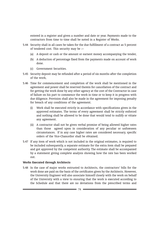entered in a register and given a number and date or year. Payments made to the contractors from time to time shall be noted in a Register of Works.

- 5.44 Security shall in all cases be taken for the due fulfillment of a contract as 5 percent of tendered cost. This security may be :--
	- (a) A deposit or cash or the amount or earnest money accompanying the tender,
	- (b) A deduction of percentage fixed from the payments made on account of work done.
	- (c) Government Securities.
- 5.45 Security deposit may be refunded after a period of six months after the completion of the work,
- 5.46 Time for commencement and completion of the work shall be mentioned in the agreement and power shall be reserved therein for cancellation of the contract and for getting the work done by any other agency at the cost of the Contractor in case of failure on his part to commence the work in time or to keep it in progress with due diligence. Provision shall also be made in the agreement for imposing penalty for breach of any conditions of the agreement.
	- (i) Work shall be executed strictly in accordance with specifications given in the approved estimates. The terms of every agreement shall be strictly enforced and nothing shall be allowed to be done that would tend to nullify or vitiate any agreement.
	- (ii) A contractor shall not be given verbal promise of being allowed higher rates than those agreed upon in consideration of any peculiar or unforeseen circumstances. If in any case higher rates are considered necessary, specific orders of the Vice-Chancellor shall be obtained.
- 5.47 If any item of work which is not included in the original estimates, is required to be included subsequently, a separate estimate for the extra item shall be prepared and got approved by the competent authority. The estimate shall be accompanied by a statement giving complete analysis showing how the rate has been worked out.

# Works Executed through Architects

5.48 In the case of major works entrusted to Architects, the contractors' bills for the work done are paid on the basis of the certificates given by the Architects. However, the University Engineer will also associate himself closely with the work on behalf of the University with a view to ensuring that the work is executed according to the Schedule and that there are no deviations from the prescribed terms and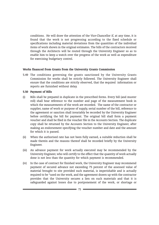conditions. He will draw the attention of the Vice-Chancellor if, at any time, it is found that the work is not progressing according to the fixed schedule or specifications including material deviations from the quantities of the individual items of work shown in the original estimates. The bills of the contractors received through the Architects will be routed through the University Engineer so as to enable him to keep a watch over the progress of the work as well as expenditure for exercising budgetary control.

# Works financed from Grants from the University Grants Commission

5.49 The conditions governing the grants sanctioned by the University Grants Commission for works shall be strictly followed. The University Engineer shall ensure that the conditions are strictly observed, that the required information or reports are furnished without delay.

## 5.50 Payment of Bills

- (i) Bills shall be prepared in duplicate in the prescribed forms. Every bill (and muster roll) shall bear reference to the number and page of the measurement book in which the measurements of the work are recorded. The name of the contractor or supplier, name of work or purpose of supply, serial number of the bill, reference to the agreement or sanction shall invariably be recorded by the University Engineer before certifying the bill for payment. The original bill shall form a payment voucher and shall be filed in the voucher file in the Accounts Section. The duplicate copy shall be returned by the Accounts Section to the University Engineer, after making an endorsement specifying the voucher number and date and the amount for which it is passed.
- (ii) When the authorised rate has not been fully earned, a suitable reduction shall be made therein and the reasons thereof shall be recorded briefly by the University Engineer.
- (iii) An advance payment for work actually executed may be recommended by the University Engineer, who will certify to the effect that the quantity of work actually done is not less than the quantity for which payment is recommended.
- (iv) In the case of contract for finished work, the University Engineer may recommend payment of secured advance not exceeding 75 percent of the assessed value of material brought to site provided such material, is imperishable and is actually required to be "used on the work, and the agreement drawn up with the contractor provides that the University secures a lien on such materials and that it is safeguarded against losses due to postponement of the work, or shortage or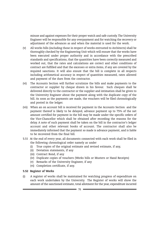misuse and against expenses for their proper watch and safe custody. The University Engineer will be responsible for any overpayment and for watching the recovery or adjustment of the advances as and when the material is used for the work.

- (v) All works bills (including those in respect of works entrusted to Architects) shall be thoroughly checked by the Engineering Unit which will ensure that the works have been executed under proper authority and in accordance with the prescribed standards and specifications, that the quantities have been correctly measured and worked out, that the rates and calculations are correct and other conditions of contract are fulfilled and that the excesses or extra items, if any are covered by the required sanctions. It will also ensure that the bill is complete in all respects including arithmetical accuracy in respect of quantities measured, rates allowed and payment of the dues from the contractor.
- (vi) The Accounts Section will further scrutinize the bills and make payments to the contractor or supplier by cheque drawn in his favour. Such cheques shall be delivered directly to the contractor or the supplier and intimation shall be given to the University Engineer about the payment along with the duplicate copy of the bill. As soon as the payments are made, the vouchers will be filed chronologically and posted in the ledger.
- (vii) When an on account bill is received for payment in the Accounts Section and the payment thereof is likely to be delayed, advance payment up to 75% of the net amount certified for payment in the bill may be made under the specific orders of the Vice-Chancellor which shall be obtained after recording the reasons for the delay. A note of such payment shall be taken on the bill in the contractor's ledger account and other relevant books of account. The contractor shall also be immediately informed that the payment so made is advance payment, and is liable to be recovered from the final bill.
- 5.51 At the end of every year, all documents connected with each work shall be filed in the following chronological order namely as under
	- (i) True copies of the original estimate and revised estimate, if any,
	- (ii) Deviation statements, if any
	- (iii) Contract Bond, if any
	- (iv) Duplicate copies of vouchers (Works bills or Musters or Hand Receipts)
	- (v) Remarks of the University Engineer, if any
	- (vi) Completion certificate, if any.

# 5.52 Register of Works

(i) A register of works shall be maintained for watching progress of expenditure on each work undertaken by the University. The Register of works will show the amount of the sanctioned estimate, total allotment for the year, expenditure incurred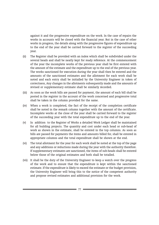against it and the progressive expenditure on the work. In the case of repairs the works in accounts will be closed with the financial year. But in the case of other works in progress, the details along with the progressive figures of expenditure up to the end of the year shall be carried forward to the register of the succeeding year.

- (ii) The Register shall be provided with an index which shall be subdivided under the several heads and shall be neatly kept for ready reference. At the commencement of the year the incomplete works of the previous year shall be first entered with the amount of the estimate and the expenditure up to the end of the previous year. The works sanctioned for execution during the year shall then be entered and the amounts of the sanctioned estimates and the allotment for each work shall be noted and each entry shall be initialled by the University Engineer in token of correctness, Any changes in the allotments subsequently made and the amounts of revised or supplementary estimate shall be similarly recorded.
- (iii) As soon as the work bills are passed for payment, the amount of each bill shall be posted in the register in the account of the work concerned and progressive total shall be taken in the column provided for the same.
- (iv) When a work is completed, the fact of the receipt of the completion certificate shall be noted in the remark column together with the amount of the certificate. Incomplete works at the close of the year shall be carried forward to the register of the succeeding year with the total expenditure up to the end of the year.
- (v) In addition to the Register of Works a detailed Work Ledger shall be maintained for all building projects. The quantity and cost under each head or sub-head of work as shown in the estimate, shall be entered in the top columns. As soon as bills are passed for payments the items and amounts billed for, shall be entered in appropriate columns and the total expenditure shall be shown at the end.
- (vi) The total allotment for the year for each work shall be noted at the top of the page and any additions or reductions made during the year with the authority therefore. If supplementary estimates are sanctioned, the items of sub-heads shall be entered below those of the original estimates and both shall be totalled.
- (vii) It shall be the duty of the University Engineer to keep a watch over the progress of the work and to ensure that the expenditure is kept within the sanctioned estimate. If the expenditure is likely to exceed the estimate or the budget provision, the University Engineer will bring this to the notice of the competent authority and propose revised estimates and additional provision for the work.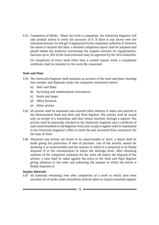5.53 Completion of Works - When the work is completed, the University Engineer will take prompt action to settle the accounts of it. If there is any excess over the estimated amount, he will get it regularised by the competent authority. If, however, the excess is beyond this limit, a detailed completion report shall be prepared and placed before the authority sanctioning the original estimate for regularisation. Excesses up to 10% of the total estimates may be approved by the Vice-Chancellor.

On completion of every work other than a current repairs work, a completion certificate shall be recorded in the work file concerned.

# Tools and Plant

- 5.54 The University Engineer shall maintain an account of the tools and plant showing that receipts and disposals under the categories mentioned below:-
	- (a) Tools and Plant.
	- (b) Surveying and mathematical instruments
	- (c) Books and maps.
	- (d) Office furniture.
	- (e) Other articles.
- 5.55 All articles shall be examined and counted when delivery is taken and entered in the Measurement Book and Tools and Plant Register. The articles shall be issued only on receipt of a requisition and their return watched, through a register. The articles shall be physically checked by the University Engineer and a certificate of such check furnished to the Registrar every year in July. A register shall be maintained in the University Engineer's office to show the rent recovered from contractors for the loan of Tools.
- 5.56 Whenever any articles are found to be unserviceable or short, a report shall be made giving the particulars of date of purchase, cost of the articles, reason for declaring it as unserviceable and the manner in which it is proposed to be finally disposed of or the circumstances in which the shortage arose. After obtaining sanction of the competent authority for the write off and/or the disposal of the articles, a note shall be taken against the entry in the Tools and Plant Register giving reference to the order and indicating the manner in which the article is finally disposed of.

## Surplus Materials

5.57 All materials remaining over after completion of a work or which have been received out of works under demolition shall be taken to surplus materials register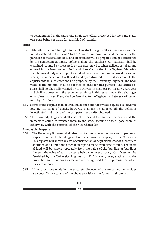to be maintained in the University Engineer's office, prescribed for Tools and Plant, one page being set apart for each kind of material.

## Stock

- 5.58 Materials which are brought and kept in stock for general use on works will be, initially debited to the head "stock". A lump sum provision shall be made for the purchase of material for stock and an estimate will be prepared and got sanctioned by the competent authority before making the purchase. All materials shall be examined, counted or measured, as the case may be, when delivery is taken and entered in the Measurement Book and thereafter in the Stock Register. Materials shall be issued only on receipt of an indent. Whenever material is issued for use on works, the works account will be debited by contra credit to the stock account. The adjustments in such cases shall be proposed by the University Engineer. The book value of the material shall be adopted as basis for this purpose. The articles of stock shall be physically verified by the University Engineer on 1st July, every year and shall be agreed with the ledger. A certificate in this respect indicating shortages or surpluses noticed, if any, shall be furnished to the Registrar and stores verification unit, by 15th July.
- 5.59 Stores found surplus shall be credited at once and their value adjusted as revenue receipt. The value of deficit, however, shall not be adjusted till the deficit is investigated and orders of the competent authority obtained.
- 5.60 The University Engineer shall also take stock of the surplus materials and the immediate action to transfer them to the stock account or to dispose them of otherwise, with the approval of the Vice-Chancellor.

## Immovable Property

- 5.61 The University Engineer shall also maintain register of immovable properties in respect of all lands, buildings and other immovable property of the University. This register will show the cost of construction or acquisition, cost of subsequent additions and alterations other than repairs made from time to time. The value of land will be shown separately from the value of the building or buildings thereon, the value of each structure being shown separately. Certificate will be furnished by the University Engineer on  $1<sup>st</sup>$  July every year, stating that the properties are in working order and are being used for the purpose for which they are intended.
- 5.62 If the provisions made by the statute/ordinances of the concerned universities are contradictory to any of the above provisions the former shall prevail.

# rrr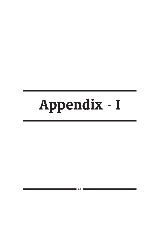# Appendix - I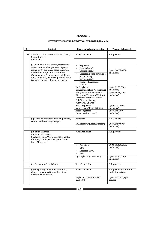## APPENDIX - I

## STATEMENT SHOWING DELEGATION OF POWERS (Financial)

| Sr | Subject                                                                                                                                                                                                                                                                                | Power to whom delegated                                                                                                                                                                      | Powers delegated                               |
|----|----------------------------------------------------------------------------------------------------------------------------------------------------------------------------------------------------------------------------------------------------------------------------------------|----------------------------------------------------------------------------------------------------------------------------------------------------------------------------------------------|------------------------------------------------|
| 1) | Administrative sanction for Purchases/<br>Expenditure -                                                                                                                                                                                                                                | Vice-Chancellor                                                                                                                                                                              | Full powers                                    |
|    | Recurring -                                                                                                                                                                                                                                                                            |                                                                                                                                                                                              |                                                |
|    | (i) Chemicals, Glass wares, stationery,<br>advertisement charges, contingency<br>items, petty supplies, store material,<br>Electronic Components and other<br>Consumables, Printing Material, Exam<br>Bills, University Fellowship scholarship<br>& any other item of recurring nature | Registrar<br>$\bullet$<br>Controller of<br>$\bullet$<br>Examinations<br>Director, Board of College<br>$\bullet$<br>& University<br>Development<br>Finance & Accounts<br>$\bullet$<br>Officer | Up to Rs.75,000/-<br>(inclusive)               |
|    |                                                                                                                                                                                                                                                                                        | Dy. Registrar                                                                                                                                                                                | Up to Rs.25,000/-<br>(inclusive)               |
|    |                                                                                                                                                                                                                                                                                        | (concerned)/Chief Accountant<br>HOD/Librarian/Coordinator/<br>Director of Students Welfare/<br>Director-Computer Centre/<br>Chief Rector/ Rector,<br>Vidhyarthi Bhavan                       | Up to Rs.25,000/-<br>(inclusive)               |
|    |                                                                                                                                                                                                                                                                                        | Asstt. Registrar<br>(concerned)/Medical Officer                                                                                                                                              | Upto Rs.5,000/-<br>(inclusive)                 |
|    |                                                                                                                                                                                                                                                                                        | Asstt. Registrar<br>(Stores and Accounts)                                                                                                                                                    | Upto Rs.5,000/-<br>(inclusive)                 |
|    | (ii) Sanction of expenditure on postage,<br>courier and franking charges                                                                                                                                                                                                               | Registrar<br>Dy. Registrar (Establishment)                                                                                                                                                   | Full Powers<br>Upto Rs.50,000/-<br>(inclusive) |
|    |                                                                                                                                                                                                                                                                                        |                                                                                                                                                                                              |                                                |
|    | (iii) Fixed Charges<br>Rents, Rates, Taxes,<br>Electricity bills, Telephone Bills, Water<br>Charges, Municipal Charges & Other<br>fixed Charges.                                                                                                                                       | Vice-Chancellor                                                                                                                                                                              | Full powers                                    |
|    |                                                                                                                                                                                                                                                                                        | Registrar<br>$\bullet$<br><b>COE</b><br>$\bullet$<br>Director-BCUD<br>FAO                                                                                                                    | Up to Rs.1,00,000/-<br>(inclusive)             |
|    |                                                                                                                                                                                                                                                                                        | Dy. Registrar (concerned)                                                                                                                                                                    | Up to Rs.20,000/-<br>(inclusive)               |
|    | (iv) Payment of legal charges                                                                                                                                                                                                                                                          | Vice-Chancellor                                                                                                                                                                              | Full powers                                    |
|    |                                                                                                                                                                                                                                                                                        |                                                                                                                                                                                              |                                                |
|    | (v) Hospitality and entertainment<br>charges in connection with visits of<br>distinguished visitors                                                                                                                                                                                    | Vice-Chancellor                                                                                                                                                                              | Full powers within the<br>budget provisions    |
|    |                                                                                                                                                                                                                                                                                        | Registrar, Director BCUD,<br>COE, FAO                                                                                                                                                        | Up to Rs.5,000/- per<br>annum                  |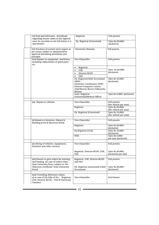| (vi) Fuel and lubricants. (Certificate<br>regarding entries taken in the logbook                                                      | Registrar                                                                                                                                        | Full powers                                |
|---------------------------------------------------------------------------------------------------------------------------------------|--------------------------------------------------------------------------------------------------------------------------------------------------|--------------------------------------------|
| must be recorded on the bill before it is<br>sanctioned.)                                                                             | Dy. Registrar (Concerned)                                                                                                                        | Upto Rs.20,000/-<br>(inclusive)            |
| (vii) Purchase of current news papers as<br>per norms subject to administrative<br>approval (excluding periodicals and<br>journals)   | University Librarian                                                                                                                             | Full powers                                |
| (viii) Repairs to equipment, machinery<br>including replacement of spare-parts<br>etc.                                                | Vice-Chancellor                                                                                                                                  | Full powers                                |
|                                                                                                                                       | Registrar<br>$\bullet$<br>COE<br>$\bullet$<br>Director BCUD<br>$\bullet$<br>FAO<br>$\bullet$                                                     | Upto Rs.50,000/-<br>(inclusive)            |
|                                                                                                                                       | Dy. Registrar/Chief Accountant<br>/HOD/<br>Librarian/Coordinator/DSW/<br>Director-Computer Centre/<br>Chief Rector/ Rector, Vidhyarthi<br>Bhavan | Upto Rs.10,000/-<br>(inclusive)            |
|                                                                                                                                       | Asstt. Registrar<br>(concerned)/Medical Officer                                                                                                  | Upto Rs.2,000/- (inclusive)                |
| (ix) Repairs to vehicles                                                                                                              | Vice-Chancellor                                                                                                                                  | Full powers<br>(Per vehicle per year)      |
|                                                                                                                                       | Registrar                                                                                                                                        | Upto Rs.25,000/-<br>(Per vehicle per year) |
|                                                                                                                                       | Dy. Registrar (Concerned)                                                                                                                        | Upto Rs.10,000/-<br>(Per vehicle per year) |
| (x) Repairs to furniture, Fixture &<br>Building (Civil & Electrical Work)                                                             | Vice-Chancellor                                                                                                                                  | Full powers                                |
|                                                                                                                                       | Registrar                                                                                                                                        | Upto Rs.20,000/-<br>(inclusive)            |
|                                                                                                                                       | Dy.Registrar (Civil)                                                                                                                             | Upto Rs.10,000/-<br>(inclusive)            |
|                                                                                                                                       | HOD                                                                                                                                              | Upto Rs.5,000/-<br>per year (inclusive)    |
| (xi) Hiring of vehicles, equipments,<br>furniture and other services                                                                  | Vice-Chancellor                                                                                                                                  | Full powers                                |
|                                                                                                                                       | Registrar, Director-BCUD, COE,<br>FAO                                                                                                            | Upto Rs.20,000/-<br>(inclusive) per year   |
| (xii) Powers to give orders for printing<br>and binding (in case of orders other<br>than University Press, subject to 'No             | Registrar, COE, Director-BCUD<br>and FAO                                                                                                         | Full powers                                |
| Objection Certificate' from University<br>Press)                                                                                      | Dy. Registrar (concerned) / Chief<br>Accountant                                                                                                  | Upto Rs.20,000/-<br>(inclusive)            |
| (xiii) Travelling Allowance claims<br>a) in case of the bills of the - Registrar,<br>COE, Director-BCUD, FAO & University<br>Teachers | Vice-Chancellor                                                                                                                                  | <b>Full Powers</b>                         |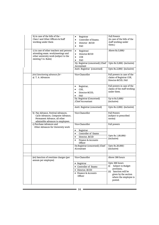| b) in case of the bills of the -<br>Class I and Other Officers & Staff<br>working under them                                                   | Registrar<br>$\bullet$<br>Controller of Exams.<br>$\bullet$<br>Director-BCUD<br>$\bullet$<br>FAO<br>$\bullet$ | <b>Full Powers</b><br>(in case of the bills of the<br>staff working under<br>them.) |
|------------------------------------------------------------------------------------------------------------------------------------------------|---------------------------------------------------------------------------------------------------------------|-------------------------------------------------------------------------------------|
| c) in case of other teachers and persons<br>attending exam. work/meetings and<br>other university work (subject to the<br>existing T.A. Rules) | Registrar/<br>$\bullet$<br>Director-BCUD<br>$\bullet$<br><b>COE</b><br>FAO                                    | Above Rs.5,000/-                                                                    |
|                                                                                                                                                | Dy. Registrar (concerned) / Chief<br>Accountant                                                               | Upto Rs.5,000/- (inclusive)                                                         |
|                                                                                                                                                | Asstt. Registrar (concerned)                                                                                  | Upto Rs.2,000/- (inclusive)                                                         |
| (xiv) Sanctioning advances for -<br>a) T. A. Advances                                                                                          | Vice-Chancellor                                                                                               | Full powers in case of the<br>claims of Registrar COE,<br>Director-BCUD, FAO        |
|                                                                                                                                                | Registrar,<br>$\bullet$<br>COE,<br>$\bullet$<br>Director-BCUD,<br>$\bullet$<br>FAO                            | Full powers in case of the<br>claims of the staff working<br>under them.            |
|                                                                                                                                                | Dy. Registrar (Concerned)<br>/Chief Accountant                                                                | Up to Rs.5,000/-<br>(inclusive)                                                     |
|                                                                                                                                                | Asstt. Registrar (concerned)                                                                                  | Upto Rs.2,000/- (inclusive)                                                         |
| b) Pay Advance, Festival Advances,<br>Cycle Advances, Computer Advance,<br>Permanent Advance, all other<br>admissible advances to employees.   | Vice-Chancellor                                                                                               | <b>Full Powers</b><br>(subject to prescribed<br>norms)                              |
| c) Purchase Advances and<br>Other Advances for University work                                                                                 | Vice-Chancellor                                                                                               | Full powers                                                                         |
|                                                                                                                                                | Registrar<br>$\bullet$                                                                                        |                                                                                     |
|                                                                                                                                                | Controller of Exams<br>$\bullet$                                                                              |                                                                                     |
|                                                                                                                                                | Director, BCUD<br>$\bullet$                                                                                   | Upto Rs.1,00,000/-<br>(inclusive)                                                   |
|                                                                                                                                                | Finance & Accounts<br>$\bullet$<br>Officer                                                                    |                                                                                     |
|                                                                                                                                                | Dy.Registrar (concerned) /Chief<br>Accountant                                                                 | Upto Rs.20,000/-<br>(inclusive)                                                     |
|                                                                                                                                                |                                                                                                               |                                                                                     |
| (xv) Sanction of overtime charges (per<br>annum per employee)                                                                                  | Vice-Chancellor                                                                                               | Above 300 hours                                                                     |
|                                                                                                                                                | $\bullet$ Registrar                                                                                           | Upto 300 hours                                                                      |
|                                                                                                                                                | • Controller of Exams                                                                                         | Subject to Budget<br>(i)<br>provision,                                              |
|                                                                                                                                                | · Director, BCUD                                                                                              | (ii) Sanction will be                                                               |
|                                                                                                                                                | • Finance & Accounts<br>Officer                                                                               | given by the section<br>where the employee is<br>posted.                            |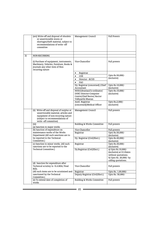|    | (xvi) Write-off and disposal of obsolete<br>or unserviceable stores or<br>shortages/theft material, subject to<br>recommendations of write -off<br>committee                      | Management Council                                                                                       | <b>Full Powers</b>                                                                                                       |
|----|-----------------------------------------------------------------------------------------------------------------------------------------------------------------------------------|----------------------------------------------------------------------------------------------------------|--------------------------------------------------------------------------------------------------------------------------|
|    |                                                                                                                                                                                   |                                                                                                          |                                                                                                                          |
| 2) | NON-RECURRING                                                                                                                                                                     |                                                                                                          |                                                                                                                          |
|    | (i) Purchase of equipment, instruments,<br>Machinery, Vehicles, Furniture, Books &<br>Journals any other item of Non-<br>recurring nature                                         | Vice-Chancellor                                                                                          | Full powers                                                                                                              |
|    |                                                                                                                                                                                   | Registrar<br>$\bullet$                                                                                   |                                                                                                                          |
|    |                                                                                                                                                                                   | COE<br>$\bullet$                                                                                         | Upto Rs.50,000/-                                                                                                         |
|    |                                                                                                                                                                                   | Director - BCUD<br>$\bullet$                                                                             | (inclusive)                                                                                                              |
|    |                                                                                                                                                                                   | FAO                                                                                                      |                                                                                                                          |
|    |                                                                                                                                                                                   | Dy. Registrar (concerned) / Chief<br>Accountant                                                          | Upto Rs.10,000/-<br>(inclusive)                                                                                          |
|    |                                                                                                                                                                                   | HOD/Librarian/Co-ordinator/<br>DSW/Director-Computer<br>Centre/Chief Rector/ Rector<br>Vidhyarthi Bhavan | Upto Rs.10,000/-<br>(inclusive)                                                                                          |
|    |                                                                                                                                                                                   | Asstt. Registrar<br>(concerned)/Medical Officer                                                          | Upto Rs, 2,000/-<br>(inclusive)                                                                                          |
|    | (ii) Write-off and disposal of surplus or<br>unserviceable material, articles and<br>equipment of non-recurring nature<br>(subject to recommendations of<br>write -off committee) | Management Council                                                                                       | Full powers                                                                                                              |
|    | (iii)<br>(a) Sanction to major works                                                                                                                                              | <b>Building &amp; Works Committee</b>                                                                    | Full powers                                                                                                              |
|    | (b) Sanction of expenditure on                                                                                                                                                    | Vice-Chancellor                                                                                          | Full powers                                                                                                              |
|    | maintenance works of the Works<br>Department (All such sanctions are to                                                                                                           | Registrar                                                                                                | Upto Rs.50,000/-<br>(inclusive)                                                                                          |
|    | be reported to the Technical<br>Committee.)                                                                                                                                       | Dy. Registrar (Civil/Elect.)                                                                             | Upto Rs.20,000/-<br>(inclusive)                                                                                          |
|    | (c) Sanction to minor works. (All such<br>sanctions are to be reported to the                                                                                                     | Registrar                                                                                                | Upto Rs.30,000/-<br>(inclusive)                                                                                          |
|    | Technical Committee.)                                                                                                                                                             | Dy.Registrar (Civil/Elect.)                                                                              | a) Upto Rs.10,000/-<br>(inclusive) at D.S.Rates<br>without quotations.<br>b) Upto Rs. 20,000/- by<br>calling quotations. |
|    | (d) Sanction for expenditure after<br>Technical scrutiny to R.A.Bills/Final<br>Bills.                                                                                             | Vice-Chancellor                                                                                          | Full powers                                                                                                              |
|    | (All such items are to be scrutinised and                                                                                                                                         | Registrar                                                                                                | Upto Rs. 1,00,000/-                                                                                                      |
|    | sanctioned by the Technical<br>Committee.)                                                                                                                                        | Deputy Registrar (Civil/Elect.)                                                                          | Upto Rs. 50,000/-                                                                                                        |
|    | (e) To extend date of completion of<br>works                                                                                                                                      | <b>Building &amp; Works Committee</b>                                                                    | Full powers                                                                                                              |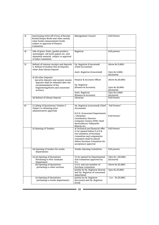| 3) | Sanctioning write-off of loss of Receipt<br>Books/Cheque Books and other money<br>value books/ measurement books<br>subject to approval of Finance<br>Committee | Management Council                                                                                                                                                                                            | <b>Full Powers</b>                  |
|----|-----------------------------------------------------------------------------------------------------------------------------------------------------------------|---------------------------------------------------------------------------------------------------------------------------------------------------------------------------------------------------------------|-------------------------------------|
| 4) | Sale of grass, fruits, garden produce,<br>wastepaper, old news papers etc. and<br>dismantle material subject to approval<br>of Sales Committee.                 | Registrar                                                                                                                                                                                                     | Full powers                         |
| 5) | Refund of revenue receipts and deposits<br>i) Refund of Student Fees & Deposits<br>other than Library Deposit                                                   | Dy. Registrar (Concerned)<br>/Chief Accountant<br>Asstt. Registrar (Concerned)                                                                                                                                | Above Rs.5,000/-<br>Upto Rs.5,000/- |
|    |                                                                                                                                                                 |                                                                                                                                                                                                               | (inclusive)                         |
|    | ii) All other Deposits<br>(security deposits and earnest money<br>deposits shall be refunded after the<br>recommendation of the                                 | Finance & Accounts Officer<br>Dy. Registrar                                                                                                                                                                   | Above Rs.20,000/-                   |
|    | Engineering/Stores and concerned<br>section.)                                                                                                                   | (Finance & Accounts)                                                                                                                                                                                          | Upto Rs.20,000/-<br>(inclusive)     |
|    |                                                                                                                                                                 | Asstt. Registrar<br>(Finance & Accounts)                                                                                                                                                                      | Upto Rs.5,000/-<br>(inclusive)      |
|    | iii) Refund of Library Deposit                                                                                                                                  | Librarian                                                                                                                                                                                                     | <b>Full Powers</b>                  |
|    |                                                                                                                                                                 |                                                                                                                                                                                                               |                                     |
| 6) | i) Calling of Quotations/Tenders (*<br>Subject to obtaining prior<br>administrative approval)                                                                   | Dy. Registrar (concerned) / Chief<br>Accountant                                                                                                                                                               | Full Powers*                        |
|    |                                                                                                                                                                 | H.O.D. (Concerned Department)<br>/Librarian/<br>Coordinator/Director-<br>Computer Centre/ DSW/ Chief<br>Rector/Rector Vidhyarthi<br>Bhavan etc.                                                               | Full Powers*                        |
|    | ii) Opening of Tenders                                                                                                                                          | a) Technical and financial offer<br>to be opened before F.A.O &<br>two members of Purchase<br>Committee and comparative<br>statement shall be placed<br>before Purchase Committee for<br>acceptance/ approval | Full Powers                         |
|    | iii) Opening of tenders for works<br>departments                                                                                                                | Tender Opening Committee                                                                                                                                                                                      | Full powers                         |
|    | iv) (a) Opening of Quotations<br>Pertaining to Post Graduate<br>Department                                                                                      | To be opened by Departmental<br>Sub-Committee approved by<br>V.C.                                                                                                                                             | Upto Rs.1,00,000/-<br>(inclusive)   |
|    | (b) Opening of Quotations<br>pertaining to other sections                                                                                                       | F.A.O. and one member of<br>Purchase Committee                                                                                                                                                                | Above Rs.25,000/-                   |
|    |                                                                                                                                                                 | Jointly by Dy. Registrar (Stores)<br>and Dy. Registrar of concerned<br>department                                                                                                                             | Upto Rs.25,000/-                    |
|    | (c) Opening of Quotations<br>pertaining to works departments                                                                                                    | Jointly by Dy. Registrar<br>(Accounts) and Dy. Registrar<br>(Civil)                                                                                                                                           | Upto Rs.25,000/-                    |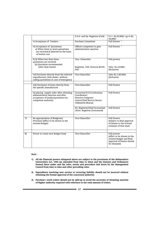|    |                                                                                                                                            | F.A.O. and Dy. Registrar (Civil)                                                                                     | Above Rs.25,000/- up to Rs.                                                                                        |
|----|--------------------------------------------------------------------------------------------------------------------------------------------|----------------------------------------------------------------------------------------------------------------------|--------------------------------------------------------------------------------------------------------------------|
|    | v) Acceptance of Tenders :                                                                                                                 | Purchase Committee                                                                                                   | 50,000/-<br>Full Powers *                                                                                          |
|    | vi) Acceptance of Quotations<br>a) When three or more quotations<br>are received & Selected on the basis<br>of lowest cost                 | Officers competent to give<br>administrative sanction                                                                | Full Powers *                                                                                                      |
|    | b) (i) When less than three<br>quotations are received<br>(ii) Quotation recommended<br>other than lowest                                  | Vice- Chancellor<br>Registrar, COE, Director-BCUD,<br>FAO                                                            | Full powers<br>Upto Rs.10,000/-<br>(Inclusive)                                                                     |
|    | vii) Purchases directly from the selected<br>manufacturer /Sole dealer, without<br>calling quotations in case of emergency                 | Vice-Chancellor                                                                                                      | Upto Rs.1,00,000/-<br>(inclusive)                                                                                  |
|    | viii) Purchases of items directly from<br>the specific manufacturer                                                                        | Vice-Chancellor                                                                                                      | <b>Full Powers</b>                                                                                                 |
|    | ix) placing supply order after obtaining<br>administrative Sanction and after<br>acceptance of tender/quotations by<br>competent authority | Concerned H.O.D./Librarian/<br>Coordinator/<br>Director-Computer<br>Centre/Chief Rector/ Rector<br>Vidhyarthi Bhavan | <b>Full Powers</b>                                                                                                 |
|    |                                                                                                                                            | Dy. Registrar/Chief Accountant<br>/Asstt. Registrar (Concerned)                                                      | <b>Full Powers</b>                                                                                                 |
| 7) | Re-appropriation of Budgetary<br>Provision (effect to be shown in the<br>revised Budget)                                                   | Vice-Chancellor                                                                                                      | <b>Full Powers</b><br>(Subject to final approval<br>of Senate to the revised<br>estimate of that year)             |
| 8) | Power to create new Budget head                                                                                                            | Vice-Chancellor                                                                                                      | Full powers<br>(effect to be shown in the<br>revised Budget and final<br>approval of Senate should<br>be obtained) |

#### Note :

- 1) All the financial powers delegated above are subject to the provisions of the Maharashtra Universities Act, 1994 (as amended from time to time) and the Statutes and Ordinances framed there under and the rules, norms and procedure laid down by the Management Council from time to time and other prevailing rules.
- 2) Expenditure involving new service or recurring liability should not be incurred without obtaining the formal approval of the concerned authority.
- 3) Purchase / work orders should not be split-up to avoid the necessity of obtaining sanction of Higher authority required with reference to the total amount of orders.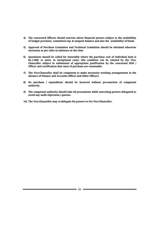- 4) The concerned Officers should exercise above financial powers subject to the availability of budget provision, committed exp. & unspent balance and also the availability of funds.
- 5) Approval of Purchase Committee and Technical Committee should be obtained wherever necessary as per rules in existence at the time.
- 6) Quotations should be called for invariably where the purchase cost of individual item is Rs.1,000/- or more, in exceptional cases, this condition can be relaxed by the Vice-Chancellor subject to submission of appropriate justification by the concerned HOD / Officer and certification that rates of purchase are reasonable.
- 7) The Vice-Chancellor shall be competent to make necessary working arrangements in the absence of Finance and Accounts Officer and Other Officers.
- 8) No purchase / expenditure should be incurred without pre-sanction of competent authority.
- 9) The competent authority should take all precautions while exercising powers delegated to avoid any audit objections / queries.
- 10) The Vice-Chancellor may re-delegate his powers to Pro Vice-Chancellor.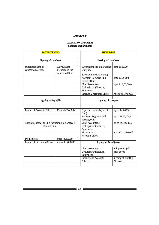## APPENDIX II

# DELEGATION OF POWERS (Finance Department)

| <b>ACCOUNTS WING</b>                                                                         |  | <b>AUDIT WING</b>                                                      |                                 |  |
|----------------------------------------------------------------------------------------------|--|------------------------------------------------------------------------|---------------------------------|--|
| <b>Signing of vouchers</b>                                                                   |  | Passing of vouchers                                                    |                                 |  |
|                                                                                              |  |                                                                        |                                 |  |
| All vouchers<br>Superintendent of<br>concerned section<br>prepared in the<br>concerned Unit. |  | Superintendent (Bill Passing<br>Unit) and<br>Superintendent (T.A.D.A.) | upto Rs.5,000/-                 |  |
|                                                                                              |  | Assistant Registrar (Bill<br>Passing Unit)                             | upto Rs.25,000/-                |  |
|                                                                                              |  | Chief Accountant/<br>Dy.Registrar (Finance)/<br>Equivalent             | upto Rs.1,00,000/-              |  |
|                                                                                              |  | Finance & Accounts Officer                                             | Above Rs.1,00,000/-             |  |
| <b>Signing of Pay Bills</b>                                                                  |  | <b>Signing of cheques</b>                                              |                                 |  |
|                                                                                              |  |                                                                        |                                 |  |
| Finance & Accounts Officer<br>Monthly Pay Bills                                              |  | Superintendent (Payment<br>Unit)                                       | up to Rs.5,000/-                |  |
|                                                                                              |  | Assistant Registrar (Bill<br>Passing Unit)                             | up to Rs.25,000/-               |  |
| Supplementary Pay Bills including Daily wages &<br>Honorarium-                               |  | Chief Accountant/<br>Dy.Registrar (Finance)/<br>Equivalent             | up to Rs.1,00,000/-             |  |
|                                                                                              |  | Finance and<br>Accounts officer                                        | above Rs.1,00,000/-             |  |
| Dy. Registrar<br>Upto Rs.20,000/-                                                            |  |                                                                        |                                 |  |
| Above Rs.20,000/<br>Finance & Accounts Officer                                               |  | <b>Signing of Cash Books</b>                                           |                                 |  |
|                                                                                              |  | Chief Accountant/<br>Dy.Registrar (Finance)/<br>Equivalent             | Full powers (All<br>cash books) |  |
|                                                                                              |  | Finance and Accounts<br>Officer                                        | Signing of monthly<br>Abstract  |  |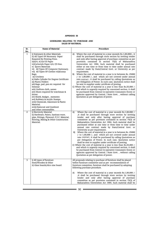## APPENDIX III

## GUIDELINES RELATING TO PURCHASE AND SALES OF MATERIAL

| Sr.<br>No.     | Name of Material                                                                                                                                                                                                                                                                                                                                                                                                                                                                                                                                                                                                                                                                                     | Procedure                                                                                                                                                                                                                                                                                                                                                                                                                                                                                                                                                                                                                                                                                                                                                                                                                                                                                                                                                                                                                                                                                                    |
|----------------|------------------------------------------------------------------------------------------------------------------------------------------------------------------------------------------------------------------------------------------------------------------------------------------------------------------------------------------------------------------------------------------------------------------------------------------------------------------------------------------------------------------------------------------------------------------------------------------------------------------------------------------------------------------------------------------------------|--------------------------------------------------------------------------------------------------------------------------------------------------------------------------------------------------------------------------------------------------------------------------------------------------------------------------------------------------------------------------------------------------------------------------------------------------------------------------------------------------------------------------------------------------------------------------------------------------------------------------------------------------------------------------------------------------------------------------------------------------------------------------------------------------------------------------------------------------------------------------------------------------------------------------------------------------------------------------------------------------------------------------------------------------------------------------------------------------------------|
| $\mathbf{1}$   | i) Stationery & other Materials<br>ii) All Types OF Necessary Paper<br>Required By Printing Press.<br>iii) $A/4$ , $A/3$ , & $F/S$ Paper<br>iv)Cyclostyle Paper A/4, F/S Size.<br>v) Sports Materials<br>vi) All Types OF Computer Stationary.<br>vii) All Types OF Clothes viii)Gunny<br>Bags.<br>ix) Crockery<br>x) Hallo Cylinder for Degree Certificate<br>xi) Plastic Folders<br>xii) Bags, pad, pen etc required for<br>Seminar<br>xiii) Uniform cloth, sarees<br>xiv) Shoes required for watchman &<br>driver.<br>xv) Shield, Badges, memento<br>xvi) Rubbery & Acrylic Stamps.<br>xvii) Chemicals, Glassware & Plastic<br>Material.<br>xviii) Raincoat and Gumboot<br>and other consumables. | Where the cost of material in a year exceeds Rs.1,00,000/-, it<br>A)<br>shall be purchased through store section by inviting tender<br>and only after having approval of purchase committee as per<br>provision contained in section 75(3) of Maharashtra<br>Universities Act 1994. Such material shall be purchased<br>either at one time or from time to time under annual rate<br>contract made by State/Central Govt. or University as per<br>requirement.<br>Where the cost of material in a year is in between Rs. 25000<br>B)<br>$/$ - to 1,00,000 $/$ -, and which are not covered under annual<br>rate contract, it shall be purchased by calling Quotations as<br>per Delegation of Power. In such case, Quotation notice shall<br>be sent to supplier under certificate of posting.<br>C) Where the cost of material in a year is less than Rs.25,000 /-<br>and which is urgently required by concerned section, it shall<br>be purchased from Central Co-operative Consumers Stores or<br>agencies approved by Central / State Govt., without calling<br>Quotation as per delegation of power.   |
| $\overline{2}$ | i) Electricity Material<br>ii) Hardware, Paints, Sanitary ware,<br>pipe, Fittings, Plywood, P.V.C. Material,<br>flooring, Mating & Other Construction<br>Material.                                                                                                                                                                                                                                                                                                                                                                                                                                                                                                                                   | A)<br>Where the cost of material in a year exceeds Rs.1,00,000 /-<br>it shall be purchased through store section by inviting<br>tender and only after having approval of purchase<br>committee as per provision contained in section 75(3) of<br>Maharashtra Universities Act 1994. Such material shall be<br>purchased either at one time or from time to time under<br>annual rate contract made by State/Central Govt. or<br>University as per requirement.<br>Where the cost of material in a year is in between Rs. 25000<br>B)<br>$/$ - to 1,00,000 $/$ -, and which are not covered under annual<br>rate contract, it shall be purchased by calling Quotations as<br>per Delegation of Power. In such case, Quotation notice<br>shall be sent to supplier under certificate of posting.<br>C) Where the cost of material in a year is less than $Rs.25,000$ /-<br>and which is urgently required by concerned section, it shall<br>be purchased from Central Co-operative Consumers Stores or<br>agencies approved by Central / State Govt., without calling<br>Quotation as per delegation of power. |
| 3              | i) All types of furniture<br>Steel/Wooden & Other<br>ii) Glass boards/Alco sine board                                                                                                                                                                                                                                                                                                                                                                                                                                                                                                                                                                                                                | All proposals relating to purchase of furniture shall be placed<br>before furniture committee and as per recommendation of<br>furniture committee, furniture shall be purchased by adopting<br>following purchase procedure.<br>Where the cost of material in a year exceeds Rs.1,00,000 /-<br>A)<br>it shall be purchased through store section by inviting<br>tender and only after having approval of purchase<br>committee as per provision contained in section 75(3) of<br>Maharashtra Universities Act 1994. Such material shall be                                                                                                                                                                                                                                                                                                                                                                                                                                                                                                                                                                   |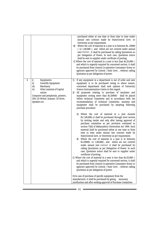| i)<br>4<br>Equipments<br>1)<br>ii)<br>Scientific Equipment<br>Machinery<br>iii)<br>Other material of Capital<br>Science Instrumentation Centre in this regard.<br>iv)<br>nature<br>2)<br>Computer and peripherals, printers,<br>UPS, CD Writer, Scanner, CD Drive,<br>Speakers etc.<br>purchase procedure<br>State/Central Govt. or University as per requirement.<br>B)<br>certificate of posting. |  | purchased either at one time or from time to time under<br>annual rate contract made by State/Central Govt. or<br>University as per requirement.<br>Where the cost of material in a year is in between Rs. 25000<br>B)<br>$/$ - to 1,00,000 $/$ -, and which are not covered under annual<br>rate contract, it shall be purchased by calling Quotations as<br>per Delegation of Power. In such case, Quotation notice<br>shall be sent to supplier under certificate of posting.<br>C) Where the cost of material in a year is less than Rs.25,000 /-<br>and which is urgently required by concerned section, it shall<br>be purchased from Central Co-operative Consumers Stores or<br>agencies approved by Central / State Govt., without calling<br>Quotation as per delegation of power.                                                                                                                                                                                                                                                                                                                                                                                                                                                                                                                                                                                                                                     |
|-----------------------------------------------------------------------------------------------------------------------------------------------------------------------------------------------------------------------------------------------------------------------------------------------------------------------------------------------------------------------------------------------------|--|----------------------------------------------------------------------------------------------------------------------------------------------------------------------------------------------------------------------------------------------------------------------------------------------------------------------------------------------------------------------------------------------------------------------------------------------------------------------------------------------------------------------------------------------------------------------------------------------------------------------------------------------------------------------------------------------------------------------------------------------------------------------------------------------------------------------------------------------------------------------------------------------------------------------------------------------------------------------------------------------------------------------------------------------------------------------------------------------------------------------------------------------------------------------------------------------------------------------------------------------------------------------------------------------------------------------------------------------------------------------------------------------------------------------------------|
| Quotation as per delegation of power.<br>D) In case of purchase of specific equipment from the<br>manufacturer, it shall be purchased by giving<br>necessary<br>justification and after seeking approval of Purchase Committee.                                                                                                                                                                     |  | If any equipment in a department is out of order and new<br>equipment is to be purchased owing to above reason,<br>concerned department shall seek opinion of University<br>All proposals relating to purchase of machines and<br>equipment costing more than Rs.25000/- shall be placed<br>before technical Committee and in accordance with the<br>recommendation of technical Committee, machine and<br>equipment shall be purchased by adopting following<br>A) Where the cost of material in a year exceeds<br>Rs.1,00,000/-,it shall be purchased through store section<br>by inviting tender and only after having approval of<br>purchase committee as per provision contained in<br>section 75(3) of Maharashtra Universities Act 1994. Such<br>material shall be purchased either at one time or from<br>time to time under annual rate contract made by<br>Where the cost of material in a year is in between<br>Rs.25000/- to 1,00,000/-, and which are not covered<br>under annual rate contract it shall be purchased by<br>calling Quotations as per Delegation of Power. In such<br>case, Quotation notice shall be sent to supplier under<br>C) Where the cost of material in a year is less than Rs.25,000 $/$ -<br>and which is urgently required by concerned section, it shall<br>be purchased from Central Co-operative Consumers Stores or<br>agencies approved by Central / State Govt., without calling |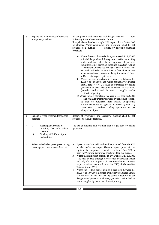| 5 | Repairs and maintenance of Furniture,                                                | All equipments and machines shall be got repaired<br>from                                                                                                                                                                                                       |
|---|--------------------------------------------------------------------------------------|-----------------------------------------------------------------------------------------------------------------------------------------------------------------------------------------------------------------------------------------------------------------|
|   | equipment, machines                                                                  | University Science Instrumentation Centre.                                                                                                                                                                                                                      |
|   |                                                                                      | If repairs is not feasible through USIC, report of the Centre shall                                                                                                                                                                                             |
|   |                                                                                      | be obtained. These equipments and machines<br>shall be got                                                                                                                                                                                                      |
|   |                                                                                      | agency by adopting following<br>repaired from outside                                                                                                                                                                                                           |
|   |                                                                                      | procedure                                                                                                                                                                                                                                                       |
|   |                                                                                      | A) Where the cost of material in a year exceeds Rs.1,00,000<br>/- ,it shall be purchased through store section by inviting<br>tender and only after having approval of purchase                                                                                 |
|   |                                                                                      | committee as per provision contained in section 75(3) of<br>Maharashtra Universities Act 1994. Such material shall<br>be purchased either at one time or from time to time                                                                                      |
|   |                                                                                      | under annual rate contract made by State/Central Govt.<br>or University as per requirement.<br>Where the cost of material in a year is in between Rs.<br>B)                                                                                                     |
|   |                                                                                      | 25000 /- to 1,00,000 /-, and which are not covered under<br>annual rate contract, it shall be purchased by calling                                                                                                                                              |
|   |                                                                                      | Quotations as per Delegation of Power. In such case,<br>Quotation notice shall be sent to supplier under                                                                                                                                                        |
|   |                                                                                      | certificate of posting.                                                                                                                                                                                                                                         |
|   |                                                                                      | C) Where the cost of material in a year is less than Rs.25,000<br>/- and which is urgently required by concerned section,<br>it shall be purchased from Central Co-operative                                                                                    |
|   |                                                                                      | Consumers Stores or agencies approved by Central /                                                                                                                                                                                                              |
|   |                                                                                      | State Govt., without calling Quotation as per                                                                                                                                                                                                                   |
|   |                                                                                      | delegation of power.                                                                                                                                                                                                                                            |
|   |                                                                                      |                                                                                                                                                                                                                                                                 |
| 6 | Repairs of Type-writer and Cyclostyle<br>machine                                     | Repairs of Type-writer and Cyclostyle machine shall be got<br>repaired by calling quotation.                                                                                                                                                                    |
| 7 | Washing and ironing of<br>i)<br>Curtains, Table cloths, pillow                       | The job of stitching and washing shall be got done by calling<br>quotation.                                                                                                                                                                                     |
|   | covers etc.<br>Stitching of Uniform, Aprons<br>ii)                                   |                                                                                                                                                                                                                                                                 |
|   | and curtains                                                                         |                                                                                                                                                                                                                                                                 |
| 8 | Sale of old vehicles, grass, press cutting<br>, waste paper, used answer sheets etc. | Upset price of the vehicle should be obtained from the RTO<br>A)<br>in the sealed envelope. Likewise upset price of the<br>equipments, computers etc. should be obtained from USIC or<br>from the Technical Committee constituted for this purpose.             |
|   |                                                                                      | Where the selling cost of items in a year exceeds Rs.1,00,000<br>B)<br>/-, it shall be sold through store section by inviting tender<br>and only after the approval of sales & Purchase Committee<br>as per provision contained in section 75(3) of Maharashtra |
|   |                                                                                      | Universities Act 1994.<br>Where the selling cost of item in a year is in between Rs.<br>C)<br>25000 /- to 1,00,000 /-,& which are not covered under annual                                                                                                      |
|   |                                                                                      | rate contract, it shall be sold by calling quotation as per<br>delegation of power. In such case, Quotation notice shall be<br>sent to supplier by under certificate of posting.                                                                                |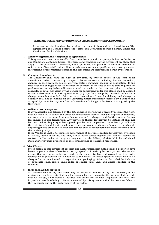#### APPENDIX IV

#### STANDARD TERMS AND CONDITIONS FOR AN AGREEMENT/TENDER DOCUMENT

By accepting the Standard Form of an agreement (hereinafter referred to as "the agreement") the Vendor accepts the Terms and Conditions included herein, unless the Vendor notifies his objections.

## 1. Acknowledgment And Acceptance of agreement :

This agreement constitutes an offer from the university and is expressly limited to the Terms and Conditions contained herein. The Terms and Conditions of the agreement are those that apply to the purchase of materials, items, products, components or services (hereinafter referred to as "Material"). All exhibits, attachments, technical specifications, drawings, notes, instructions, or information referred in the agreement are incorporated herein by reference.

#### 2. Changes / Amendments:

The University shall have the right at any time, by written notice, in the form of an amendment order, to make any changes it deems necessary, including, but not limited to, changes in specifications, design, delivery, testing methods, packing or destination. If any such required changes cause an increase or decrease in the cost of or the time required for performance, an equitable adjustment shall be made in the contract price or delivery schedule, or both. Any claim by the Vendor for adjustment under this clause shall be deemed waived unless asserted in writing within ten (10) days from receipt by the Vendor of notice of change (amendment order). Price increase, extension of time for delivery and change in quantity shall not be binding on the University unless sufficiently justified by a vendor and accepted by the university in a form of amendment/ Change Order issued and signed by the University.

#### 3. Delivery / Force Majeure :

If any Material is not delivered by the date specified therein, the University reserves the right, without liability, to cancel the order for undelivered material not yet shipped or tendered, and to purchase the same from another vendor and to charge the defaulting Vendor for any loss incurred in this transaction. Any provisions thereof for delivery by instalment shall not be construed as obligatory unless agreed upon by both the parties. The University shall have the right to refuse deliveries made more than one week in advance of any delivery schedule appearing in the order unless arrangements for such early delivery have been confirmed with the receiving party.

If the Vendor is unable to complete performance at the time specified for delivery, by reason of strikes, labour disputes, riot, war, fire or other causes beyond the Vendor's reasonable control, the University, at its option, may elect to take delivery of Material in its unfinished state and to pay such proportion of the contract price as it deemed reasonable.

#### 4. Price / Taxes:

Prices stated in this agreement are firm and shall remain firm until required deliveries have been completed unless otherwise expressly agreed to in writing by both parties. The Vendor agrees that any price reduction made with respect to Material covered by this order subsequent to placement will be applied to this order. All prices specified herein include all charges for, but not limited to, inspection, and packaging. Prices set forth shall be inclusive of applicable sales, excise, value-added or similar taxes until and unless specified in the schedule.

#### 5. Inspection And Acceptance

All Material covered by this order may be inspected and tested by the University or its designee at vendors cost. If deemed necessary by the University, the Vendor shall provide without charge, all reasonable facilities and assistance for such inspection and test. Any inspection records relating to Material covered by this agreement shall be made available to the University during the performance of the order.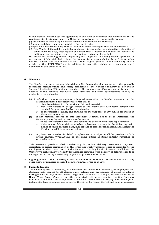If any Material covered by this agreement is defective or otherwise not conforming to the requirements of this agreement, the University may, by written notice to the Vendor: (a) rescind the purchase/supply order as to such non-conforming Material;

- (b) accept such Material at an equitable reduction in price;
- (c) reject such non-conforming Material and require the delivery of suitable replacements.
- (d) If the Vendor fails to deliver suitable replacements promptly, the university, with notice of seven business days, may replace or correct such Material and charge the Vendor the additional cost occasioned thereby, or terminate this order for default.

No inspection (including source inspection) test, approval (including design approval) or acceptance of Material shall relieve the Vendor from responsibility for defects or other failures to meet the requirements of this order. Rights granted to the University in this article entitled INSPECTION are in addition to any other rights or remedies provided elsewhere in this order or in Law.

## 6. Warranty :

The Vendor warrants that any Material supplied hereunder shall conform to the generally recognized manufacturing and safety standards of the Vendor's industry as per Indian Standard Institution (ISI) or similar standard. The Vendor's specifications on performance as detailed in the Vendor's brochures, sales literature and other specifications as may be available to the university.

- (a) In addition to any other express or implied warranties, the Vendor warrants that the Material furnished pursuant to this order will be:
	- 1. free from defects in title, workmanship and material;
	- 2. free from defects in design except to the extent that such items comply with detailed designs provided by the university;
	- 3. of merchantable quality and suitable for the purposes, if any, which are stated in the tender/quotation.
- (b) If any material covered by this agreement is found not to be as warranted, the University may, by written notice to the Vendor:
	- 1. reject such defective material and require the delivery of suitable replacements.
	- 2. If the Vendor fails to deliver suitable replacements promptly, the University, with notice of seven business days, may replace or correct such material and charge the Vendor the additional cost occasioned.
- (c) Any items corrected or furnished in replacement are subject to all the provisions of this article entitled WARRANTIES to the same extent as items initially furnished or originally ordered.
- 7. This warranty provision shall survive any inspection, delivery, acceptance, payment, expiration or earlier termination of this order and such warranties shall be extended to the employees, students, and users of the Material. Nothing herein, however, shall limit the University's rights in law or equity for damages resulting from delivery of defective goods or damage caused during the delivery of goods or provision of services.
- 8. Rights granted to the University in this article entitled WARRANTIES are in addition to any other rights or remedies provided elsewhere in this order or in Law.

#### 9. Patent Indemnity

 The Vendor agrees to indemnify, hold harmless and defend the University, its employees, and students with respect to all claims, suits, actions and proceedings of actual or alleged infringements of any Letter, Patent, Registered or Industrial Design, Trademark or Trade Name, Trade Secret, Copyright or other protected right in any country resulting from any sale, use or manufacture of any Material delivered hereunder and to pay and discharge all judgments, decrees, and awards rendered therein or by reason thereof and bear all expenses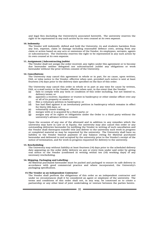and legal fees (including the University's) associated herewith. The university reserves the right to be represented in any such action by its own counsel at its own expense.

#### 10. Indemnity

The Vendor will indemnify, defend and hold the University, its and students harmless from any loss, expense, claim or damage including reasonable defence costs, arising from any claim or action based on any acts or omissions of the Vendor, its employees, servants, agents or subcontractors. The University reserves the right to be represented in any such action by its own counsel at its own expense.

#### 11. Assignment / Subcontracting /sublet

The Vendor shall not assign the order received, any rights under this agreement or to become due hereunder neither delegated nor subcontracted /sublet any obligations or work hereunder without the prior written consent of the University.

#### 12. Cancellations

The University may cancel this agreement in whole or in part, for no cause, upon written, FAX, or telex notice to the Vendor, effective when sent, provided such notice is sent at least fourteen (14) days prior to the delivery date specified on the face of this order.

The University may cancel this order in whole or in part at any time for cause by written, FAX, or e-mail notice to the Vendor, effective when sent, in the event that the Vendor:

- (a) fails to comply with any term or condition of this order including, but not limited to, delivery terms; or
- (b) appoints a receiver, liquidator or trustee in bankruptcy or other similar officer over any or all of its property or assets; or
- (c) files a voluntary petition in bankruptcy; or (d) has had filed against it an involuntary pet
- has had filed against it an involuntary petition in bankruptcy which remains in effect for thirty (30) days; or
- 
- (e) voluntarily ceases trading; or<br>(f) merges with or is acquired by (f) merges with or is acquired by a third party; or  $(g)$  assigns any of its rights or obligations under
- assigns any of its rights or obligations under the Order to a third party without the university's advance written consent.

 Upon the occasion of any one of the aforesaid and in addition to any remedies which the university may have in Law or in Equity, the university may also cancel this order or any outstanding deliveries hereunder by notifying the Vendor in writing of such cancellation and the Vendor shall thereupon transfer title and deliver to the university such work in progress or completed material as may be requested by the university. The University shall have no liability to the Vendor beyond payment of any balance owing for Material purchased hereunder and delivered to and accepted by the university prior to the Vendor's receipt of the notice of termination, and for work in progress requested for delivery to the university.

#### 13. Rescheduling

 The University may without liability at least fourteen (14) days prior to the scheduled delivery date appearing on the order defer delivery on any or every item under said order by giving oral notice to the Vendor (confirmed in writing within ten (10) working days) of any necessary rescheduling.

## 14. Shipping, Packaging and Labelling -

 All Material purchased hereunder must be packed and packaged to ensure its safe delivery in accordance with good commercial practice and where incorporated, the University's packaging specification.

#### 15. The Vendor as an Independent Contractor -

 The Vendor shall perform the obligations of this order as an independent contractor and under no circumstances shall it be considered an agent or employee of the university. The terms and conditions of this order shall not, in any way, be construed as to create a partnership or any other kind of joint undertaking or venture between the parties hereto.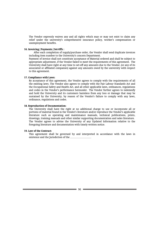The Vendor expressly waives any and all rights which may or may not exist to claim any relief under the university's comprehensive insurance policy, worker's compensation or unemployment benefits.

## 16. Invoicing / Payments / Set-Offs :

 After each completion of supply/purchase order, the Vendor shall send duplicate invoices including item number to the University's concern Department.

 Payment of invoice shall not constitute acceptance of Material ordered and shall be subject to appropriate adjustment, if the Vendor failed to meet the requirements of this agreement. The University shall have right at any time to set-off any amounts due to the Vendor, (or any of its associated or affiliated companies) against any amounts owed by the university with respect to this agreement.

## 17. Compliance with Laws:

 By acceptance of this agreement, the Vendor agrees to comply with the requirements of all the existing laws. The Vendor also agrees to comply with the Fair Labour Standards Act and the Occupational Safety and Health Act, and all other applicable laws, ordinances, regulations and codes in the Vendor's performance hereunder. The Vendor further agrees to indemnify and hold the University and its customers harmless from any loss or damage that may be sustained by the University, by reason of the Vendor's failure to comply with any laws, ordinance, regulations and codes.

## 18. Reproduction of Documentation:

 The University shall have the right at no additional charge to use or incorporate all or portions of material found in the Vendor's literature and/or reproduce the Vendor's applicable literature such as operating and maintenance manuals, technical publications, prints, drawings, training manuals and other similar supporting documentation and sales literature. The Vendor agrees to advise the University of any Updated Information relative to the foregoing literature and documentation with timely written notice.

## 19. Law of the Contract:

 This agreement shall be governed by and interpreted in accordance with the laws in existence and the Jurisdiction of the **Kollapur. ...............................**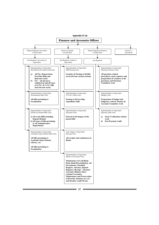

 $97 =$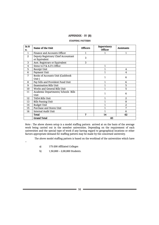# Appendix IV (B) APPENDIX - IV (B)

## Staffing Pattern STAFFING PATTERN

| Sr.N         | Name of the Unit                    | <b>Officers</b> | Supervisory    | <b>Assistants</b> |  |
|--------------|-------------------------------------|-----------------|----------------|-------------------|--|
| 0.           |                                     |                 | <b>Officer</b> |                   |  |
| $\mathbf{1}$ | Finance and Accounts Officer        |                 |                | 1                 |  |
| 2            | Deputy Registrars/ Chief Accountant | 3               |                |                   |  |
|              | or Equivalent                       |                 |                |                   |  |
| 3            | Asst. Registrars or Equivalent      | 3               |                |                   |  |
| 4            | Steno to F & A.O's Office           |                 | 1              |                   |  |
| 5            | Receipt Unit                        |                 |                | 4                 |  |
| 6            | Payment Unit                        |                 | 1              | 4                 |  |
| 7            | Books of Accounts Unit (Cashbook    |                 | 1              | 6                 |  |
|              | Unit)                               |                 |                |                   |  |
| 8            | Pay bills and Provident Fund Unit   |                 | 1              | 6                 |  |
| 9            | <b>Examination Bills Unit</b>       |                 | 1              | 5                 |  |
| 10           | Works and General Bills Unit        |                 | 1              | 5                 |  |
| 11           | Academic Departments/ Schools Bills |                 |                | 6                 |  |
|              | Unit                                |                 |                |                   |  |
| 12           | TADA Bills Unit                     |                 | 1              | $\overline{2}$    |  |
| 13           | <b>Bills Passing Unit</b>           |                 |                | 8                 |  |
| 14           | <b>Budget Unit</b>                  |                 |                | 2                 |  |
| 15           | Purchase and Stores Unit            |                 |                | 7                 |  |
| 16           | Internal Audit Unit                 |                 |                | 6                 |  |
|              | <b>Total</b>                        | 7               | 14             | 62                |  |
|              | <b>Grand Total</b>                  | 83              |                |                   |  |

Note : The above shown setup is a model staffing pattern arrived at on the basis of the average work being carried out in the member universities. Depending on the requirement of each universities and the special type of work if any having regard to geographical locations or other factors appropriate demand for staffing pattern may be made by the concerned university.

The above model staffing pattern is based on the workload of the universities which have

- –
- a) 175-200 Affiliated Colleges
- b) 1,50,000 2,00,000 Students.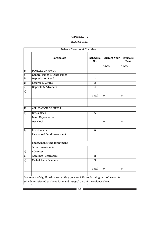# APPENDIX - V APPENDIX - V

# BALANCE SHEET BALANCE SHEET

| Balance Sheet as at 31st March |                                                                                  |                 |                     |                         |
|--------------------------------|----------------------------------------------------------------------------------|-----------------|---------------------|-------------------------|
|                                | <b>Particulars</b>                                                               | Schedule<br>No. | <b>Current Year</b> | <b>Previous</b><br>Year |
|                                |                                                                                  |                 | 31-Mar              | 31-Mar                  |
| $\overline{I}$                 | <b>SOURCES OF FUNDS</b>                                                          |                 |                     |                         |
| a)                             | General Funds & Other Funds                                                      | $\mathbf{1}$    |                     |                         |
| b)                             | Depreciation Fund                                                                | $\overline{2}$  |                     |                         |
| c)                             | Reserve & Surplus                                                                | 3               |                     |                         |
| $\overline{d}$                 | Deposits & Advances                                                              | 4               |                     |                         |
| $\overline{e}$                 |                                                                                  |                 |                     |                         |
|                                |                                                                                  | Total           | 0                   | 0                       |
|                                |                                                                                  |                 |                     |                         |
| II)                            | <b>APPLICATION OF FUNDS</b>                                                      |                 |                     |                         |
| a)                             | <b>Gross Block</b>                                                               | 5               |                     |                         |
|                                | Less: Depreciation                                                               |                 |                     |                         |
|                                | Net Block                                                                        |                 | 0                   | 0                       |
| b)                             | Investments                                                                      | 6               |                     |                         |
|                                | Earmarked Fund Investment                                                        |                 |                     |                         |
|                                |                                                                                  |                 |                     |                         |
|                                | <b>Endowment Fund Investment</b>                                                 |                 |                     |                         |
|                                | Other Investments                                                                |                 |                     |                         |
| c)                             | <b>Advances</b>                                                                  | 7               |                     |                         |
| d)                             | <b>Accounts Receivables</b>                                                      | 8               |                     |                         |
| e)                             | Cash & bank Balances                                                             | 9               |                     |                         |
|                                |                                                                                  |                 |                     |                         |
|                                |                                                                                  | Total           | $\Omega$            | $\Omega$                |
|                                |                                                                                  |                 |                     |                         |
|                                | Statement of signification accounting policies & Notes Forming part of Accounts. |                 |                     |                         |
|                                | Schedules referred to above form and integral part of the Balance Sheet.         |                 |                     |                         |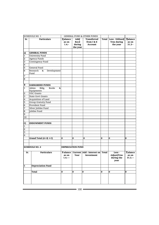| <b>SCHEDULE NO. 1</b>        |                             |                                     |                        | <b>GENERAL FUND &amp; OTHER FUNDS</b>         |              |                                                     |                                     |
|------------------------------|-----------------------------|-------------------------------------|------------------------|-----------------------------------------------|--------------|-----------------------------------------------------|-------------------------------------|
| Sr.                          | <b>Particulars</b>          | <b>B</b> alance<br>as on<br>$1.4 -$ | Add/<br>Recd<br>during | Transferred<br>from I & E<br><b>Account</b>   |              | Total   Less - Utilised/<br>Trns during<br>the year | <b>Balance</b><br>as on<br>$31.3 -$ |
|                              |                             |                                     | the year               |                                               |              |                                                     |                                     |
|                              |                             |                                     |                        |                                               |              |                                                     |                                     |
| a)                           | <b>GENERAL FUNDS</b>        |                                     |                        |                                               |              |                                                     |                                     |
| $\mathbf{1}$                 | University Fund             |                                     |                        |                                               |              |                                                     |                                     |
| $\overline{a}$               | <b>Agency Funds</b>         |                                     |                        |                                               |              |                                                     |                                     |
| 3                            | Contingency Fund            |                                     |                        |                                               |              |                                                     |                                     |
| $\overline{\mathbf{4}}$<br>5 | General Fund                |                                     |                        |                                               |              |                                                     |                                     |
|                              | Research<br>Development     |                                     |                        |                                               |              |                                                     |                                     |
| 6                            | &<br>Fund                   |                                     |                        |                                               |              |                                                     |                                     |
| $\overline{7}$               |                             |                                     |                        |                                               |              |                                                     |                                     |
| $\boldsymbol{8}$             |                             |                                     |                        |                                               |              |                                                     |                                     |
|                              |                             |                                     |                        |                                               |              |                                                     |                                     |
| B                            | <b>EARMARKED FUNDS</b>      |                                     |                        |                                               |              |                                                     |                                     |
| $\mathbf{1}$                 | Admn<br>Books<br>Bldg,<br>& |                                     |                        |                                               |              |                                                     |                                     |
|                              | Equipments                  |                                     |                        |                                               |              |                                                     |                                     |
| $\overline{2}$               | <b>UGC Grants</b>           |                                     |                        |                                               |              |                                                     |                                     |
| 3                            | <b>State Govt Grants</b>    |                                     |                        |                                               |              |                                                     |                                     |
| $\overline{\mathbf{4}}$      | Acquisition of Land         |                                     |                        |                                               |              |                                                     |                                     |
| 5                            | Group Gratuity Fund         |                                     |                        |                                               |              |                                                     |                                     |
| $\overline{6}$               | Provident Fund              |                                     |                        |                                               |              |                                                     |                                     |
| 7                            | Silver Jubilee Fund         |                                     |                        |                                               |              |                                                     |                                     |
| 8                            | Jubilee Fund                |                                     |                        |                                               |              |                                                     |                                     |
| 9                            |                             |                                     |                        |                                               |              |                                                     |                                     |
| 10                           |                             |                                     |                        |                                               |              |                                                     |                                     |
|                              |                             |                                     |                        |                                               |              |                                                     |                                     |
| C)                           | <b>ENDOWMENT FUNDS</b>      |                                     |                        |                                               |              |                                                     |                                     |
| $\mathbf{1}$                 |                             |                                     |                        |                                               |              |                                                     |                                     |
| $\overline{c}$               |                             |                                     |                        |                                               |              |                                                     |                                     |
| 3                            |                             |                                     |                        |                                               |              |                                                     |                                     |
| $\overline{4}$               |                             |                                     |                        |                                               |              |                                                     |                                     |
|                              | Grand Total $(A+B+C)$       | $\bf{0}$                            | 0                      | 0                                             | 0            | $\bf{0}$                                            | 0                                   |
|                              |                             |                                     |                        |                                               |              |                                                     |                                     |
|                              |                             |                                     |                        |                                               |              |                                                     |                                     |
| <b>SCHEDULE NO. 2</b>        |                             | <b>DEPRECIATION FUND</b>            |                        |                                               |              |                                                     |                                     |
|                              |                             |                                     |                        |                                               |              |                                                     |                                     |
| Sr.                          | <b>Particulars</b>          |                                     |                        | Balance   Current   Add : Interest on   Total |              | Less -                                              | <b>B</b> alance                     |
|                              |                             | as on                               | Year                   | Investment                                    |              | Adjust/Trns                                         | as on                               |
|                              |                             | $1.4. - -$                          |                        |                                               |              | during the                                          | $31.3 -$                            |
|                              |                             |                                     |                        |                                               |              | year                                                |                                     |
| 1                            | <b>Depreciation Fund</b>    |                                     |                        |                                               |              |                                                     |                                     |
|                              |                             |                                     |                        |                                               |              |                                                     |                                     |
|                              | <b>Total</b>                | $\mathbf{0}$                        | 0                      | 0                                             | $\mathbf{0}$ | $\bf{0}$                                            | $\mathbf{0}$                        |
|                              |                             |                                     |                        |                                               |              |                                                     |                                     |
|                              |                             |                                     |                        |                                               |              |                                                     |                                     |
|                              |                             |                                     |                        |                                               |              |                                                     |                                     |
|                              |                             |                                     |                        |                                               |              |                                                     |                                     |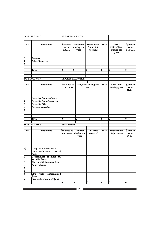| <b>SCHEDULE NO. 3</b>        |                                         | <b>RESERVE &amp; SURPLUS</b>             |                                |                                       |   |                                             |              |                                               |                                       |
|------------------------------|-----------------------------------------|------------------------------------------|--------------------------------|---------------------------------------|---|---------------------------------------------|--------------|-----------------------------------------------|---------------------------------------|
|                              |                                         |                                          |                                |                                       |   |                                             |              |                                               |                                       |
| Sr.                          | <b>Particulars</b>                      | <b>B</b> alance<br>as on<br>1.4          |                                | <b>Add</b> Recd<br>during the<br>year |   | Transferred<br>from I & E<br><b>Account</b> | <b>Total</b> | Less -<br>Utilised/Trns<br>during the<br>year | <b>B</b> alance<br>as on<br>31.3      |
|                              |                                         |                                          |                                |                                       |   |                                             |              |                                               |                                       |
| 1<br>$\overline{\mathbf{c}}$ | <b>Surplus</b><br><b>Other Reserves</b> |                                          |                                |                                       |   |                                             |              |                                               |                                       |
| 3                            |                                         |                                          |                                |                                       |   |                                             |              |                                               |                                       |
|                              |                                         |                                          |                                |                                       |   |                                             |              |                                               |                                       |
|                              | Total                                   | 0                                        | 0                              |                                       | 0 |                                             | 0            | 0                                             | 0                                     |
|                              |                                         |                                          |                                |                                       |   |                                             |              |                                               |                                       |
|                              |                                         |                                          |                                |                                       |   |                                             |              |                                               |                                       |
|                              | <b>SCHEDULE NO. 4</b>                   |                                          | <b>DEPOSITS &amp; ADVANCES</b> |                                       |   |                                             |              |                                               |                                       |
|                              |                                         |                                          |                                |                                       |   |                                             |              |                                               |                                       |
| Sr.                          | <b>Particulars</b>                      | <b>B</b> alance as<br>on 1.4.---         |                                |                                       |   | Add/Recd during the<br>year                 | Total        | Less - Paid<br>During year                    | <b>B</b> alance<br>as on<br>$31.3. -$ |
|                              |                                         |                                          |                                |                                       |   |                                             |              |                                               |                                       |
| 1                            | Deposits from Students                  |                                          |                                |                                       |   |                                             |              |                                               |                                       |
| $\overline{\mathbf{z}}$      | <b>Deposits from Contractor</b>         |                                          |                                |                                       |   |                                             |              |                                               |                                       |
| 3                            | <b>Deposits Other</b>                   |                                          |                                |                                       |   |                                             |              |                                               |                                       |
| $\overline{\mathbf{4}}$      | <b>Accounts payable</b>                 |                                          |                                |                                       |   |                                             |              |                                               |                                       |
| 5                            |                                         |                                          |                                |                                       |   |                                             |              |                                               |                                       |
|                              |                                         |                                          |                                |                                       |   |                                             |              |                                               |                                       |
|                              |                                         |                                          |                                |                                       |   |                                             |              |                                               |                                       |
|                              | Total                                   | 0                                        |                                | 0                                     |   | $\bf{0}$                                    | 0            | 0                                             | 0                                     |
|                              |                                         |                                          |                                |                                       |   |                                             |              |                                               |                                       |
|                              | <b>SCHEDULE NO. 6</b>                   | <b>INVESTMENT</b>                        |                                |                                       |   |                                             |              |                                               |                                       |
| Sr.                          | <b>Particulars</b>                      | <b>Balance as Addition</b><br>on $1.4$ . |                                | during the<br>year                    |   | Interest<br>received                        | Total        | <b>Withdrawal</b><br>Adjustment               | <b>B</b> alance<br>as on<br>$31.3 -$  |
|                              |                                         |                                          |                                |                                       |   |                                             |              |                                               |                                       |
| a)                           | Long Term Investments                   |                                          |                                |                                       |   |                                             |              |                                               |                                       |
| 1                            | Units with Unit Trust of<br>India       |                                          |                                |                                       |   |                                             |              |                                               |                                       |
| $\overline{\mathbf{2}}$      | Government of India 8%<br>Taxable Bonds |                                          |                                |                                       |   |                                             |              |                                               |                                       |
| 3                            | <b>Shares with Co-op Society</b>        |                                          |                                |                                       |   |                                             |              |                                               |                                       |
| $\overline{\mathbf{4}}$      | <b>Equity shares</b>                    |                                          |                                |                                       |   |                                             |              |                                               |                                       |
| 5                            |                                         |                                          |                                |                                       |   |                                             |              |                                               |                                       |
| $\overline{\mathbf{6}}$      |                                         |                                          |                                |                                       |   |                                             |              |                                               |                                       |
| 7                            | Nationalised<br>FD's<br>with<br>B ank   |                                          |                                |                                       |   |                                             |              |                                               |                                       |
| 8                            | FD's with Scheduled Bank                |                                          |                                |                                       |   |                                             |              |                                               |                                       |
|                              |                                         | 0                                        | 0                              |                                       | 0 |                                             | 0            | 0                                             | 0                                     |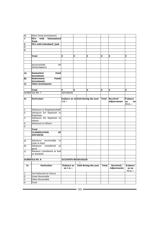| $b$                     | Short Term Investments                         |                                   |          |                                    |          |                                       |                                        |
|-------------------------|------------------------------------------------|-----------------------------------|----------|------------------------------------|----------|---------------------------------------|----------------------------------------|
| 1                       | FD's<br>with<br>Nationalised<br><b>B</b> ank   |                                   |          |                                    |          |                                       |                                        |
| $\overline{\mathbf{2}}$ | FD's with Scheduled []ank                      |                                   |          |                                    |          |                                       |                                        |
| 3                       |                                                |                                   |          |                                    |          |                                       |                                        |
| 4                       |                                                |                                   |          |                                    |          |                                       |                                        |
|                         |                                                |                                   |          |                                    |          |                                       |                                        |
|                         | Total                                          | O                                 | $\bf{0}$ | $\bf{0}$                           | $\bf{0}$ | O                                     | $\bf{0}$                               |
|                         |                                                |                                   |          |                                    |          |                                       |                                        |
|                         |                                                |                                   |          |                                    |          |                                       |                                        |
|                         | <b>ALLOCATION</b><br>OF<br><b>INVESTMENTS</b>  |                                   |          |                                    |          |                                       |                                        |
| A)                      | Earmarked<br>Fund                              |                                   |          |                                    |          |                                       |                                        |
| $\overline{B}$ )        | Investment<br>Endowment<br>Funds               |                                   |          |                                    |          |                                       |                                        |
|                         | <b>Investments</b>                             |                                   |          |                                    |          |                                       |                                        |
| $\mathbf{C}$            | <b>Other Investments</b>                       |                                   |          |                                    |          |                                       |                                        |
|                         |                                                |                                   |          |                                    |          |                                       |                                        |
|                         | <b>Total</b>                                   | 0                                 | $\bf{0}$ | 0                                  | $\bf{0}$ | 0                                     | $\bf{0}$                               |
|                         | <b>SCHEDULE NO. 7</b>                          | <b>ADVANCES</b>                   |          |                                    |          |                                       |                                        |
|                         |                                                |                                   |          |                                    |          |                                       |                                        |
| Sr.                     | Particulars                                    | $1.4 -$                           |          | Balance as on Paid during the year |          | Total Received<br><b>Adjust-ments</b> | <b>Balance</b><br>as<br>on<br>$31.3 -$ |
|                         |                                                |                                   |          |                                    |          |                                       |                                        |
| $\overline{1}$          | Advances to Employee/Staff                     |                                   |          |                                    |          |                                       |                                        |
| $\overline{2}$          | Advances for Expenses to<br>Employee           |                                   |          |                                    |          |                                       |                                        |
| m                       | Advances for Expenses to<br>Others             |                                   |          |                                    |          |                                       |                                        |
| $\overline{\mathbf{4}}$ | Advances to Others                             |                                   |          |                                    |          |                                       |                                        |
| 5                       |                                                |                                   |          |                                    |          |                                       |                                        |
|                         | <b>Total</b>                                   |                                   |          |                                    |          |                                       |                                        |
|                         | <b>CLASSIFICATION</b><br>OF<br><b>ADVANCES</b> |                                   |          |                                    |          |                                       |                                        |
| a                       | Advances recoverable<br>in<br>Cash or kind     |                                   |          |                                    |          |                                       |                                        |
| $\overline{b}$          | Advances considered<br>as<br>good              |                                   |          |                                    |          |                                       |                                        |
| $\mathsf{c}$            | Advance considered as bad<br>or doubtful       |                                   |          |                                    |          |                                       |                                        |
|                         |                                                |                                   |          |                                    |          |                                       |                                        |
|                         | <b>SCHEDULE NO. 8</b>                          | <b>ACCOUNTS RECEIVABLES</b>       |          |                                    |          |                                       |                                        |
| Sr.                     | <b>Particulars</b>                             | <b>B</b> ]alance as<br>on 1.4.--- |          | Paid during the year               |          | Received /<br><b>Adjust-ments</b>     | <b>B</b> alance<br>as on<br>$31.3 -$   |
| $\overline{1}$          | Tax Deducted at Source                         |                                   |          |                                    |          |                                       |                                        |
| $\overline{2}$          | Grant Receivable                               |                                   |          |                                    |          |                                       |                                        |
| 3                       | Other Receivable                               |                                   |          |                                    |          |                                       |                                        |
|                         |                                                |                                   |          |                                    |          |                                       |                                        |
| $\overline{4}$          | Total                                          |                                   |          |                                    |          |                                       |                                        |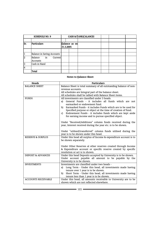|                | SCHEDULGENEDULE NO. 9                |           | CASH & E ANKE ALANGINE TALANCES |  |  |
|----------------|--------------------------------------|-----------|---------------------------------|--|--|
|                |                                      |           |                                 |  |  |
| Sr.            | <b>Ratticulararticulars</b>          |           | Balance as an annon as on       |  |  |
|                |                                      | 31.3.2005 |                                 |  |  |
|                |                                      |           |                                 |  |  |
| 1              | Balance inaSavingincSovintg Accounts |           |                                 |  |  |
| l2             | Balance Balaince Cuiment             | Current   |                                 |  |  |
|                | Accounts                             |           |                                 |  |  |
| l3             | Gash in Kanah in Hand                |           |                                 |  |  |
| $\overline{4}$ | 4                                    |           |                                 |  |  |
|                | Total<br>Total                       |           |                                 |  |  |

# Notes to Balance Sheet

|              | Heads                         | Particulars                                                                                                                                                                                                    |
|--------------|-------------------------------|----------------------------------------------------------------------------------------------------------------------------------------------------------------------------------------------------------------|
| BALAN        | E SHEET                       | Particulars<br>Balance Sheet is total summary of all outstanding balance of non-<br>Balance Sheet is total summary of all outstanding balance of non-<br>revenue accounts.y of all outstanding balance of non- |
|              |                               | All schedules are Integral part of the balance sheet.                                                                                                                                                          |
|              |                               | All schedules shall be tallied with Balance Sheet items.                                                                                                                                                       |
| <b>FUNDS</b> | <b>FUNDS</b>                  | All investments are classified under 3 heads.<br>All investment care elassified wider 3the adduces all funds which are not                                                                                     |
|              |                               | earmarked or endowment fund.                                                                                                                                                                                   |
|              |                               | Earmarked Funds - it includes Funds which are to be used for<br>b).                                                                                                                                            |
|              |                               | Specified purpose or object at the time of creation of fund.                                                                                                                                                   |
|              |                               | Endowment Funds - it includes funds which are kept aside<br>C)                                                                                                                                                 |
|              |                               | for earning income and to pursue specified object.                                                                                                                                                             |
|              |                               | Under "Received/Additions" column funds received during the                                                                                                                                                    |
|              |                               | year, Interest received during the year etc. is to be shown.                                                                                                                                                   |
|              |                               |                                                                                                                                                                                                                |
|              |                               | Under "utilised/transferred" column funds utilised during the                                                                                                                                                  |
|              |                               | year is to be shown under this head.                                                                                                                                                                           |
|              | <b>RESERVE &amp; SURPLUS</b>  | Under this head all surplus of Income & expenditure account is to                                                                                                                                              |
|              | <b>RESERVE &amp; SURPLUS</b>  | Under this head all surplus of income & expenditure account is to                                                                                                                                              |
|              |                               | Under Other Reserves al other reserves created through Income                                                                                                                                                  |
|              |                               | & Expenditure account or specific reserve created by specific                                                                                                                                                  |
|              |                               | resolution or act is to shown.                                                                                                                                                                                 |
|              | <b>DEPOSIT &amp; ADVANCES</b> | Under this head Deposits accepted by University is to be shown.                                                                                                                                                |
|              | <b>DEPOSIT &amp; ADVANCES</b> | Under account payable all amount to be payable by the Under this through the Under this through the Under this dependency is the Shown.                                                                        |
|              | <b>INVESTMENTS</b>            | Investments are classified under two heads -                                                                                                                                                                   |
|              |                               | a) Long Term - Under this head, all investments made having                                                                                                                                                    |
|              | <b>INVESTMENTS</b>            | Investments areedassifiad under awa heads shown.                                                                                                                                                               |
|              |                               | Short Term - Under this head, all investments made having<br>b)                                                                                                                                                |
|              |                               | tenure less than 1 year is to be shown.                                                                                                                                                                        |
|              | <b>ACCOUNTS RECEIVABLE</b>    | Under this head, all amounts receivable to University are to be                                                                                                                                                |
|              |                               | shown which are not reflected elsewhere.                                                                                                                                                                       |
|              | <b>ACCOUNTS RECEIVABLE</b>    | Under this head, all amounts receivable to University are to be                                                                                                                                                |
|              |                               | - 103 -                                                                                                                                                                                                        |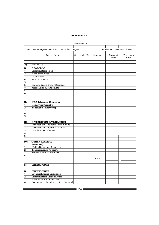#### APPENDIX - VI

|                         |                                            | <b>UNIVERSITY</b> |           |                           |                  |
|-------------------------|--------------------------------------------|-------------------|-----------|---------------------------|------------------|
|                         |                                            |                   |           |                           |                  |
|                         | Income & Expenditure Accounts for the year |                   |           | ended on 31st March ----- |                  |
|                         | Particulars                                | Schedule No       | Amount    | Current<br>Year           | Previous<br>Year |
| A)                      | <b>RECEIPTS</b>                            |                   |           |                           |                  |
|                         | <b>ACADEMIC</b>                            |                   |           |                           |                  |
| I)<br>$\mathbf{1}$      | <b>Examination Fees</b>                    |                   |           |                           |                  |
| 2                       | <b>Academic Fees</b>                       |                   |           |                           |                  |
| 3                       | Other Fees                                 |                   |           |                           |                  |
| 4                       | <b>Salary Grants</b>                       |                   |           |                           |                  |
| 5                       |                                            |                   |           |                           |                  |
| 6                       | Income from Other Sources                  |                   |           |                           |                  |
| 7                       | Miscellaneous Receipts                     |                   |           |                           |                  |
| 8                       |                                            |                   |           |                           |                  |
| 9                       |                                            |                   |           |                           |                  |
| 10                      |                                            |                   |           |                           |                  |
|                         |                                            |                   |           |                           |                  |
| II)                     | <b>UGC Schemes (Revenue)</b>               |                   |           |                           |                  |
| 1                       | <b>Recurring Grant's</b>                   |                   |           |                           |                  |
| $\overline{\mathbf{c}}$ | <b>Teacher's Fellowship</b>                |                   |           |                           |                  |
| 3                       |                                            |                   |           |                           |                  |
| 4                       |                                            |                   |           |                           |                  |
| 5                       |                                            |                   |           |                           |                  |
|                         |                                            |                   |           |                           |                  |
| III)                    | <b>INTEREST ON INVESTMENTS</b>             |                   |           |                           |                  |
| 1                       | Interest on Deposits with Banks            |                   |           |                           |                  |
| 2                       | <b>Interest on Deposits Others</b>         |                   |           |                           |                  |
| 3                       | Dividend on Shares                         |                   |           |                           |                  |
| 4                       |                                            |                   |           |                           |                  |
| 5                       |                                            |                   |           |                           |                  |
|                         |                                            |                   |           |                           |                  |
| IV)                     | <b>OTHER RECEIPTS</b>                      |                   |           |                           |                  |
|                         | <b>Revenue)</b><br>Nidhi/Donation Received |                   |           |                           |                  |
| 1                       |                                            |                   |           |                           |                  |
| 2                       | Tournaments Receipts                       |                   |           |                           |                  |
| 3<br>4                  | Miscellaneous Receipts                     |                   |           |                           |                  |
|                         |                                            |                   | Total Rs. |                           |                  |
|                         |                                            |                   |           |                           |                  |
|                         |                                            |                   |           |                           |                  |
| B)                      | <b>EXPENDITURE</b>                         |                   |           |                           |                  |
|                         |                                            |                   |           |                           |                  |
| I)                      | <b>EXPENDITURE</b>                         |                   |           |                           |                  |
| $\mathbf{1}$            | Establishment Expenses                     |                   |           |                           |                  |
| $\overline{\mathbf{z}}$ | <b>Examination Expenditure</b>             |                   |           |                           |                  |
| 3                       | Academic Expenditure<br>Services           |                   |           |                           |                  |
| 4                       | Common<br>&<br>General                     |                   |           |                           |                  |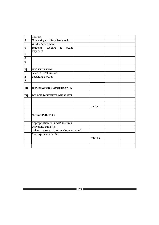|                | Charges                                     |           |  |  |
|----------------|---------------------------------------------|-----------|--|--|
| 5              | University Auxiliary Services &             |           |  |  |
|                | <b>Works Department</b>                     |           |  |  |
| 6              | Students Welfare<br>8 <sub>x</sub><br>Other |           |  |  |
|                | Expenses                                    |           |  |  |
| 7              |                                             |           |  |  |
| $\overline{8}$ |                                             |           |  |  |
| 9              |                                             |           |  |  |
|                |                                             |           |  |  |
| II)            | <b>UGC RECURRING</b>                        |           |  |  |
| $\vert$ 1      | Salaries & Fellowship                       |           |  |  |
| 2              | Teaching & Other                            |           |  |  |
| $\overline{3}$ |                                             |           |  |  |
|                |                                             |           |  |  |
| III)           | <b>DEPRECIATION &amp; AMORTISATION</b>      |           |  |  |
|                |                                             |           |  |  |
| IV)            | <b>LOSS ON SALE/WRITE OFF ASSETS</b>        |           |  |  |
|                |                                             |           |  |  |
|                |                                             |           |  |  |
|                |                                             | Total Rs. |  |  |
|                |                                             |           |  |  |
|                | NET SURPLUS (A-B)                           |           |  |  |
|                |                                             |           |  |  |
|                | Appropriation to Funds/ Reserves            |           |  |  |
|                | University Fund A/c                         |           |  |  |
|                | university Research & Development Fund      |           |  |  |
|                | Contingency Fund A/c                        |           |  |  |
|                |                                             | Total Rs. |  |  |
|                |                                             |           |  |  |
|                |                                             |           |  |  |
|                |                                             |           |  |  |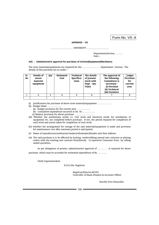Form No. VII- A

#### APPENDIX – VII

UNIVERSITY .............................................. ..............................................

 Department/Section………. Date :-

#### Sub. : Administrative approval for purchase of Articles/Equipment/Machinery.

The store material/equipments are required for the ……..…………. Department / Section. The details of this purchase are as under :-

| Sr.<br>No | Details of<br>stores<br>material<br>equipment | Qty | <b>Estimated</b><br>Cost | <b>Technical</b><br>Specifica-<br>tions | The details<br>of present<br>stock with<br>Dept. - Qty.<br>Value | The approval of<br>the following<br><b>Committees is</b><br>necessary -<br>(i) Purchase<br>(ii) Technical<br>(iii) Furniture | $\sqcap$ udget<br>Provision<br>for<br>current<br>year |
|-----------|-----------------------------------------------|-----|--------------------------|-----------------------------------------|------------------------------------------------------------------|------------------------------------------------------------------------------------------------------------------------------|-------------------------------------------------------|
|           |                                               | າ   |                          |                                         |                                                                  |                                                                                                                              |                                                       |
|           |                                               |     |                          |                                         |                                                                  |                                                                                                                              |                                                       |

(i) Justifications for purchase of above store material/equipment………………

- (ii) Budget Head ……………..
	- (a) Budget provision for the current year …………….
	- (b) Cumulative expenditure incurred so far Rs.……………
	- (c) Balance provision for above purchase ………………….
- (iii) Whether the preliminary works i.e. civil work and electrical works for installation of equipment etc. are completed before purchase. If not, the period required for completion of such work and action taken for completion of such work.
- (iv) whether the arrangement for storage of the said material/equipment is made and provision for maintenance cost after warranty period is anticipated.
- (v) Name of manufacturer/authorized dealers/wholesaler/Retailer and their address.
- (vi) The said purchase is to be effected by inviting tenders/fixing annual rate contracts or placing orders with the existing rate contract firm/directly Co-operative Consumer Store by calling sealed quotation.

As per delegation of powers, administrative approval of ………… is required for above

purchase, which may be accorded for estimated expenditure of Rs. ………..

Clerk/ Superintendent

H.O.D./Dy. Registrar

 Registrar/Director-BCUD/ Controller of Exam./Finance & Accounts Officer

Hon'ble Vice-Chancellor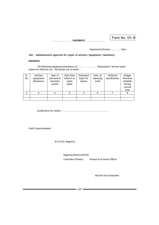UNIVERSITY ........................................ ........................................

# Form No. VII- B

Department/Section…………..Date :-

Sub. : Administrative approval for repair of Articles | Equipment | Machinery

Submitted -

The following equipment/machinery of …………………. Department / Section needs repairs for effective use. The details are as under :-

| Sr.<br>No | Articles/<br>Equipment<br>Machinery | Date of<br>purchase &<br>warranty<br>period | Date from<br>which it is<br>under<br>repair | Estimated<br>Expd. for<br>repairs | Item of<br>repairing<br>work | Technical<br>specification | Budget<br>Provision<br>available<br>during<br>current<br>year |
|-----------|-------------------------------------|---------------------------------------------|---------------------------------------------|-----------------------------------|------------------------------|----------------------------|---------------------------------------------------------------|
|           |                                     |                                             |                                             |                                   | 6                            |                            |                                                               |
|           |                                     |                                             |                                             |                                   |                              |                            |                                                               |
|           |                                     |                                             |                                             |                                   |                              |                            |                                                               |

Justification for repairs - ………………………………………………

Clerk/ Superintendent

H.O.D./Dy. Registrar

Registrar/Director-BCUD/

Controller of Exam./ Finance & Accounts Officer

Hon'ble Vice-Chancellor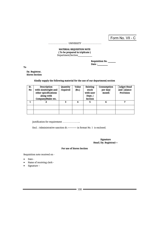|                                                                    | Form No. VII - C |
|--------------------------------------------------------------------|------------------|
| <b>IINIVERSITY</b>                                                 |                  |
| <b>MATERIAL REQUISITION NOTE</b><br>(To be prepared in triplicate) |                  |

Department/Section\_\_\_\_\_\_\_\_\_\_\_

 Requisition No. \_\_\_\_\_\_ Date :\_\_\_\_\_\_\_\_\_

To

 Dy. Registrar, Stores Section

#### Kindly supply the following material for the use of our department/ section

| Sr. | Description          | Quantity | Value | Existing  | Consumption | □udget Head       |
|-----|----------------------|----------|-------|-----------|-------------|-------------------|
| No  | with size/weight and | required | (Rs.) | stock     | per day     | and $\Box$ alance |
|     | other specifications |          |       | with user | month       | Provision         |
|     | along with           |          |       | Dept.     |             |                   |
|     | Company/Make etc.    |          |       | Section   |             |                   |
|     |                      | ર        |       | 5         | 6           | 7                 |
|     |                      |          |       |           |             |                   |
|     |                      |          |       |           |             |                   |
|     |                      |          |       |           |             |                   |
|     |                      |          |       |           |             |                   |

Justification for requirement ………………...

Encl. : Administrative sanction dt.------------- in format No. 1 is enclosed.

 Signature Head | Dy. Registrar|----

For use of Stores Section

Requisition note received on -

- Date -
- Name of receiving clerk -
- Signature –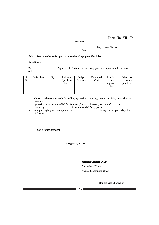UNIVERSITY, UNIVERSITY, ........................................ ........................................

Form No. VII - D Form No. VII - D

Department/Section……… Department/Section………

 Date : date :- and the state of the state of the state of the state of the state of the state of the state of the state of the state of the state of the state of the state of the state of the state of the state of the state of th

Sub. : Sanction of rates for purchase/repairs of equipment/ articles.

Submitted - Submitted -

For ………………………. Department / Section, the following purchase/repairs are to be carried For ………………………. Department / Section, the following purchase/repairs are to be carried out - out -

|                                  | سمليبمنسمته | ∩⊷    |                                   |                                 | $\mathcal{C} = \mathcal{C}$                           |          |          |
|----------------------------------|-------------|-------|-----------------------------------|---------------------------------|-------------------------------------------------------|----------|----------|
| $S_{r}^{\overline{\text{str.}}}$ | Particulars | Vity. | T <del>ermical</del><br>Technical | <del>- Budget<br/>B</del> udget | <del>Estimated Specifical</del> Specifical Balance of |          |          |
| No                               |             |       | Specifica-                        | Provision                       | Cost                                                  | tions    | previous |
|                                  |             |       | tions                             |                                 |                                                       | approved | purchase |
|                                  |             |       |                                   |                                 |                                                       | bv       |          |
|                                  |             |       |                                   |                                 |                                                       |          |          |
|                                  |             |       |                                   |                                 |                                                       |          |          |

- 1. Above purchases are made by calling quotation / inviting tender or fixing Annual Rate 1. Above purchases are made by calling quotation / inviting tender or fixing Annual Rate Contract. Above pi 2. Contractions / tender are called for from suppliers and lowest  $\alpha$  and lowest  $\alpha$  and  $\alpha$ .  $\alpha$
- 2. Quotations / tender are called for from suppliers and lowest quotation of Rs. ........ quoted by .............................. is recommended for approval. Quotations / tender are called for from suppliers and lowest
- 3. Being a single quotation, approval of …………………………… is required as per Delegation of Powers.

Clerk/ Superintendent

Dy. Registrar/ H.O.D.

Registrar/Director-BCUD/  $\Gamma$  Controller of Exam. Finance & Accounts Officer

Hon'ble Vice-Chancellor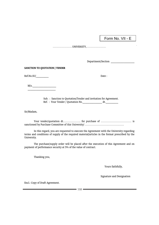Form No. VII - E

 $F_{\rm eff} = -E$ 

UNIVERSITY, ........................................ ........................................

Department/Section \_\_\_\_\_\_\_\_\_\_\_\_\_\_\_\_\_

# SANCTION TO QUOTATION | TENDER

Ref.No.SU/ Date : M/s.\_\_\_\_\_\_\_\_\_\_\_\_\_\_\_\_\_

 $M/s$ .  $\overline{\phantom{a}}$  ,  $\overline{\phantom{a}}$  ,  $\overline{\phantom{a}}$  ,  $\overline{\phantom{a}}$  ,  $\overline{\phantom{a}}$  ,  $\overline{\phantom{a}}$  ,  $\overline{\phantom{a}}$  ,  $\overline{\phantom{a}}$  ,  $\overline{\phantom{a}}$  ,  $\overline{\phantom{a}}$  ,  $\overline{\phantom{a}}$  ,  $\overline{\phantom{a}}$  ,  $\overline{\phantom{a}}$  ,  $\overline{\phantom{a}}$  ,  $\overline{\phantom{a}}$  ,  $\overline{\phantom{a}}$ 

Sub. : Sanction to Agreement and invitation for Agreement. In the Agreement and invitation for Agreement. In the Agreement and invitation of Agreement. In the Agreement and invitation for Agreement. In the Agreement and in

 Sub. : Sanction to Quotation/Tender and invitation for Agreement. Ref. : Your Tender / Quotation No. \_\_\_\_\_\_\_\_\_\_\_\_\_\_ dt. \_\_\_\_\_\_\_\_\_\_

Sir/Madam,  $\sum_{i=1}^{n}$  and  $\sum_{i=1}^{n}$ 

 Your tender/quotation dt………………. for purchase of …………………………… is In this regard, you are requested to execute the Agreement with the University regarding sanctioned by Purchase Committee of this University/ …………………………………… terms and conditions of supply of the required material/articles in the format prescribed by the

 In this regard, you are requested to execute the Agreement with the University regarding terms and conditions of supply of the required material/articles in the format prescribed by the University.

 The purchase/supply order will be placed after the execution of this Agreement and on payment of performance security at 5% of the value of contract.

Thanking you,

 Yours faithfully, Signature and Designation of the Signature and Designation of the Signature and Designation of the Signature o<br>Signature and Designation of the Signature and Designation of the Signature of the Signature of the Signature

Signature and Designation

Encl.: Copy of Draft Agreement.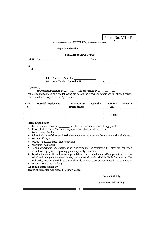|                           | Form No. VII - F                         | - F |
|---------------------------|------------------------------------------|-----|
|                           |                                          |     |
|                           | Department/Section                       |     |
|                           | <b>PURCHASE   SUPPLY ORDER</b>           |     |
| Ref. No. SU/              | Date: $\dots\dots\dots\dots\dots$        |     |
| To<br>M/s.                |                                          |     |
| Sub. : Purchase Order for |                                          |     |
|                           | Ref.: Your Tender / Quotation No.<br>dt. |     |

Sir/Madam, Sir/Madam,

Your tender/quotation dt………………. is sanctioned by …………………… Your tender/quotation dt………………. is sanctioned by …………………… You are requested to supply the following articles on the terms and conditions mentioned herein, which you have accepted in the Agreement. which you have accepted in the Agreement.

| Sr.N | 0. | Material   Equipment<br>SI:N TMaterial   Equipment<br>The Description & | <b>Specifications</b> | Quantity <sup>Per</sup> | Unit    | Rate Per <sup>t RS</sup> Amount Rs. |
|------|----|-------------------------------------------------------------------------|-----------------------|-------------------------|---------|-------------------------------------|
|      |    |                                                                         |                       |                         |         |                                     |
|      |    |                                                                         |                       | Total-                  | Total - |                                     |

# Terms & Conditions : Terms & Conditions :

- 1) Delivery period :- Within \_\_\_\_\_\_\_\_ weeks from the date of issue of supply order. 1) Delivery period :- Within \_\_\_\_\_\_\_\_ weeks from the date of issue of supply order.
- 2) Place of delivery :- The material/equipment shall be delivered at \_\_\_\_\_\_\_\_\_\_\_\_\_\_\_\_\_ 2) Place of delivery :- The material/equipment shall be delivered at \_\_\_\_\_\_\_\_\_\_\_\_\_\_\_\_\_
- Department / Section, Department / Section, 3) Price- Inclusive of all taxes, installation and delivery/supply on the above mentioned address. 3) Price- Inclusive of all taxes, installation and delivery/supply on the above mentioned address.
- $\begin{array}{c}\n 4) \quad \text{Discount if any :}\n \end{array}$
- 5) Octroi At actuals extra / Not Applicable 5) Octroi At actuals extra / Not Applicable
- $6)$  Warranty / Guarantee  $\frac{1}{2}$
- 7) Terms of payment- 75% payment after delivery and the remaining 25% after the inspection 7) Terms of payment- 75% payment after delivery and the remaining 25% after the inspection of material/equipment regarding quality, quantity, condition. of material/equipment regarding quality, quantity, condition.
- 8) Penalty Clause On failure to supply/deliver the ordered material/equipment within the 8) Penalty Clause On failure to supply/deliver the ordered material/equipment within the stipulated time (as mentioned above), the concerned vendor shall be liable for penalty. The stipulated time (as mentioned above), the concerned vendor shall be liable for penalty. The University reserves the right to cancel the order in such cases as mentioned in the agreement. University reserves the right to cancel the order in such cases as mentioned in the agreement.
- 9) Other (Please see overleaf) 9) Other (Please see overleaf)
- 10) Special Instruction if any \_\_\_\_\_\_\_\_\_\_ 10) Special Instruction if any \_\_\_\_\_\_\_\_\_\_

Receipt of this order may please be acknowledged. Receipt of this order may please be acknowledged.

 Yours faithfully,  $V_{\text{error}}$ 

(Signature & Designation) (Signature & Designation)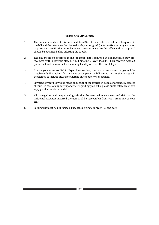#### TERMS AND CONDITIONS

- 1) The number and date of this order and Serial No. of the article overleaf must be quoted in the bill and the rates must be checked with your original Quotation/Tender. Any variation in price and specification must be immediately intimated to this office and our approval should be obtained before effecting the supply.
- 2) The bill should be prepared in ink (or typed) and submitted in quadruplicate duly prereceipted with a revenue stamp, if bill amount is over Rs.500/-. Bills received without pre-receipt will be returned without any liability on this office for delays.
- 3) In case your rates are F.O.R. dispatching station, transit and insurance charges will be payable only if vouchers for the same accompany the bill. F.O.R. Destination prices will be deemed to include insurance charges unless otherwise specified.
- 4) Payment of your bill will be made on receipt of the articles in good conditions, by crossed cheque. In case of any correspondence regarding your bills, please quote reference of this supply order number and date.
- 5) All damaged or/and unapproved goods shall be returned at your cost and risk and the incidental expenses incurred thereon shall be recoverable from you / from any of your bills.
- 6) Packing list must be put inside all packages giving our order No. and date.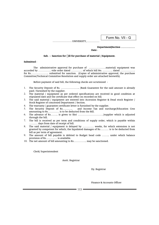UNIVERSITY, UNIVERSITY, ........................................ ..........................

# Form No. VII - G Form No. VII - G

#### Department/Section …………… Department/Section ……………

#### **Date - Exercise State - Exercise State - Exercise State - Exercise State - Exercise State - Exercise State -**

#### Sub. : Sanction for  $\Box$ ill for purchase of material / Equipment.

#### Submitted - Submitted -

 The administrative approval for purchase of ………………material/ equipment was The administrative approval for purchase of ………………material/ equipment was accorded by ………….. vide order dated ………… of which bill No. ……….. dated ……………. accorded by ………….. vide order dated ………… of which bill No. ……….. dated ……………. for Rs………………. submitted for sanction. (Copies of administrative approval, the purchase for Rs………………. submitted for sanction. (Copies of administrative approval, the purchase Committee/Technical Committee Resolution and supply order are attached herewith). Committee/Technical Committee Resolution and supply order are attached herewith).

Before payment of said bill, the following checks are scrutinized - Before payment of said bill, the following checks are scrutinized -

- 1. The Security Deposit of Rs. ……………….. /Bank Guarantee for the said amount is already 1. The Security Deposit of Rs. ……………….. /Bank Guarantee for the said amount is already paid / furnished by the supplier. paid / furnished by the supplier.
- 2. The material / equipment as per ordered specifications are received in good condition at 2. The material / equipment as per ordered specifications are received in good condition at stipulated date and the certificate that effect on recorded on bill. stipulated date and the certificate that effect on recorded on bill.
- 3. The said material / equipment are entered into Accession Register & Dead stock Register / 3. The said material / equipment are entered into Accession Register & Dead stock Register / Stock Register of concerned Department / Section. Stock Register of concerned Department / Section.
- 4. The warranty / guarantee certificate letter is furnished by the supplier. 4. The warranty / guarantee certificate letter is furnished by the supplier.
- 5. The Security Deposit of Rs……….. and Income Tax and surcharge/Education Cess 5. The Security Deposit of Rs……….. and Income Tax and surcharge/Education Cess amounting to Rs………… is to be deducted from the Bill. amounting to Rs………… is to be deducted from the Bill.
- 6. The advance of Rs…….. is given to Shri ………………………/supplier which is adjusted 6. The advance of Rs…….. is given to Shri ………………………/supplier which is adjusted through the bill.
- 7. The bill is received as per term and conditions of supply order, which is payable within 7. The bill is received as per term and conditions of supply order, which is payable within ……… days from date of receipt of bill. ……… days from date of receipt of bill.
- 8. The said material / equipment is delayed by ………… weeks, for which extension is not 8. The said material / equipment is delayed by ………… weeks, for which extension is not granted by competent for which, the liquidated damages of Rs……… is to be deducted from granted by competent for which, the liquidated damages of Rs……… is to be deducted from bill as per term of agreement. bill as per term of agreement.
- 9. The amount of bill payable is debited to Budget head code …….. under which balance 9. The amount of bill payable is debited to Budget head code …….. under which balance provision of Rs………… is available. provision of Rs………… is available.
- 10. The net amount of bill amounting to Rs………….. may be sanctioned. 10. The net amount of bill amounting to Rs………….. may be sanctioned.

Clerk/ Superintendent Clerk/ Superintendent

Asstt. Registrar Asstt. Registrar

Dy. Registrar Dy. Registrar

Finance & Accounts Officer Finance & Accounts Officer